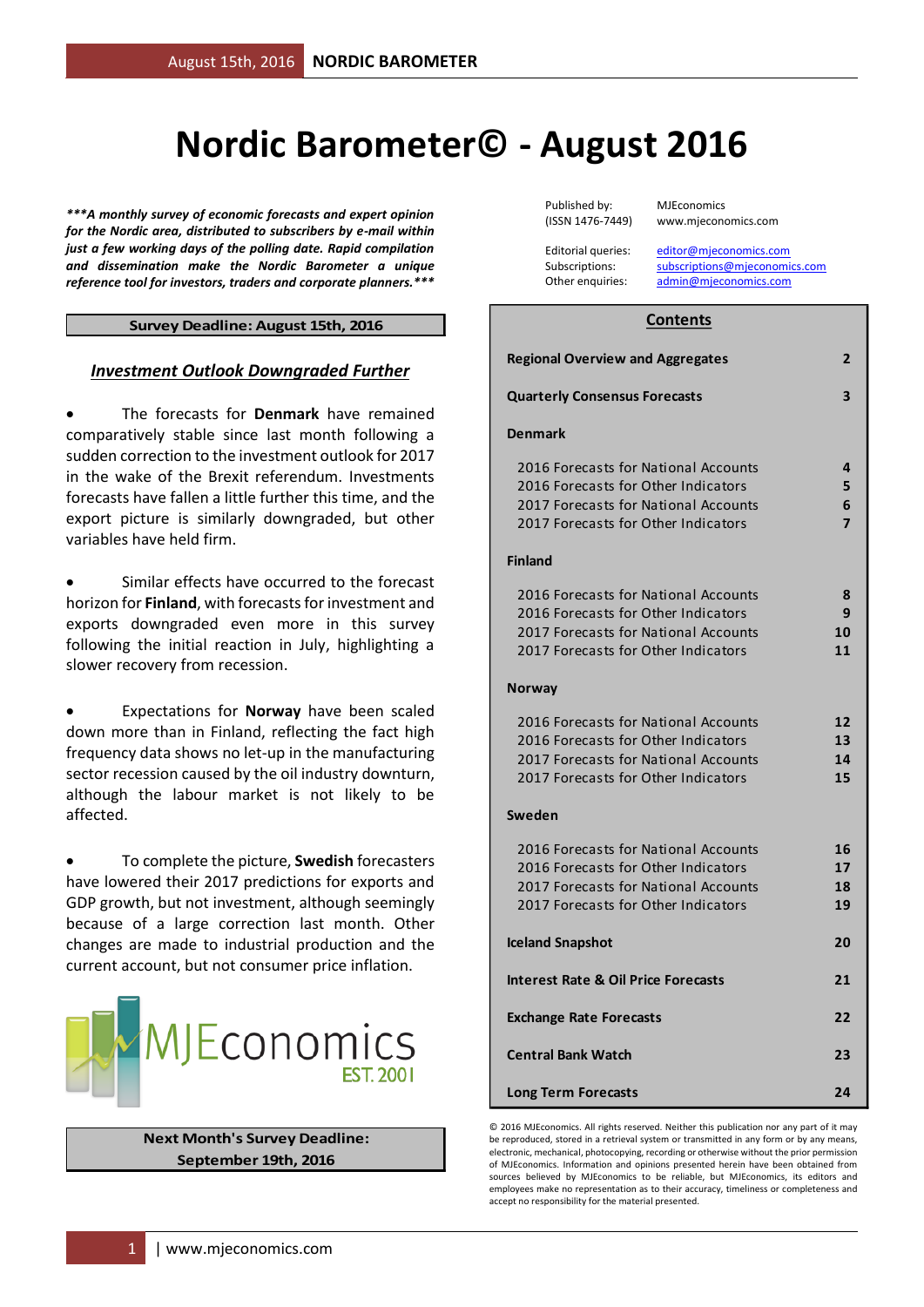# **Nordic Barometer© - August 2016**

*\*\*\*A monthly survey of economic forecasts and expert opinion for the Nordic area, distributed to subscribers by e-mail within just a few working days of the polling date. Rapid compilation and dissemination make the Nordic Barometer a unique reference tool for investors, traders and corporate planners.\*\*\**

#### **Survey Deadline: August 15th, 2016**

#### *Investment Outlook Downgraded Further*

 The forecasts for **Denmark** have remained comparatively stable since last month following a sudden correction to the investment outlook for 2017 in the wake of the Brexit referendum. Investments forecasts have fallen a little further this time, and the export picture is similarly downgraded, but other variables have held firm.

 Similar effects have occurred to the forecast horizon for **Finland**, with forecasts for investment and exports downgraded even more in this survey following the initial reaction in July, highlighting a slower recovery from recession.

 Expectations for **Norway** have been scaled down more than in Finland, reflecting the fact high frequency data shows no let-up in the manufacturing sector recession caused by the oil industry downturn, although the labour market is not likely to be affected.

 To complete the picture, **Swedish** forecasters have lowered their 2017 predictions for exports and GDP growth, but not investment, although seemingly because of a large correction last month. Other changes are made to industrial production and the current account, but not consumer price inflation.



#### **Next Month's Survey Deadline: September 19th, 2016**

Published by: MJEconomics

(ISSN 1476-7449) www.mjeconomics.com

Editorial queries: [editor@mjeconomics.com](mailto:editor@mjeconomics.com)<br>Subscriptions: subscriptions@mieconomi subscriptions@mieconomics.com Other enquiries: [admin@mjeconomics.com](mailto:admin@mjeconomics.com)

#### **Contents**

| <b>Regional Overview and Aggregates</b>                                                                                                                    | 2                    |
|------------------------------------------------------------------------------------------------------------------------------------------------------------|----------------------|
| <b>Quarterly Consensus Forecasts</b>                                                                                                                       | 3                    |
| <b>Denmark</b>                                                                                                                                             |                      |
| 2016 Forecasts for National Accounts<br>2016 Forecasts for Other Indicators<br>2017 Forecasts for National Accounts<br>2017 Forecasts for Other Indicators | 4<br>5<br>6<br>7     |
| <b>Finland</b>                                                                                                                                             |                      |
| 2016 Forecasts for National Accounts<br>2016 Forecasts for Other Indicators<br>2017 Forecasts for National Accounts<br>2017 Forecasts for Other Indicators | 8<br>9<br>10<br>11   |
| Norway                                                                                                                                                     |                      |
| 2016 Forecasts for National Accounts<br>2016 Forecasts for Other Indicators<br>2017 Forecasts for National Accounts<br>2017 Forecasts for Other Indicators | 12<br>13<br>14<br>15 |
| Sweden                                                                                                                                                     |                      |
| 2016 Forecasts for National Accounts<br>2016 Forecasts for Other Indicators<br>2017 Forecasts for National Accounts<br>2017 Forecasts for Other Indicators | 16<br>17<br>18<br>19 |
| <b>Iceland Snapshot</b>                                                                                                                                    | 20                   |
| <b>Interest Rate &amp; Oil Price Forecasts</b>                                                                                                             | 21                   |
| <b>Exchange Rate Forecasts</b>                                                                                                                             | 22                   |
| <b>Central Bank Watch</b>                                                                                                                                  | 23                   |
| <b>Long Term Forecasts</b>                                                                                                                                 | 24                   |

© 2016 MJEconomics. All rights reserved. Neither this publication nor any part of it may be reproduced, stored in a retrieval system or transmitted in any form or by any means, electronic, mechanical, photocopying, recording or otherwise without the prior permission of MJEconomics. Information and opinions presented herein have been obtained from sources believed by MJEconomics to be reliable, but MJEconomics, its editors and employees make no representation as to their accuracy, timeliness or completeness and accept no responsibility for the material presented.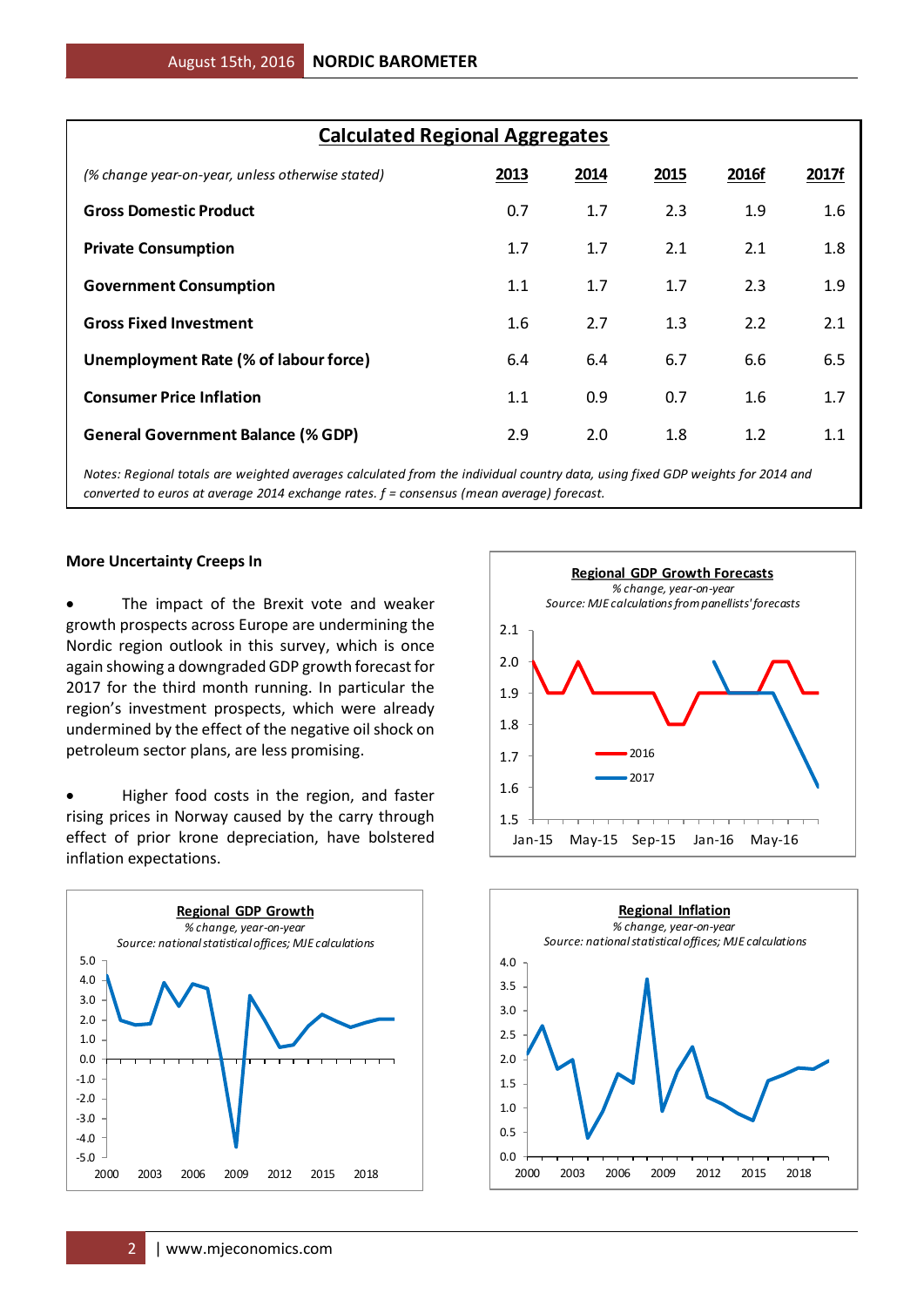| <b>Calculated Regional Aggregates</b>            |      |      |      |       |       |  |  |  |  |  |  |
|--------------------------------------------------|------|------|------|-------|-------|--|--|--|--|--|--|
| (% change year-on-year, unless otherwise stated) | 2013 | 2014 | 2015 | 2016f | 2017f |  |  |  |  |  |  |
| <b>Gross Domestic Product</b>                    | 0.7  | 1.7  | 2.3  | 1.9   | 1.6   |  |  |  |  |  |  |
| <b>Private Consumption</b>                       | 1.7  | 1.7  | 2.1  | 2.1   | 1.8   |  |  |  |  |  |  |
| <b>Government Consumption</b>                    | 1.1  | 1.7  | 1.7  | 2.3   | 1.9   |  |  |  |  |  |  |
| <b>Gross Fixed Investment</b>                    | 1.6  | 2.7  | 1.3  | 2.2   | 2.1   |  |  |  |  |  |  |
| Unemployment Rate (% of labour force)            | 6.4  | 6.4  | 6.7  | 6.6   | 6.5   |  |  |  |  |  |  |
| <b>Consumer Price Inflation</b>                  | 1.1  | 0.9  | 0.7  | 1.6   | 1.7   |  |  |  |  |  |  |
| <b>General Government Balance (% GDP)</b>        | 2.9  | 2.0  | 1.8  | 1.2   | 1.1   |  |  |  |  |  |  |

*Notes: Regional totals are weighted averages calculated from the individual country data, using fixed GDP weights for 2014 and converted to euros at average 2014 exchange rates. f = consensus (mean average) forecast.*

#### **More Uncertainty Creeps In**

 The impact of the Brexit vote and weaker growth prospects across Europe are undermining the Nordic region outlook in this survey, which is once again showing a downgraded GDP growth forecast for 2017 for the third month running. In particular the region's investment prospects, which were already undermined by the effect of the negative oil shock on petroleum sector plans, are less promising.

• Higher food costs in the region, and faster rising prices in Norway caused by the carry through effect of prior krone depreciation, have bolstered inflation expectations.





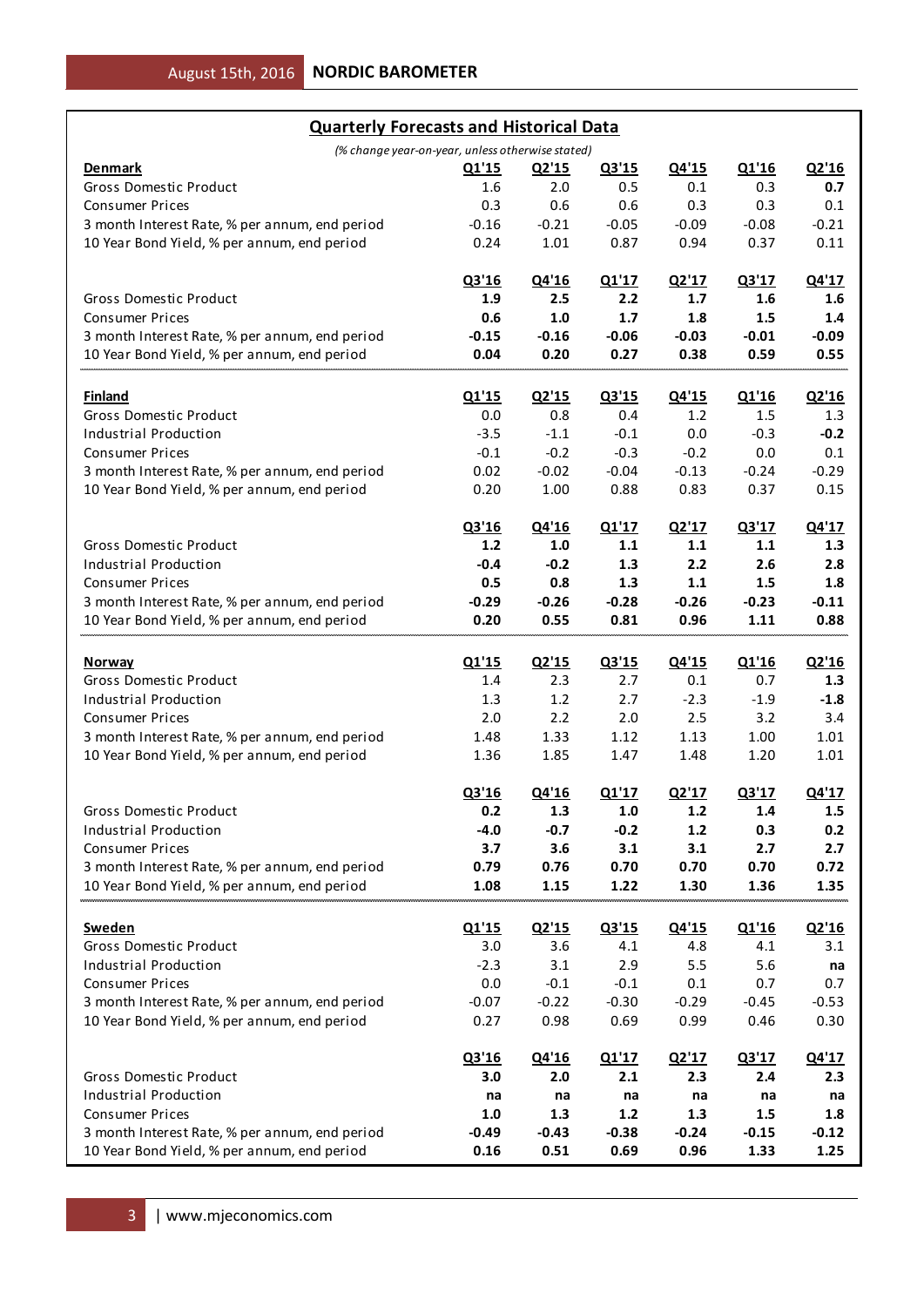| (% change year-on-year, unless otherwise stated)<br>Q1'16<br>Q2'16<br>Q3'15<br>Q4'15<br><b>Denmark</b><br><u>Q1'15</u><br><u>Q2'15</u><br><b>Gross Domestic Product</b><br>1.6<br>0.7<br>2.0<br>0.5<br>0.1<br>0.3<br>0.6<br>0.6<br>0.3<br>0.3<br><b>Consumer Prices</b><br>0.3<br>0.1<br>$-0.21$<br>$-0.21$<br>3 month Interest Rate, % per annum, end period<br>$-0.05$<br>$-0.09$<br>$-0.08$<br>$-0.16$<br>10 Year Bond Yield, % per annum, end period<br>1.01<br>0.87<br>0.37<br>0.11<br>0.24<br>0.94<br>Q2'17<br>Q3'16<br>Q4'16<br>Q1'17<br>Q3'17<br>Q4'17<br><b>Gross Domestic Product</b><br>1.9<br>2.5<br>2.2<br>1.7<br>1.6<br>1.6<br><b>Consumer Prices</b><br>$1.7$<br>0.6<br>1.0<br>1.8<br>1.5<br>1.4<br>$-0.16$<br>3 month Interest Rate, % per annum, end period<br>$-0.15$<br>$-0.06$<br>$-0.03$<br>$-0.01$<br>$-0.09$<br>10 Year Bond Yield, % per annum, end period<br>0.20<br>0.27<br>0.59<br>0.04<br>0.38<br>0.55<br>Q2'15<br>Q4'15<br>Q2'16<br><b>Finland</b><br>Q1'15<br>Q3'15<br>Q1'16<br><b>Gross Domestic Product</b><br>0.0<br>0.8<br>0.4<br>1.2<br>1.5<br>1.3<br>$-1.1$<br>Industrial Production<br>$-3.5$<br>$-0.1$<br>0.0<br>$-0.3$<br>$-0.2$<br>$-0.2$<br><b>Consumer Prices</b><br>$-0.1$<br>$-0.3$<br>$-0.2$<br>0.0<br>0.1<br>$-0.02$<br>3 month Interest Rate, % per annum, end period<br>0.02<br>$-0.04$<br>$-0.13$<br>$-0.24$<br>$-0.29$<br>10 Year Bond Yield, % per annum, end period<br>1.00<br>0.83<br>0.15<br>0.20<br>0.88<br>0.37<br>Q3'16<br>Q2'17<br>Q3'17<br>Q4'17<br>Q4'16<br>Q1'17<br><b>Gross Domestic Product</b><br>$1.2$<br>1.0<br>1.1<br>$1.1$<br>1.1<br>1.3<br>$-0.2$<br>1.3<br>2.6<br>Industrial Production<br>$-0.4$<br>2.2<br>2.8<br>0.8<br><b>Consumer Prices</b><br>0.5<br>1.3<br>1.1<br>1.5<br>1.8<br>3 month Interest Rate, % per annum, end period<br>$-0.29$<br>$-0.26$<br>$-0.28$<br>$-0.26$<br>$-0.23$<br>$-0.11$<br>10 Year Bond Yield, % per annum, end period<br>0.55<br>0.81<br>0.88<br>0.20<br>0.96<br>1.11<br>Q2'15<br>Q4'15<br>Q2'16<br>Q1'15<br>Q3'15<br>Q1'16<br><b>Norway</b><br>Gross Domestic Product<br>2.3<br>2.7<br>0.1<br>0.7<br>1.3<br>1.4<br>1.2<br>2.7<br>Industrial Production<br>1.3<br>$-2.3$<br>$-1.9$<br>$-1.8$<br>2.2<br>2.0<br>2.5<br><b>Consumer Prices</b><br>2.0<br>3.2<br>3.4<br>3 month Interest Rate, % per annum, end period<br>1.48<br>1.33<br>1.12<br>1.13<br>1.00<br>1.01<br>10 Year Bond Yield, % per annum, end period<br>1.36<br>1.85<br>1.47<br>1.48<br>1.20<br>1.01<br>Q3'16<br>Q2'17<br>Q3'17<br>Q4'16<br>Q1'17<br>Q4'17<br>Gross Domestic Product<br>0.2<br>1.3<br>$1.0\,$<br>$1.2$<br>1.4<br>1.5<br>$-0.7$<br>$-0.2$<br>0.3<br>0.2<br><b>Industrial Production</b><br>$-4.0$<br>$1.2$<br>3.7<br>3.6<br><b>Consumer Prices</b><br>3.1<br>3.1<br>2.7<br>2.7<br>3 month Interest Rate, % per annum, end period<br>0.79<br>0.76<br>0.70<br>0.70<br>0.70<br>0.72<br>10 Year Bond Yield, % per annum, end period<br>1.22<br>1.35<br>1.08<br>1.15<br>1.30<br>1.36<br>Q1'15<br>Q2'15<br>Q4'15<br>Q1'16<br>Q2'16<br><b>Sweden</b><br>Q3'15<br><b>Gross Domestic Product</b><br>3.0<br>3.6<br>4.1<br>4.8<br>4.1<br>3.1<br><b>Industrial Production</b><br>$-2.3$<br>3.1<br>2.9<br>5.5<br>5.6<br>na<br>0.0<br>$-0.1$<br>$-0.1$<br>$0.1\,$<br>0.7<br><b>Consumer Prices</b><br>0.7<br>3 month Interest Rate, % per annum, end period<br>$-0.22$<br>$-0.30$<br>$-0.07$<br>$-0.29$<br>$-0.45$<br>$-0.53$<br>10 Year Bond Yield, % per annum, end period<br>0.27<br>0.98<br>0.69<br>0.99<br>0.46<br>0.30<br>Q3'16<br>Q2'17<br>Q3'17<br>Q4'17<br>Q4'16<br>Q1'17<br>Gross Domestic Product<br>2.1<br>2.3<br>3.0<br>2.0<br>2.4<br>2.3<br><b>Industrial Production</b><br>na<br>na<br>na<br>na<br>na<br>na<br><b>Consumer Prices</b><br>1.0<br>1.3<br>$1.2$<br>1.3<br>$1.5\,$<br>1.8<br>3 month Interest Rate, % per annum, end period<br>$-0.49$<br>$-0.43$<br>$-0.38$<br>$-0.24$<br>$-0.15$<br>$-0.12$<br>10 Year Bond Yield, % per annum, end period<br>0.51<br>1.25<br>0.16<br>0.69<br>0.96<br>1.33 | <b>Quarterly Forecasts and Historical Data</b> |  |  |  |
|----------------------------------------------------------------------------------------------------------------------------------------------------------------------------------------------------------------------------------------------------------------------------------------------------------------------------------------------------------------------------------------------------------------------------------------------------------------------------------------------------------------------------------------------------------------------------------------------------------------------------------------------------------------------------------------------------------------------------------------------------------------------------------------------------------------------------------------------------------------------------------------------------------------------------------------------------------------------------------------------------------------------------------------------------------------------------------------------------------------------------------------------------------------------------------------------------------------------------------------------------------------------------------------------------------------------------------------------------------------------------------------------------------------------------------------------------------------------------------------------------------------------------------------------------------------------------------------------------------------------------------------------------------------------------------------------------------------------------------------------------------------------------------------------------------------------------------------------------------------------------------------------------------------------------------------------------------------------------------------------------------------------------------------------------------------------------------------------------------------------------------------------------------------------------------------------------------------------------------------------------------------------------------------------------------------------------------------------------------------------------------------------------------------------------------------------------------------------------------------------------------------------------------------------------------------------------------------------------------------------------------------------------------------------------------------------------------------------------------------------------------------------------------------------------------------------------------------------------------------------------------------------------------------------------------------------------------------------------------------------------------------------------------------------------------------------------------------------------------------------------------------------------------------------------------------------------------------------------------------------------------------------------------------------------------------------------------------------------------------------------------------------------------------------------------------------------------------------------------------------------------------------------------------------------------------------------------------------------------------------------------------------------------------------------------------------------------------------------------------------------------------------------------------------------------------------------------------------------------------------------------------------------------------------------------------------------------------------------------------------|------------------------------------------------|--|--|--|
|                                                                                                                                                                                                                                                                                                                                                                                                                                                                                                                                                                                                                                                                                                                                                                                                                                                                                                                                                                                                                                                                                                                                                                                                                                                                                                                                                                                                                                                                                                                                                                                                                                                                                                                                                                                                                                                                                                                                                                                                                                                                                                                                                                                                                                                                                                                                                                                                                                                                                                                                                                                                                                                                                                                                                                                                                                                                                                                                                                                                                                                                                                                                                                                                                                                                                                                                                                                                                                                                                                                                                                                                                                                                                                                                                                                                                                                                                                                                                                                              |                                                |  |  |  |
|                                                                                                                                                                                                                                                                                                                                                                                                                                                                                                                                                                                                                                                                                                                                                                                                                                                                                                                                                                                                                                                                                                                                                                                                                                                                                                                                                                                                                                                                                                                                                                                                                                                                                                                                                                                                                                                                                                                                                                                                                                                                                                                                                                                                                                                                                                                                                                                                                                                                                                                                                                                                                                                                                                                                                                                                                                                                                                                                                                                                                                                                                                                                                                                                                                                                                                                                                                                                                                                                                                                                                                                                                                                                                                                                                                                                                                                                                                                                                                                              |                                                |  |  |  |
|                                                                                                                                                                                                                                                                                                                                                                                                                                                                                                                                                                                                                                                                                                                                                                                                                                                                                                                                                                                                                                                                                                                                                                                                                                                                                                                                                                                                                                                                                                                                                                                                                                                                                                                                                                                                                                                                                                                                                                                                                                                                                                                                                                                                                                                                                                                                                                                                                                                                                                                                                                                                                                                                                                                                                                                                                                                                                                                                                                                                                                                                                                                                                                                                                                                                                                                                                                                                                                                                                                                                                                                                                                                                                                                                                                                                                                                                                                                                                                                              |                                                |  |  |  |
|                                                                                                                                                                                                                                                                                                                                                                                                                                                                                                                                                                                                                                                                                                                                                                                                                                                                                                                                                                                                                                                                                                                                                                                                                                                                                                                                                                                                                                                                                                                                                                                                                                                                                                                                                                                                                                                                                                                                                                                                                                                                                                                                                                                                                                                                                                                                                                                                                                                                                                                                                                                                                                                                                                                                                                                                                                                                                                                                                                                                                                                                                                                                                                                                                                                                                                                                                                                                                                                                                                                                                                                                                                                                                                                                                                                                                                                                                                                                                                                              |                                                |  |  |  |
|                                                                                                                                                                                                                                                                                                                                                                                                                                                                                                                                                                                                                                                                                                                                                                                                                                                                                                                                                                                                                                                                                                                                                                                                                                                                                                                                                                                                                                                                                                                                                                                                                                                                                                                                                                                                                                                                                                                                                                                                                                                                                                                                                                                                                                                                                                                                                                                                                                                                                                                                                                                                                                                                                                                                                                                                                                                                                                                                                                                                                                                                                                                                                                                                                                                                                                                                                                                                                                                                                                                                                                                                                                                                                                                                                                                                                                                                                                                                                                                              |                                                |  |  |  |
|                                                                                                                                                                                                                                                                                                                                                                                                                                                                                                                                                                                                                                                                                                                                                                                                                                                                                                                                                                                                                                                                                                                                                                                                                                                                                                                                                                                                                                                                                                                                                                                                                                                                                                                                                                                                                                                                                                                                                                                                                                                                                                                                                                                                                                                                                                                                                                                                                                                                                                                                                                                                                                                                                                                                                                                                                                                                                                                                                                                                                                                                                                                                                                                                                                                                                                                                                                                                                                                                                                                                                                                                                                                                                                                                                                                                                                                                                                                                                                                              |                                                |  |  |  |
|                                                                                                                                                                                                                                                                                                                                                                                                                                                                                                                                                                                                                                                                                                                                                                                                                                                                                                                                                                                                                                                                                                                                                                                                                                                                                                                                                                                                                                                                                                                                                                                                                                                                                                                                                                                                                                                                                                                                                                                                                                                                                                                                                                                                                                                                                                                                                                                                                                                                                                                                                                                                                                                                                                                                                                                                                                                                                                                                                                                                                                                                                                                                                                                                                                                                                                                                                                                                                                                                                                                                                                                                                                                                                                                                                                                                                                                                                                                                                                                              |                                                |  |  |  |
|                                                                                                                                                                                                                                                                                                                                                                                                                                                                                                                                                                                                                                                                                                                                                                                                                                                                                                                                                                                                                                                                                                                                                                                                                                                                                                                                                                                                                                                                                                                                                                                                                                                                                                                                                                                                                                                                                                                                                                                                                                                                                                                                                                                                                                                                                                                                                                                                                                                                                                                                                                                                                                                                                                                                                                                                                                                                                                                                                                                                                                                                                                                                                                                                                                                                                                                                                                                                                                                                                                                                                                                                                                                                                                                                                                                                                                                                                                                                                                                              |                                                |  |  |  |
|                                                                                                                                                                                                                                                                                                                                                                                                                                                                                                                                                                                                                                                                                                                                                                                                                                                                                                                                                                                                                                                                                                                                                                                                                                                                                                                                                                                                                                                                                                                                                                                                                                                                                                                                                                                                                                                                                                                                                                                                                                                                                                                                                                                                                                                                                                                                                                                                                                                                                                                                                                                                                                                                                                                                                                                                                                                                                                                                                                                                                                                                                                                                                                                                                                                                                                                                                                                                                                                                                                                                                                                                                                                                                                                                                                                                                                                                                                                                                                                              |                                                |  |  |  |
|                                                                                                                                                                                                                                                                                                                                                                                                                                                                                                                                                                                                                                                                                                                                                                                                                                                                                                                                                                                                                                                                                                                                                                                                                                                                                                                                                                                                                                                                                                                                                                                                                                                                                                                                                                                                                                                                                                                                                                                                                                                                                                                                                                                                                                                                                                                                                                                                                                                                                                                                                                                                                                                                                                                                                                                                                                                                                                                                                                                                                                                                                                                                                                                                                                                                                                                                                                                                                                                                                                                                                                                                                                                                                                                                                                                                                                                                                                                                                                                              |                                                |  |  |  |
|                                                                                                                                                                                                                                                                                                                                                                                                                                                                                                                                                                                                                                                                                                                                                                                                                                                                                                                                                                                                                                                                                                                                                                                                                                                                                                                                                                                                                                                                                                                                                                                                                                                                                                                                                                                                                                                                                                                                                                                                                                                                                                                                                                                                                                                                                                                                                                                                                                                                                                                                                                                                                                                                                                                                                                                                                                                                                                                                                                                                                                                                                                                                                                                                                                                                                                                                                                                                                                                                                                                                                                                                                                                                                                                                                                                                                                                                                                                                                                                              |                                                |  |  |  |
|                                                                                                                                                                                                                                                                                                                                                                                                                                                                                                                                                                                                                                                                                                                                                                                                                                                                                                                                                                                                                                                                                                                                                                                                                                                                                                                                                                                                                                                                                                                                                                                                                                                                                                                                                                                                                                                                                                                                                                                                                                                                                                                                                                                                                                                                                                                                                                                                                                                                                                                                                                                                                                                                                                                                                                                                                                                                                                                                                                                                                                                                                                                                                                                                                                                                                                                                                                                                                                                                                                                                                                                                                                                                                                                                                                                                                                                                                                                                                                                              |                                                |  |  |  |
|                                                                                                                                                                                                                                                                                                                                                                                                                                                                                                                                                                                                                                                                                                                                                                                                                                                                                                                                                                                                                                                                                                                                                                                                                                                                                                                                                                                                                                                                                                                                                                                                                                                                                                                                                                                                                                                                                                                                                                                                                                                                                                                                                                                                                                                                                                                                                                                                                                                                                                                                                                                                                                                                                                                                                                                                                                                                                                                                                                                                                                                                                                                                                                                                                                                                                                                                                                                                                                                                                                                                                                                                                                                                                                                                                                                                                                                                                                                                                                                              |                                                |  |  |  |
|                                                                                                                                                                                                                                                                                                                                                                                                                                                                                                                                                                                                                                                                                                                                                                                                                                                                                                                                                                                                                                                                                                                                                                                                                                                                                                                                                                                                                                                                                                                                                                                                                                                                                                                                                                                                                                                                                                                                                                                                                                                                                                                                                                                                                                                                                                                                                                                                                                                                                                                                                                                                                                                                                                                                                                                                                                                                                                                                                                                                                                                                                                                                                                                                                                                                                                                                                                                                                                                                                                                                                                                                                                                                                                                                                                                                                                                                                                                                                                                              |                                                |  |  |  |
|                                                                                                                                                                                                                                                                                                                                                                                                                                                                                                                                                                                                                                                                                                                                                                                                                                                                                                                                                                                                                                                                                                                                                                                                                                                                                                                                                                                                                                                                                                                                                                                                                                                                                                                                                                                                                                                                                                                                                                                                                                                                                                                                                                                                                                                                                                                                                                                                                                                                                                                                                                                                                                                                                                                                                                                                                                                                                                                                                                                                                                                                                                                                                                                                                                                                                                                                                                                                                                                                                                                                                                                                                                                                                                                                                                                                                                                                                                                                                                                              |                                                |  |  |  |
|                                                                                                                                                                                                                                                                                                                                                                                                                                                                                                                                                                                                                                                                                                                                                                                                                                                                                                                                                                                                                                                                                                                                                                                                                                                                                                                                                                                                                                                                                                                                                                                                                                                                                                                                                                                                                                                                                                                                                                                                                                                                                                                                                                                                                                                                                                                                                                                                                                                                                                                                                                                                                                                                                                                                                                                                                                                                                                                                                                                                                                                                                                                                                                                                                                                                                                                                                                                                                                                                                                                                                                                                                                                                                                                                                                                                                                                                                                                                                                                              |                                                |  |  |  |
|                                                                                                                                                                                                                                                                                                                                                                                                                                                                                                                                                                                                                                                                                                                                                                                                                                                                                                                                                                                                                                                                                                                                                                                                                                                                                                                                                                                                                                                                                                                                                                                                                                                                                                                                                                                                                                                                                                                                                                                                                                                                                                                                                                                                                                                                                                                                                                                                                                                                                                                                                                                                                                                                                                                                                                                                                                                                                                                                                                                                                                                                                                                                                                                                                                                                                                                                                                                                                                                                                                                                                                                                                                                                                                                                                                                                                                                                                                                                                                                              |                                                |  |  |  |
|                                                                                                                                                                                                                                                                                                                                                                                                                                                                                                                                                                                                                                                                                                                                                                                                                                                                                                                                                                                                                                                                                                                                                                                                                                                                                                                                                                                                                                                                                                                                                                                                                                                                                                                                                                                                                                                                                                                                                                                                                                                                                                                                                                                                                                                                                                                                                                                                                                                                                                                                                                                                                                                                                                                                                                                                                                                                                                                                                                                                                                                                                                                                                                                                                                                                                                                                                                                                                                                                                                                                                                                                                                                                                                                                                                                                                                                                                                                                                                                              |                                                |  |  |  |
|                                                                                                                                                                                                                                                                                                                                                                                                                                                                                                                                                                                                                                                                                                                                                                                                                                                                                                                                                                                                                                                                                                                                                                                                                                                                                                                                                                                                                                                                                                                                                                                                                                                                                                                                                                                                                                                                                                                                                                                                                                                                                                                                                                                                                                                                                                                                                                                                                                                                                                                                                                                                                                                                                                                                                                                                                                                                                                                                                                                                                                                                                                                                                                                                                                                                                                                                                                                                                                                                                                                                                                                                                                                                                                                                                                                                                                                                                                                                                                                              |                                                |  |  |  |
|                                                                                                                                                                                                                                                                                                                                                                                                                                                                                                                                                                                                                                                                                                                                                                                                                                                                                                                                                                                                                                                                                                                                                                                                                                                                                                                                                                                                                                                                                                                                                                                                                                                                                                                                                                                                                                                                                                                                                                                                                                                                                                                                                                                                                                                                                                                                                                                                                                                                                                                                                                                                                                                                                                                                                                                                                                                                                                                                                                                                                                                                                                                                                                                                                                                                                                                                                                                                                                                                                                                                                                                                                                                                                                                                                                                                                                                                                                                                                                                              |                                                |  |  |  |
|                                                                                                                                                                                                                                                                                                                                                                                                                                                                                                                                                                                                                                                                                                                                                                                                                                                                                                                                                                                                                                                                                                                                                                                                                                                                                                                                                                                                                                                                                                                                                                                                                                                                                                                                                                                                                                                                                                                                                                                                                                                                                                                                                                                                                                                                                                                                                                                                                                                                                                                                                                                                                                                                                                                                                                                                                                                                                                                                                                                                                                                                                                                                                                                                                                                                                                                                                                                                                                                                                                                                                                                                                                                                                                                                                                                                                                                                                                                                                                                              |                                                |  |  |  |
|                                                                                                                                                                                                                                                                                                                                                                                                                                                                                                                                                                                                                                                                                                                                                                                                                                                                                                                                                                                                                                                                                                                                                                                                                                                                                                                                                                                                                                                                                                                                                                                                                                                                                                                                                                                                                                                                                                                                                                                                                                                                                                                                                                                                                                                                                                                                                                                                                                                                                                                                                                                                                                                                                                                                                                                                                                                                                                                                                                                                                                                                                                                                                                                                                                                                                                                                                                                                                                                                                                                                                                                                                                                                                                                                                                                                                                                                                                                                                                                              |                                                |  |  |  |
|                                                                                                                                                                                                                                                                                                                                                                                                                                                                                                                                                                                                                                                                                                                                                                                                                                                                                                                                                                                                                                                                                                                                                                                                                                                                                                                                                                                                                                                                                                                                                                                                                                                                                                                                                                                                                                                                                                                                                                                                                                                                                                                                                                                                                                                                                                                                                                                                                                                                                                                                                                                                                                                                                                                                                                                                                                                                                                                                                                                                                                                                                                                                                                                                                                                                                                                                                                                                                                                                                                                                                                                                                                                                                                                                                                                                                                                                                                                                                                                              |                                                |  |  |  |
|                                                                                                                                                                                                                                                                                                                                                                                                                                                                                                                                                                                                                                                                                                                                                                                                                                                                                                                                                                                                                                                                                                                                                                                                                                                                                                                                                                                                                                                                                                                                                                                                                                                                                                                                                                                                                                                                                                                                                                                                                                                                                                                                                                                                                                                                                                                                                                                                                                                                                                                                                                                                                                                                                                                                                                                                                                                                                                                                                                                                                                                                                                                                                                                                                                                                                                                                                                                                                                                                                                                                                                                                                                                                                                                                                                                                                                                                                                                                                                                              |                                                |  |  |  |
|                                                                                                                                                                                                                                                                                                                                                                                                                                                                                                                                                                                                                                                                                                                                                                                                                                                                                                                                                                                                                                                                                                                                                                                                                                                                                                                                                                                                                                                                                                                                                                                                                                                                                                                                                                                                                                                                                                                                                                                                                                                                                                                                                                                                                                                                                                                                                                                                                                                                                                                                                                                                                                                                                                                                                                                                                                                                                                                                                                                                                                                                                                                                                                                                                                                                                                                                                                                                                                                                                                                                                                                                                                                                                                                                                                                                                                                                                                                                                                                              |                                                |  |  |  |
|                                                                                                                                                                                                                                                                                                                                                                                                                                                                                                                                                                                                                                                                                                                                                                                                                                                                                                                                                                                                                                                                                                                                                                                                                                                                                                                                                                                                                                                                                                                                                                                                                                                                                                                                                                                                                                                                                                                                                                                                                                                                                                                                                                                                                                                                                                                                                                                                                                                                                                                                                                                                                                                                                                                                                                                                                                                                                                                                                                                                                                                                                                                                                                                                                                                                                                                                                                                                                                                                                                                                                                                                                                                                                                                                                                                                                                                                                                                                                                                              |                                                |  |  |  |
|                                                                                                                                                                                                                                                                                                                                                                                                                                                                                                                                                                                                                                                                                                                                                                                                                                                                                                                                                                                                                                                                                                                                                                                                                                                                                                                                                                                                                                                                                                                                                                                                                                                                                                                                                                                                                                                                                                                                                                                                                                                                                                                                                                                                                                                                                                                                                                                                                                                                                                                                                                                                                                                                                                                                                                                                                                                                                                                                                                                                                                                                                                                                                                                                                                                                                                                                                                                                                                                                                                                                                                                                                                                                                                                                                                                                                                                                                                                                                                                              |                                                |  |  |  |
|                                                                                                                                                                                                                                                                                                                                                                                                                                                                                                                                                                                                                                                                                                                                                                                                                                                                                                                                                                                                                                                                                                                                                                                                                                                                                                                                                                                                                                                                                                                                                                                                                                                                                                                                                                                                                                                                                                                                                                                                                                                                                                                                                                                                                                                                                                                                                                                                                                                                                                                                                                                                                                                                                                                                                                                                                                                                                                                                                                                                                                                                                                                                                                                                                                                                                                                                                                                                                                                                                                                                                                                                                                                                                                                                                                                                                                                                                                                                                                                              |                                                |  |  |  |
|                                                                                                                                                                                                                                                                                                                                                                                                                                                                                                                                                                                                                                                                                                                                                                                                                                                                                                                                                                                                                                                                                                                                                                                                                                                                                                                                                                                                                                                                                                                                                                                                                                                                                                                                                                                                                                                                                                                                                                                                                                                                                                                                                                                                                                                                                                                                                                                                                                                                                                                                                                                                                                                                                                                                                                                                                                                                                                                                                                                                                                                                                                                                                                                                                                                                                                                                                                                                                                                                                                                                                                                                                                                                                                                                                                                                                                                                                                                                                                                              |                                                |  |  |  |
|                                                                                                                                                                                                                                                                                                                                                                                                                                                                                                                                                                                                                                                                                                                                                                                                                                                                                                                                                                                                                                                                                                                                                                                                                                                                                                                                                                                                                                                                                                                                                                                                                                                                                                                                                                                                                                                                                                                                                                                                                                                                                                                                                                                                                                                                                                                                                                                                                                                                                                                                                                                                                                                                                                                                                                                                                                                                                                                                                                                                                                                                                                                                                                                                                                                                                                                                                                                                                                                                                                                                                                                                                                                                                                                                                                                                                                                                                                                                                                                              |                                                |  |  |  |
|                                                                                                                                                                                                                                                                                                                                                                                                                                                                                                                                                                                                                                                                                                                                                                                                                                                                                                                                                                                                                                                                                                                                                                                                                                                                                                                                                                                                                                                                                                                                                                                                                                                                                                                                                                                                                                                                                                                                                                                                                                                                                                                                                                                                                                                                                                                                                                                                                                                                                                                                                                                                                                                                                                                                                                                                                                                                                                                                                                                                                                                                                                                                                                                                                                                                                                                                                                                                                                                                                                                                                                                                                                                                                                                                                                                                                                                                                                                                                                                              |                                                |  |  |  |
|                                                                                                                                                                                                                                                                                                                                                                                                                                                                                                                                                                                                                                                                                                                                                                                                                                                                                                                                                                                                                                                                                                                                                                                                                                                                                                                                                                                                                                                                                                                                                                                                                                                                                                                                                                                                                                                                                                                                                                                                                                                                                                                                                                                                                                                                                                                                                                                                                                                                                                                                                                                                                                                                                                                                                                                                                                                                                                                                                                                                                                                                                                                                                                                                                                                                                                                                                                                                                                                                                                                                                                                                                                                                                                                                                                                                                                                                                                                                                                                              |                                                |  |  |  |
|                                                                                                                                                                                                                                                                                                                                                                                                                                                                                                                                                                                                                                                                                                                                                                                                                                                                                                                                                                                                                                                                                                                                                                                                                                                                                                                                                                                                                                                                                                                                                                                                                                                                                                                                                                                                                                                                                                                                                                                                                                                                                                                                                                                                                                                                                                                                                                                                                                                                                                                                                                                                                                                                                                                                                                                                                                                                                                                                                                                                                                                                                                                                                                                                                                                                                                                                                                                                                                                                                                                                                                                                                                                                                                                                                                                                                                                                                                                                                                                              |                                                |  |  |  |
|                                                                                                                                                                                                                                                                                                                                                                                                                                                                                                                                                                                                                                                                                                                                                                                                                                                                                                                                                                                                                                                                                                                                                                                                                                                                                                                                                                                                                                                                                                                                                                                                                                                                                                                                                                                                                                                                                                                                                                                                                                                                                                                                                                                                                                                                                                                                                                                                                                                                                                                                                                                                                                                                                                                                                                                                                                                                                                                                                                                                                                                                                                                                                                                                                                                                                                                                                                                                                                                                                                                                                                                                                                                                                                                                                                                                                                                                                                                                                                                              |                                                |  |  |  |
|                                                                                                                                                                                                                                                                                                                                                                                                                                                                                                                                                                                                                                                                                                                                                                                                                                                                                                                                                                                                                                                                                                                                                                                                                                                                                                                                                                                                                                                                                                                                                                                                                                                                                                                                                                                                                                                                                                                                                                                                                                                                                                                                                                                                                                                                                                                                                                                                                                                                                                                                                                                                                                                                                                                                                                                                                                                                                                                                                                                                                                                                                                                                                                                                                                                                                                                                                                                                                                                                                                                                                                                                                                                                                                                                                                                                                                                                                                                                                                                              |                                                |  |  |  |
|                                                                                                                                                                                                                                                                                                                                                                                                                                                                                                                                                                                                                                                                                                                                                                                                                                                                                                                                                                                                                                                                                                                                                                                                                                                                                                                                                                                                                                                                                                                                                                                                                                                                                                                                                                                                                                                                                                                                                                                                                                                                                                                                                                                                                                                                                                                                                                                                                                                                                                                                                                                                                                                                                                                                                                                                                                                                                                                                                                                                                                                                                                                                                                                                                                                                                                                                                                                                                                                                                                                                                                                                                                                                                                                                                                                                                                                                                                                                                                                              |                                                |  |  |  |
|                                                                                                                                                                                                                                                                                                                                                                                                                                                                                                                                                                                                                                                                                                                                                                                                                                                                                                                                                                                                                                                                                                                                                                                                                                                                                                                                                                                                                                                                                                                                                                                                                                                                                                                                                                                                                                                                                                                                                                                                                                                                                                                                                                                                                                                                                                                                                                                                                                                                                                                                                                                                                                                                                                                                                                                                                                                                                                                                                                                                                                                                                                                                                                                                                                                                                                                                                                                                                                                                                                                                                                                                                                                                                                                                                                                                                                                                                                                                                                                              |                                                |  |  |  |
|                                                                                                                                                                                                                                                                                                                                                                                                                                                                                                                                                                                                                                                                                                                                                                                                                                                                                                                                                                                                                                                                                                                                                                                                                                                                                                                                                                                                                                                                                                                                                                                                                                                                                                                                                                                                                                                                                                                                                                                                                                                                                                                                                                                                                                                                                                                                                                                                                                                                                                                                                                                                                                                                                                                                                                                                                                                                                                                                                                                                                                                                                                                                                                                                                                                                                                                                                                                                                                                                                                                                                                                                                                                                                                                                                                                                                                                                                                                                                                                              |                                                |  |  |  |
|                                                                                                                                                                                                                                                                                                                                                                                                                                                                                                                                                                                                                                                                                                                                                                                                                                                                                                                                                                                                                                                                                                                                                                                                                                                                                                                                                                                                                                                                                                                                                                                                                                                                                                                                                                                                                                                                                                                                                                                                                                                                                                                                                                                                                                                                                                                                                                                                                                                                                                                                                                                                                                                                                                                                                                                                                                                                                                                                                                                                                                                                                                                                                                                                                                                                                                                                                                                                                                                                                                                                                                                                                                                                                                                                                                                                                                                                                                                                                                                              |                                                |  |  |  |
|                                                                                                                                                                                                                                                                                                                                                                                                                                                                                                                                                                                                                                                                                                                                                                                                                                                                                                                                                                                                                                                                                                                                                                                                                                                                                                                                                                                                                                                                                                                                                                                                                                                                                                                                                                                                                                                                                                                                                                                                                                                                                                                                                                                                                                                                                                                                                                                                                                                                                                                                                                                                                                                                                                                                                                                                                                                                                                                                                                                                                                                                                                                                                                                                                                                                                                                                                                                                                                                                                                                                                                                                                                                                                                                                                                                                                                                                                                                                                                                              |                                                |  |  |  |
|                                                                                                                                                                                                                                                                                                                                                                                                                                                                                                                                                                                                                                                                                                                                                                                                                                                                                                                                                                                                                                                                                                                                                                                                                                                                                                                                                                                                                                                                                                                                                                                                                                                                                                                                                                                                                                                                                                                                                                                                                                                                                                                                                                                                                                                                                                                                                                                                                                                                                                                                                                                                                                                                                                                                                                                                                                                                                                                                                                                                                                                                                                                                                                                                                                                                                                                                                                                                                                                                                                                                                                                                                                                                                                                                                                                                                                                                                                                                                                                              |                                                |  |  |  |
|                                                                                                                                                                                                                                                                                                                                                                                                                                                                                                                                                                                                                                                                                                                                                                                                                                                                                                                                                                                                                                                                                                                                                                                                                                                                                                                                                                                                                                                                                                                                                                                                                                                                                                                                                                                                                                                                                                                                                                                                                                                                                                                                                                                                                                                                                                                                                                                                                                                                                                                                                                                                                                                                                                                                                                                                                                                                                                                                                                                                                                                                                                                                                                                                                                                                                                                                                                                                                                                                                                                                                                                                                                                                                                                                                                                                                                                                                                                                                                                              |                                                |  |  |  |
|                                                                                                                                                                                                                                                                                                                                                                                                                                                                                                                                                                                                                                                                                                                                                                                                                                                                                                                                                                                                                                                                                                                                                                                                                                                                                                                                                                                                                                                                                                                                                                                                                                                                                                                                                                                                                                                                                                                                                                                                                                                                                                                                                                                                                                                                                                                                                                                                                                                                                                                                                                                                                                                                                                                                                                                                                                                                                                                                                                                                                                                                                                                                                                                                                                                                                                                                                                                                                                                                                                                                                                                                                                                                                                                                                                                                                                                                                                                                                                                              |                                                |  |  |  |
|                                                                                                                                                                                                                                                                                                                                                                                                                                                                                                                                                                                                                                                                                                                                                                                                                                                                                                                                                                                                                                                                                                                                                                                                                                                                                                                                                                                                                                                                                                                                                                                                                                                                                                                                                                                                                                                                                                                                                                                                                                                                                                                                                                                                                                                                                                                                                                                                                                                                                                                                                                                                                                                                                                                                                                                                                                                                                                                                                                                                                                                                                                                                                                                                                                                                                                                                                                                                                                                                                                                                                                                                                                                                                                                                                                                                                                                                                                                                                                                              |                                                |  |  |  |
|                                                                                                                                                                                                                                                                                                                                                                                                                                                                                                                                                                                                                                                                                                                                                                                                                                                                                                                                                                                                                                                                                                                                                                                                                                                                                                                                                                                                                                                                                                                                                                                                                                                                                                                                                                                                                                                                                                                                                                                                                                                                                                                                                                                                                                                                                                                                                                                                                                                                                                                                                                                                                                                                                                                                                                                                                                                                                                                                                                                                                                                                                                                                                                                                                                                                                                                                                                                                                                                                                                                                                                                                                                                                                                                                                                                                                                                                                                                                                                                              |                                                |  |  |  |
|                                                                                                                                                                                                                                                                                                                                                                                                                                                                                                                                                                                                                                                                                                                                                                                                                                                                                                                                                                                                                                                                                                                                                                                                                                                                                                                                                                                                                                                                                                                                                                                                                                                                                                                                                                                                                                                                                                                                                                                                                                                                                                                                                                                                                                                                                                                                                                                                                                                                                                                                                                                                                                                                                                                                                                                                                                                                                                                                                                                                                                                                                                                                                                                                                                                                                                                                                                                                                                                                                                                                                                                                                                                                                                                                                                                                                                                                                                                                                                                              |                                                |  |  |  |
|                                                                                                                                                                                                                                                                                                                                                                                                                                                                                                                                                                                                                                                                                                                                                                                                                                                                                                                                                                                                                                                                                                                                                                                                                                                                                                                                                                                                                                                                                                                                                                                                                                                                                                                                                                                                                                                                                                                                                                                                                                                                                                                                                                                                                                                                                                                                                                                                                                                                                                                                                                                                                                                                                                                                                                                                                                                                                                                                                                                                                                                                                                                                                                                                                                                                                                                                                                                                                                                                                                                                                                                                                                                                                                                                                                                                                                                                                                                                                                                              |                                                |  |  |  |
|                                                                                                                                                                                                                                                                                                                                                                                                                                                                                                                                                                                                                                                                                                                                                                                                                                                                                                                                                                                                                                                                                                                                                                                                                                                                                                                                                                                                                                                                                                                                                                                                                                                                                                                                                                                                                                                                                                                                                                                                                                                                                                                                                                                                                                                                                                                                                                                                                                                                                                                                                                                                                                                                                                                                                                                                                                                                                                                                                                                                                                                                                                                                                                                                                                                                                                                                                                                                                                                                                                                                                                                                                                                                                                                                                                                                                                                                                                                                                                                              |                                                |  |  |  |
|                                                                                                                                                                                                                                                                                                                                                                                                                                                                                                                                                                                                                                                                                                                                                                                                                                                                                                                                                                                                                                                                                                                                                                                                                                                                                                                                                                                                                                                                                                                                                                                                                                                                                                                                                                                                                                                                                                                                                                                                                                                                                                                                                                                                                                                                                                                                                                                                                                                                                                                                                                                                                                                                                                                                                                                                                                                                                                                                                                                                                                                                                                                                                                                                                                                                                                                                                                                                                                                                                                                                                                                                                                                                                                                                                                                                                                                                                                                                                                                              |                                                |  |  |  |
|                                                                                                                                                                                                                                                                                                                                                                                                                                                                                                                                                                                                                                                                                                                                                                                                                                                                                                                                                                                                                                                                                                                                                                                                                                                                                                                                                                                                                                                                                                                                                                                                                                                                                                                                                                                                                                                                                                                                                                                                                                                                                                                                                                                                                                                                                                                                                                                                                                                                                                                                                                                                                                                                                                                                                                                                                                                                                                                                                                                                                                                                                                                                                                                                                                                                                                                                                                                                                                                                                                                                                                                                                                                                                                                                                                                                                                                                                                                                                                                              |                                                |  |  |  |
|                                                                                                                                                                                                                                                                                                                                                                                                                                                                                                                                                                                                                                                                                                                                                                                                                                                                                                                                                                                                                                                                                                                                                                                                                                                                                                                                                                                                                                                                                                                                                                                                                                                                                                                                                                                                                                                                                                                                                                                                                                                                                                                                                                                                                                                                                                                                                                                                                                                                                                                                                                                                                                                                                                                                                                                                                                                                                                                                                                                                                                                                                                                                                                                                                                                                                                                                                                                                                                                                                                                                                                                                                                                                                                                                                                                                                                                                                                                                                                                              |                                                |  |  |  |
|                                                                                                                                                                                                                                                                                                                                                                                                                                                                                                                                                                                                                                                                                                                                                                                                                                                                                                                                                                                                                                                                                                                                                                                                                                                                                                                                                                                                                                                                                                                                                                                                                                                                                                                                                                                                                                                                                                                                                                                                                                                                                                                                                                                                                                                                                                                                                                                                                                                                                                                                                                                                                                                                                                                                                                                                                                                                                                                                                                                                                                                                                                                                                                                                                                                                                                                                                                                                                                                                                                                                                                                                                                                                                                                                                                                                                                                                                                                                                                                              |                                                |  |  |  |
|                                                                                                                                                                                                                                                                                                                                                                                                                                                                                                                                                                                                                                                                                                                                                                                                                                                                                                                                                                                                                                                                                                                                                                                                                                                                                                                                                                                                                                                                                                                                                                                                                                                                                                                                                                                                                                                                                                                                                                                                                                                                                                                                                                                                                                                                                                                                                                                                                                                                                                                                                                                                                                                                                                                                                                                                                                                                                                                                                                                                                                                                                                                                                                                                                                                                                                                                                                                                                                                                                                                                                                                                                                                                                                                                                                                                                                                                                                                                                                                              |                                                |  |  |  |
|                                                                                                                                                                                                                                                                                                                                                                                                                                                                                                                                                                                                                                                                                                                                                                                                                                                                                                                                                                                                                                                                                                                                                                                                                                                                                                                                                                                                                                                                                                                                                                                                                                                                                                                                                                                                                                                                                                                                                                                                                                                                                                                                                                                                                                                                                                                                                                                                                                                                                                                                                                                                                                                                                                                                                                                                                                                                                                                                                                                                                                                                                                                                                                                                                                                                                                                                                                                                                                                                                                                                                                                                                                                                                                                                                                                                                                                                                                                                                                                              |                                                |  |  |  |
|                                                                                                                                                                                                                                                                                                                                                                                                                                                                                                                                                                                                                                                                                                                                                                                                                                                                                                                                                                                                                                                                                                                                                                                                                                                                                                                                                                                                                                                                                                                                                                                                                                                                                                                                                                                                                                                                                                                                                                                                                                                                                                                                                                                                                                                                                                                                                                                                                                                                                                                                                                                                                                                                                                                                                                                                                                                                                                                                                                                                                                                                                                                                                                                                                                                                                                                                                                                                                                                                                                                                                                                                                                                                                                                                                                                                                                                                                                                                                                                              |                                                |  |  |  |
|                                                                                                                                                                                                                                                                                                                                                                                                                                                                                                                                                                                                                                                                                                                                                                                                                                                                                                                                                                                                                                                                                                                                                                                                                                                                                                                                                                                                                                                                                                                                                                                                                                                                                                                                                                                                                                                                                                                                                                                                                                                                                                                                                                                                                                                                                                                                                                                                                                                                                                                                                                                                                                                                                                                                                                                                                                                                                                                                                                                                                                                                                                                                                                                                                                                                                                                                                                                                                                                                                                                                                                                                                                                                                                                                                                                                                                                                                                                                                                                              |                                                |  |  |  |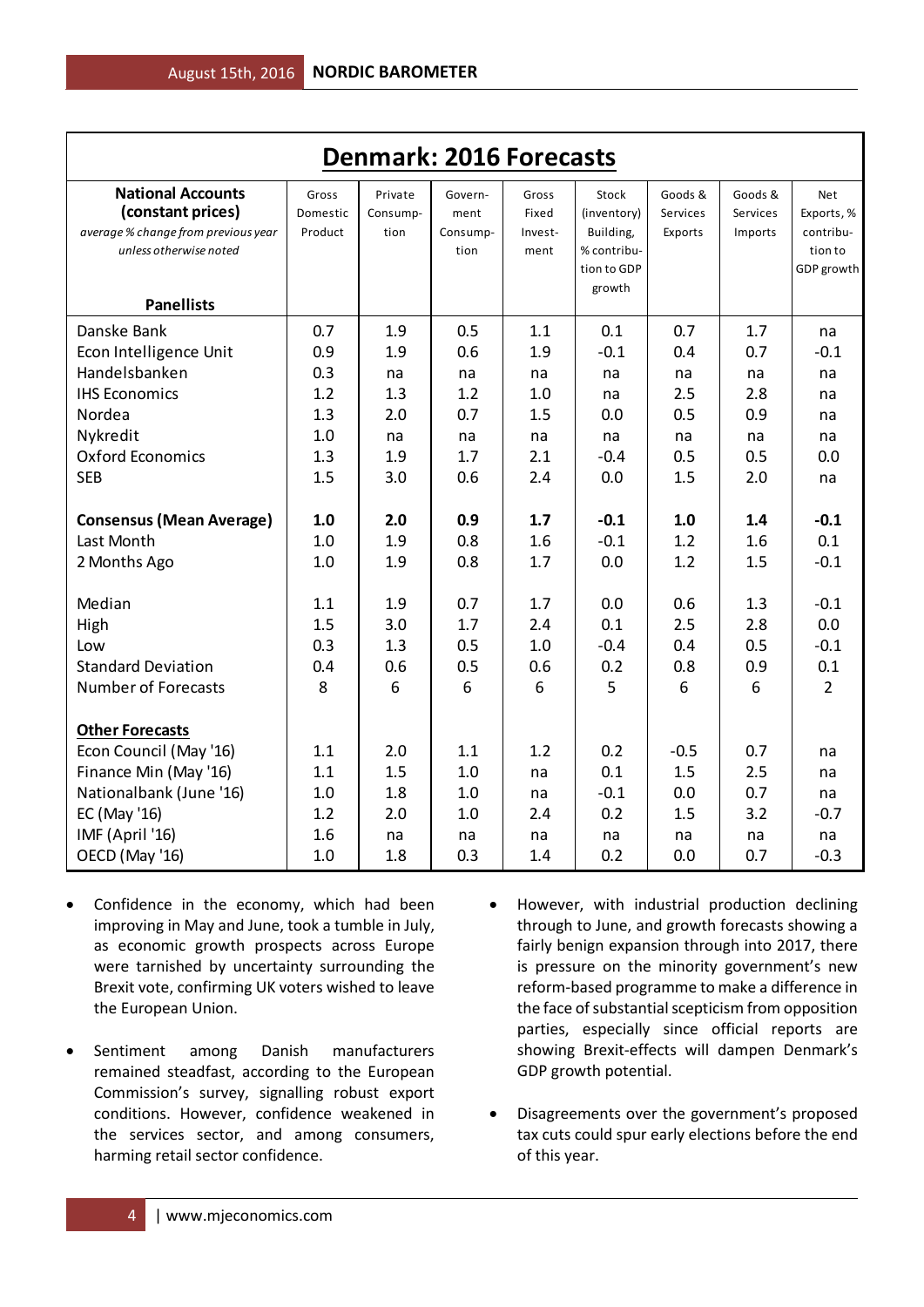| <b>Denmark: 2016 Forecasts</b>                                                                                                                            |                                                      |                                                    |                                                    |                                                    |                                                                           |                                                    |                                                    |                                                                             |  |  |
|-----------------------------------------------------------------------------------------------------------------------------------------------------------|------------------------------------------------------|----------------------------------------------------|----------------------------------------------------|----------------------------------------------------|---------------------------------------------------------------------------|----------------------------------------------------|----------------------------------------------------|-----------------------------------------------------------------------------|--|--|
| <b>National Accounts</b><br>(constant prices)<br>average % change from previous year<br>unless otherwise noted<br><b>Panellists</b>                       | Gross<br>Domestic<br>Product                         | Private<br>Consump-<br>tion                        | Govern-<br>ment<br>Consump-<br>tion                | Gross<br>Fixed<br>Invest-<br>ment                  | Stock<br>(inventory)<br>Building,<br>% contribu-<br>tion to GDP<br>growth | Goods &<br>Services<br>Exports                     | Goods &<br>Services<br>Imports                     | <b>Net</b><br>Exports, %<br>contribu-<br>tion to<br>GDP growth              |  |  |
| Danske Bank<br>Econ Intelligence Unit<br>Handelsbanken<br><b>IHS Economics</b><br>Nordea<br>Nykredit<br><b>Oxford Economics</b><br><b>SEB</b>             | 0.7<br>0.9<br>0.3<br>1.2<br>1.3<br>1.0<br>1.3<br>1.5 | 1.9<br>1.9<br>na<br>1.3<br>2.0<br>na<br>1.9<br>3.0 | 0.5<br>0.6<br>na<br>1.2<br>0.7<br>na<br>1.7<br>0.6 | 1.1<br>1.9<br>na<br>1.0<br>1.5<br>na<br>2.1<br>2.4 | 0.1<br>$-0.1$<br>na<br>na<br>0.0<br>na<br>$-0.4$<br>0.0                   | 0.7<br>0.4<br>na<br>2.5<br>0.5<br>na<br>0.5<br>1.5 | 1.7<br>0.7<br>na<br>2.8<br>0.9<br>na<br>0.5<br>2.0 | na<br>$-0.1$<br>na<br>na<br>na<br>na<br>0.0<br>na                           |  |  |
| <b>Consensus (Mean Average)</b><br>Last Month<br>2 Months Ago<br>Median<br>High<br>Low<br><b>Standard Deviation</b><br><b>Number of Forecasts</b>         | 1.0<br>1.0<br>1.0<br>1.1<br>1.5<br>0.3<br>0.4<br>8   | 2.0<br>1.9<br>1.9<br>1.9<br>3.0<br>1.3<br>0.6<br>6 | 0.9<br>0.8<br>0.8<br>0.7<br>1.7<br>0.5<br>0.5<br>6 | 1.7<br>1.6<br>1.7<br>1.7<br>2.4<br>1.0<br>0.6<br>6 | $-0.1$<br>$-0.1$<br>0.0<br>0.0<br>0.1<br>$-0.4$<br>0.2<br>5               | 1.0<br>1.2<br>1.2<br>0.6<br>2.5<br>0.4<br>0.8<br>6 | 1.4<br>1.6<br>1.5<br>1.3<br>2.8<br>0.5<br>0.9<br>6 | $-0.1$<br>0.1<br>$-0.1$<br>$-0.1$<br>0.0<br>$-0.1$<br>0.1<br>$\overline{2}$ |  |  |
| <b>Other Forecasts</b><br>Econ Council (May '16)<br>Finance Min (May '16)<br>Nationalbank (June '16)<br>EC (May '16)<br>IMF (April '16)<br>OECD (May '16) | 1.1<br>1.1<br>1.0<br>1.2<br>1.6<br>1.0               | 2.0<br>1.5<br>1.8<br>2.0<br>na<br>1.8              | 1.1<br>1.0<br>1.0<br>1.0<br>na<br>0.3              | 1.2<br>na<br>na<br>2.4<br>na<br>1.4                | 0.2<br>0.1<br>$-0.1$<br>0.2<br>na<br>0.2                                  | $-0.5$<br>1.5<br>0.0<br>1.5<br>na<br>0.0           | 0.7<br>2.5<br>0.7<br>3.2<br>na<br>0.7              | na<br>na<br>na<br>$-0.7$<br>na<br>$-0.3$                                    |  |  |

- Confidence in the economy, which had been improving in May and June, took a tumble in July, as economic growth prospects across Europe were tarnished by uncertainty surrounding the Brexit vote, confirming UK voters wished to leave the European Union.
- Sentiment among Danish manufacturers remained steadfast, according to the European Commission's survey, signalling robust export conditions. However, confidence weakened in the services sector, and among consumers, harming retail sector confidence.
- However, with industrial production declining through to June, and growth forecasts showing a fairly benign expansion through into 2017, there is pressure on the minority government's new reform-based programme to make a difference in the face of substantial scepticism from opposition parties, especially since official reports are showing Brexit-effects will dampen Denmark's GDP growth potential.
- Disagreements over the government's proposed tax cuts could spur early elections before the end of this year.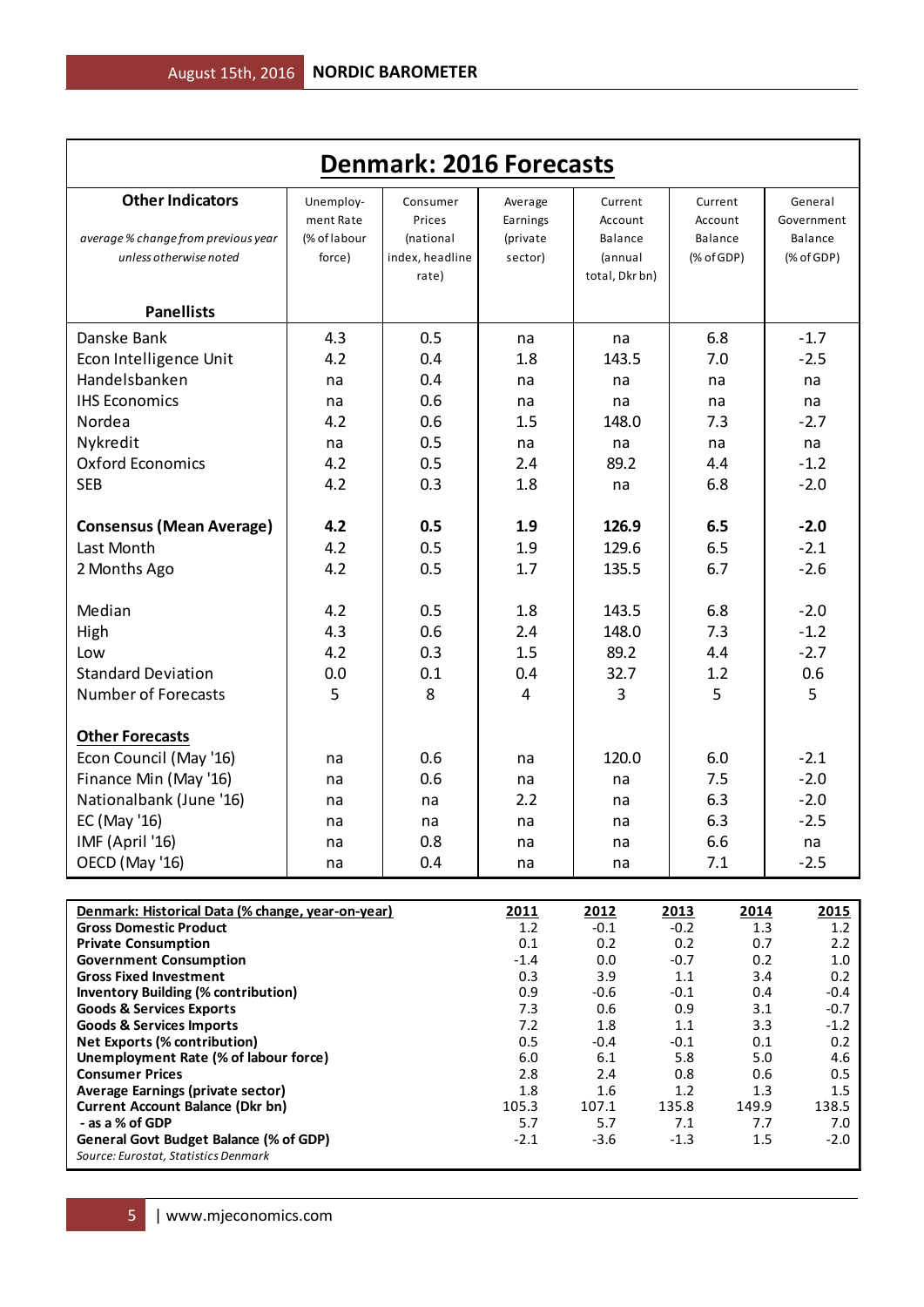| <b>Denmark: 2016 Forecasts</b>                                                                                                                            |                                                   |                                                             |                                                  |                                                                   |                                                    |                                                                  |  |  |  |  |  |
|-----------------------------------------------------------------------------------------------------------------------------------------------------------|---------------------------------------------------|-------------------------------------------------------------|--------------------------------------------------|-------------------------------------------------------------------|----------------------------------------------------|------------------------------------------------------------------|--|--|--|--|--|
| <b>Other Indicators</b><br>average % change from previous year<br>unless otherwise noted                                                                  | Unemploy-<br>ment Rate<br>(% of labour<br>force)  | Consumer<br>Prices<br>(national<br>index, headline<br>rate) | Average<br>Earnings<br>(private<br>sector)       | Current<br>Account<br><b>Balance</b><br>(annual<br>total, Dkr bn) | Current<br>Account<br><b>Balance</b><br>(% of GDP) | General<br>Government<br>Balance<br>(% of GDP)                   |  |  |  |  |  |
| <b>Panellists</b>                                                                                                                                         |                                                   |                                                             |                                                  |                                                                   |                                                    |                                                                  |  |  |  |  |  |
| Danske Bank<br>Econ Intelligence Unit<br>Handelsbanken<br><b>IHS Economics</b><br>Nordea<br>Nykredit<br><b>Oxford Economics</b><br><b>SEB</b>             | 4.3<br>4.2<br>na<br>na<br>4.2<br>na<br>4.2<br>4.2 | 0.5<br>0.4<br>0.4<br>0.6<br>0.6<br>0.5<br>0.5<br>0.3        | na<br>1.8<br>na<br>na<br>1.5<br>na<br>2.4<br>1.8 | na<br>143.5<br>na<br>na<br>148.0<br>na<br>89.2<br>na              | 6.8<br>7.0<br>na<br>na<br>7.3<br>na<br>4.4<br>6.8  | $-1.7$<br>$-2.5$<br>na<br>na<br>$-2.7$<br>na<br>$-1.2$<br>$-2.0$ |  |  |  |  |  |
| <b>Consensus (Mean Average)</b><br>Last Month<br>2 Months Ago                                                                                             | 4.2<br>4.2<br>4.2                                 | 0.5<br>0.5<br>0.5                                           | 1.9<br>1.9<br>1.7                                | 126.9<br>129.6<br>135.5                                           | 6.5<br>6.5<br>6.7                                  | $-2.0$<br>$-2.1$<br>$-2.6$                                       |  |  |  |  |  |
| Median<br>High<br>Low<br><b>Standard Deviation</b><br><b>Number of Forecasts</b>                                                                          | 4.2<br>4.3<br>4.2<br>0.0<br>5                     | 0.5<br>0.6<br>0.3<br>0.1<br>8                               | 1.8<br>2.4<br>1.5<br>0.4<br>4                    | 143.5<br>148.0<br>89.2<br>32.7<br>3                               | 6.8<br>7.3<br>4.4<br>1.2<br>5                      | $-2.0$<br>$-1.2$<br>$-2.7$<br>0.6<br>5                           |  |  |  |  |  |
| <b>Other Forecasts</b><br>Econ Council (May '16)<br>Finance Min (May '16)<br>Nationalbank (June '16)<br>EC (May '16)<br>IMF (April '16)<br>OECD (May '16) | na<br>na<br>na<br>na<br>na<br>na                  | 0.6<br>0.6<br>na<br>na<br>0.8<br>0.4                        | na<br>na<br>2.2<br>na<br>na<br>na                | 120.0<br>na<br>na<br>na<br>na<br>na                               | 6.0<br>7.5<br>6.3<br>6.3<br>6.6<br>7.1             | $-2.1$<br>$-2.0$<br>$-2.0$<br>$-2.5$<br>na<br>$-2.5$             |  |  |  |  |  |

| Denmark: Historical Data (% change, year-on-year) | 2011   | 2012   | 2013   | 2014  | 2015   |
|---------------------------------------------------|--------|--------|--------|-------|--------|
| <b>Gross Domestic Product</b>                     | 1.2    | $-0.1$ | $-0.2$ | 1.3   | 1.2    |
| <b>Private Consumption</b>                        | 0.1    | 0.2    | 0.2    | 0.7   | 2.2    |
| <b>Government Consumption</b>                     | $-1.4$ | 0.0    | $-0.7$ | 0.2   | 1.0    |
| <b>Gross Fixed Investment</b>                     | 0.3    | 3.9    | 1.1    | 3.4   | 0.2    |
| <b>Inventory Building (% contribution)</b>        | 0.9    | $-0.6$ | $-0.1$ | 0.4   | $-0.4$ |
| <b>Goods &amp; Services Exports</b>               | 7.3    | 0.6    | 0.9    | 3.1   | $-0.7$ |
| <b>Goods &amp; Services Imports</b>               | 7.2    | 1.8    | 1.1    | 3.3   | $-1.2$ |
| <b>Net Exports (% contribution)</b>               | 0.5    | $-0.4$ | $-0.1$ | 0.1   | 0.2    |
| Unemployment Rate (% of labour force)             | 6.0    | 6.1    | 5.8    | 5.0   | 4.6    |
| <b>Consumer Prices</b>                            | 2.8    | 2.4    | 0.8    | 0.6   | 0.5    |
| Average Earnings (private sector)                 | 1.8    | 1.6    | 1.2    | 1.3   | 1.5    |
| <b>Current Account Balance (Dkr bn)</b>           | 105.3  | 107.1  | 135.8  | 149.9 | 138.5  |
| - as a % of GDP                                   | 5.7    | 5.7    | 7.1    | 7.7   | 7.0    |
| General Govt Budget Balance (% of GDP)            | $-2.1$ | $-3.6$ | $-1.3$ | 1.5   | $-2.0$ |
| Source: Eurostat, Statistics Denmark              |        |        |        |       |        |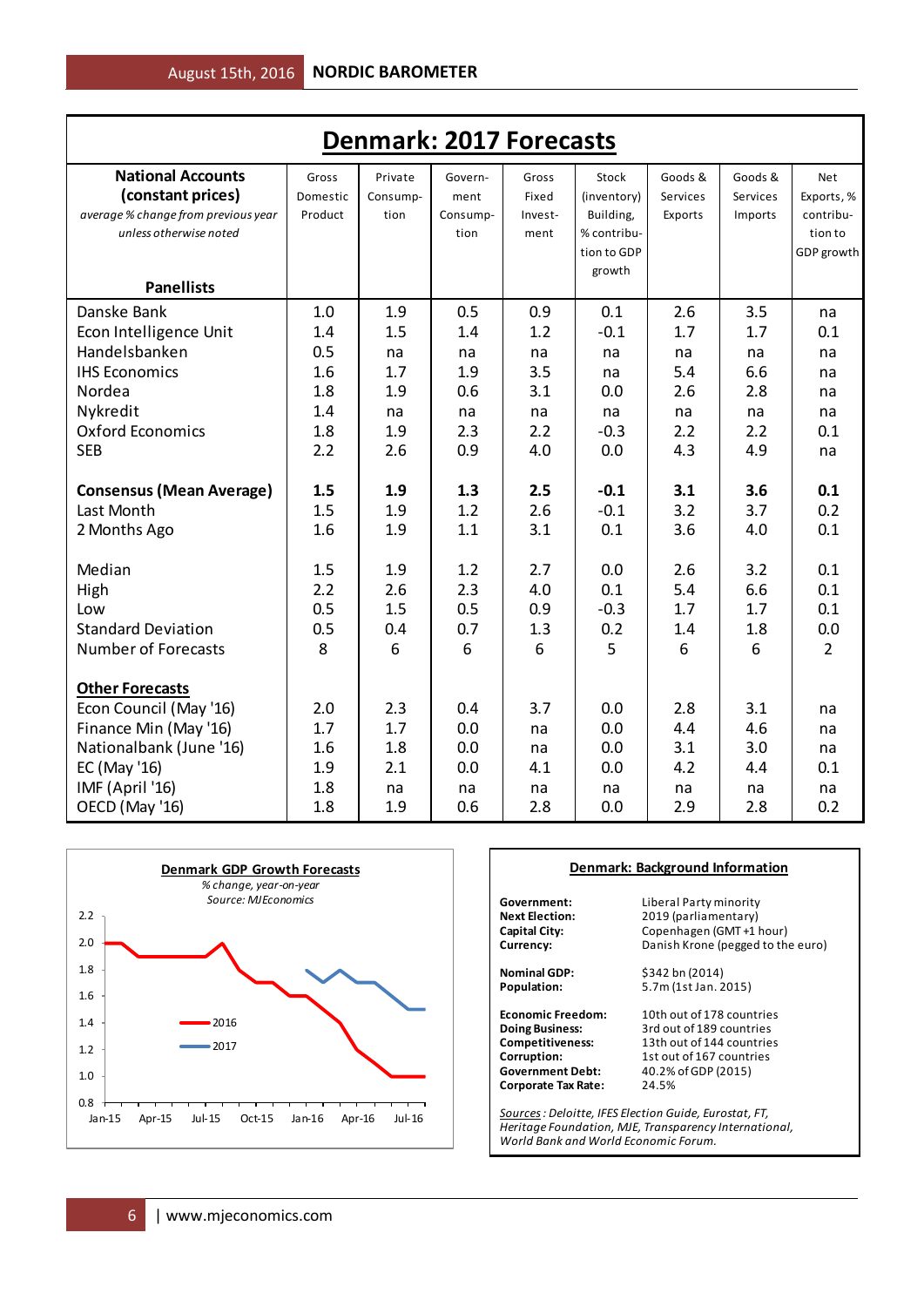| <b>Denmark: 2017 Forecasts</b>      |          |          |          |         |             |          |          |                |  |  |
|-------------------------------------|----------|----------|----------|---------|-------------|----------|----------|----------------|--|--|
| <b>National Accounts</b>            | Gross    | Private  | Govern-  | Gross   | Stock       | Goods &  | Goods &  | Net            |  |  |
| (constant prices)                   | Domestic | Consump- | ment     | Fixed   | (inventory) | Services | Services | Exports, %     |  |  |
| average % change from previous year | Product  | tion     | Consump- | Invest- | Building,   | Exports  | Imports  | contribu-      |  |  |
| unless otherwise noted              |          |          | tion     | ment    | % contribu- |          |          | tion to        |  |  |
|                                     |          |          |          |         | tion to GDP |          |          | GDP growth     |  |  |
| <b>Panellists</b>                   |          |          |          |         | growth      |          |          |                |  |  |
|                                     |          |          |          |         |             |          |          |                |  |  |
| Danske Bank                         | 1.0      | 1.9      | 0.5      | 0.9     | 0.1         | 2.6      | 3.5      | na             |  |  |
| Econ Intelligence Unit              | 1.4      | 1.5      | 1.4      | 1.2     | $-0.1$      | 1.7      | 1.7      | 0.1            |  |  |
| Handelsbanken                       | 0.5      | na       | na       | na      | na          | na       | na       | na             |  |  |
| <b>IHS Economics</b>                | 1.6      | 1.7      | 1.9      | 3.5     | na          | 5.4      | 6.6      | na             |  |  |
| Nordea                              | 1.8      | 1.9      | 0.6      | 3.1     | 0.0         | 2.6      | 2.8      | na             |  |  |
| Nykredit                            | 1.4      | na       | na       | na      | na          | na       | na       | na             |  |  |
| <b>Oxford Economics</b>             | 1.8      | 1.9      | 2.3      | 2.2     | $-0.3$      | 2.2      | 2.2      | 0.1            |  |  |
| <b>SEB</b>                          | 2.2      | 2.6      | 0.9      | 4.0     | 0.0         | 4.3      | 4.9      | na             |  |  |
| <b>Consensus (Mean Average)</b>     | 1.5      | 1.9      | 1.3      | 2.5     | $-0.1$      | 3.1      | 3.6      | 0.1            |  |  |
| Last Month                          | 1.5      | 1.9      | 1.2      | 2.6     | $-0.1$      | 3.2      | 3.7      | 0.2            |  |  |
| 2 Months Ago                        | 1.6      | 1.9      | 1.1      | 3.1     | 0.1         | 3.6      | 4.0      | 0.1            |  |  |
| Median                              | 1.5      | 1.9      | 1.2      | 2.7     | 0.0         | 2.6      | 3.2      | 0.1            |  |  |
| High                                | 2.2      | 2.6      | 2.3      | 4.0     | 0.1         | 5.4      | 6.6      | 0.1            |  |  |
| Low                                 | 0.5      | 1.5      | 0.5      | 0.9     | $-0.3$      | 1.7      | 1.7      | 0.1            |  |  |
| <b>Standard Deviation</b>           | 0.5      | 0.4      | 0.7      | 1.3     | 0.2         | 1.4      | 1.8      | 0.0            |  |  |
| <b>Number of Forecasts</b>          | 8        | 6        | 6        | 6       | 5           | 6        | 6        | $\overline{2}$ |  |  |
|                                     |          |          |          |         |             |          |          |                |  |  |
| <b>Other Forecasts</b>              |          |          |          |         |             |          |          |                |  |  |
| Econ Council (May '16)              | 2.0      | 2.3      | 0.4      | 3.7     | 0.0         | 2.8      | 3.1      | na             |  |  |
| Finance Min (May '16)               | 1.7      | 1.7      | 0.0      | na      | 0.0         | 4.4      | 4.6      | na             |  |  |
| Nationalbank (June '16)             | 1.6      | 1.8      | 0.0      | na      | 0.0         | 3.1      | 3.0      | na             |  |  |
| EC (May '16)                        | 1.9      | 2.1      | 0.0      | 4.1     | 0.0         | 4.2      | 4.4      | 0.1            |  |  |
| IMF (April '16)                     | 1.8      | na       | na       | na      | na          | na       | na       | na             |  |  |
| OECD (May '16)                      | 1.8      | 1.9      | 0.6      | 2.8     | 0.0         | 2.9      | 2.8      | 0.2            |  |  |



#### **Denmark: Background Information**

**Government:** Liberal Party minority<br>**Next Election:** 2019 (parliamentary) **Next Election:** 2019 (parliamentary)<br> **Capital City:** Copenhagen (GMT+1)

**Corporate Tax Rate:** 

**Capital City:** Copenhagen (GMT +1 hour)<br>**Currency:** Danish Krone (pegged to the Danish Krone (pegged to the euro)

**Nominal GDP:** \$342 bn (2014)<br>**Population:** 5.7m (1st Jan. 2 **Population:** 5.7m (1st Jan. 2015)

**Economic Freedom:** 10th out of 178 countries<br> **Doing Business:** 3rd out of 189 countries **Doing Business:** 3rd out of 189 countries<br>**Competitiveness:** 13th out of 144 countries 13th out of 144 countries **Corruption:** 1st out of 167 countries<br> **Government Debt:** 40.2% of GDP (2015) **Government Debt:** 40.2% of GDP (2015)

*Sources: Deloitte, IFES Election Guide, Eurostat, FT, Heritage Foundation, MJE, Transparency International, World Bank and World Economic Forum.*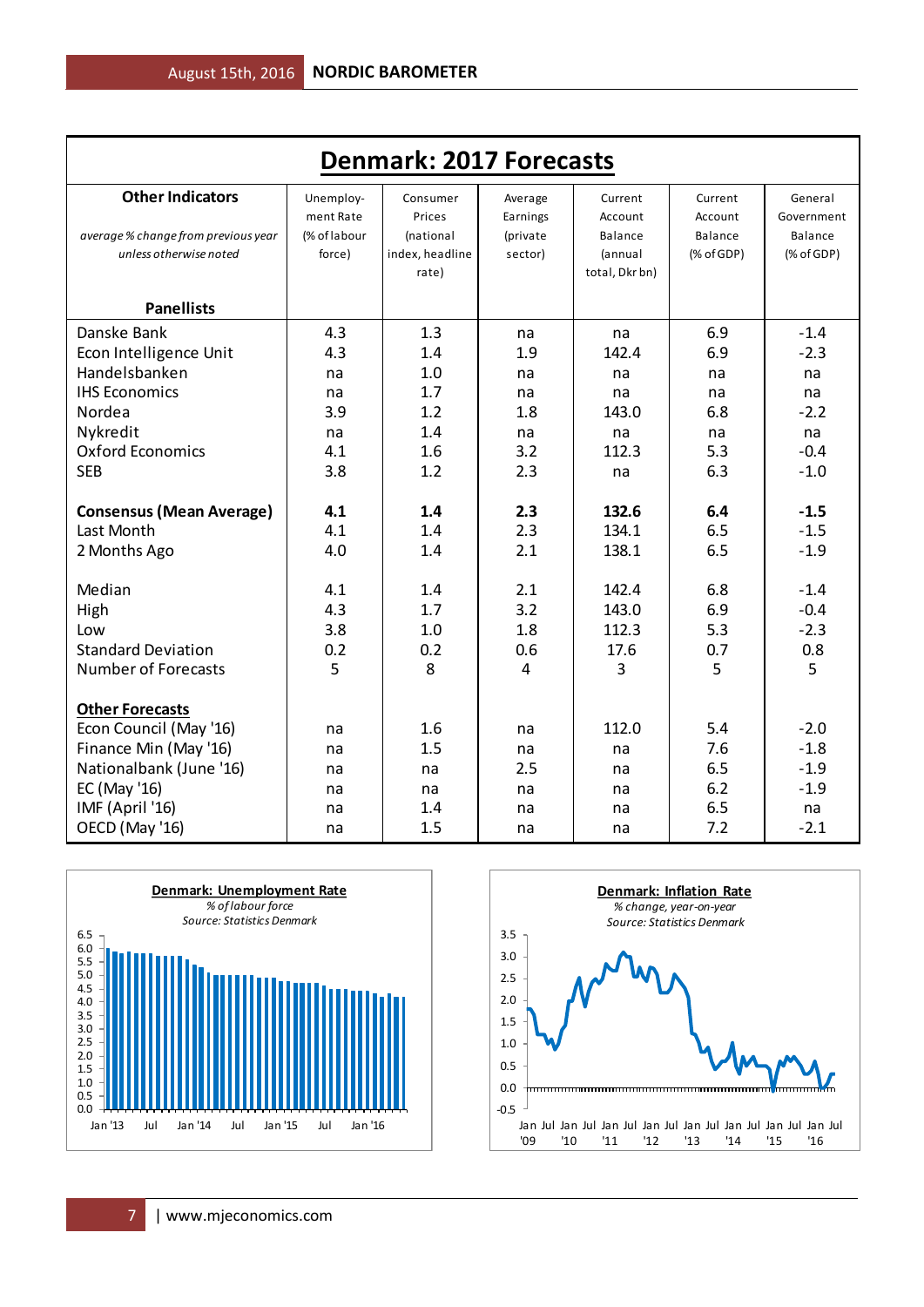| <b>Denmark: 2017 Forecasts</b>      |              |                 |          |                |              |              |  |  |  |  |  |
|-------------------------------------|--------------|-----------------|----------|----------------|--------------|--------------|--|--|--|--|--|
| <b>Other Indicators</b>             | Unemploy-    | Consumer        | Average  | Current        | Current      | General      |  |  |  |  |  |
|                                     | ment Rate    | Prices          | Earnings | Account        | Account      | Government   |  |  |  |  |  |
| average % change from previous year | (% of labour | (national       | (private | Balance        | Balance      | Balance      |  |  |  |  |  |
| unless otherwise noted              | force)       | index, headline | sector)  | (annual        | $(%$ of GDP) | $(%$ of GDP) |  |  |  |  |  |
|                                     |              | rate)           |          | total, Dkr bn) |              |              |  |  |  |  |  |
| <b>Panellists</b>                   |              |                 |          |                |              |              |  |  |  |  |  |
| Danske Bank                         | 4.3          | 1.3             | na       | na             | 6.9          | $-1.4$       |  |  |  |  |  |
| Econ Intelligence Unit              | 4.3          | 1.4             | 1.9      | 142.4          | 6.9          | $-2.3$       |  |  |  |  |  |
| Handelsbanken                       | na           | 1.0             | na       | na             | na           | na           |  |  |  |  |  |
| <b>IHS Economics</b>                | na           | 1.7             | na       | na             | na           | na           |  |  |  |  |  |
| Nordea                              | 3.9          | 1.2             | 1.8      | 143.0          | 6.8          | $-2.2$       |  |  |  |  |  |
| Nykredit                            | na           | 1.4             | na       | na             | na           | na           |  |  |  |  |  |
| <b>Oxford Economics</b>             | 4.1          | 1.6             | 3.2      | 112.3          | 5.3          | $-0.4$       |  |  |  |  |  |
| <b>SEB</b>                          | 3.8          | 1.2             | 2.3      | na             | 6.3          | $-1.0$       |  |  |  |  |  |
|                                     |              |                 |          |                |              |              |  |  |  |  |  |
| <b>Consensus (Mean Average)</b>     | 4.1          | 1.4             | 2.3      | 132.6          | 6.4          | $-1.5$       |  |  |  |  |  |
| Last Month                          | 4.1          | 1.4             | 2.3      | 134.1          | 6.5          | $-1.5$       |  |  |  |  |  |
| 2 Months Ago                        | 4.0          | 1.4             | 2.1      | 138.1          | 6.5          | $-1.9$       |  |  |  |  |  |
|                                     |              |                 |          |                |              |              |  |  |  |  |  |
| Median                              | 4.1          | 1.4             | 2.1      | 142.4          | 6.8          | $-1.4$       |  |  |  |  |  |
| High                                | 4.3          | 1.7             | 3.2      | 143.0          | 6.9          | $-0.4$       |  |  |  |  |  |
| Low                                 | 3.8          | 1.0             | 1.8      | 112.3          | 5.3          | $-2.3$       |  |  |  |  |  |
| <b>Standard Deviation</b>           | 0.2          | 0.2             | 0.6      | 17.6           | 0.7          | 0.8          |  |  |  |  |  |
| <b>Number of Forecasts</b>          | 5            | 8               | 4        | 3              | 5            | 5            |  |  |  |  |  |
| <b>Other Forecasts</b>              |              |                 |          |                |              |              |  |  |  |  |  |
| Econ Council (May '16)              | na           | 1.6             | na       | 112.0          | 5.4          | $-2.0$       |  |  |  |  |  |
| Finance Min (May '16)               | na           | 1.5             | na       | na             | 7.6          | $-1.8$       |  |  |  |  |  |
| Nationalbank (June '16)             | na           | na              | 2.5      | na             | 6.5          | $-1.9$       |  |  |  |  |  |
| EC (May '16)                        | na           | na              | na       | na             | 6.2          | $-1.9$       |  |  |  |  |  |
| IMF (April '16)                     | na           | 1.4             | na       | na             | 6.5          | na           |  |  |  |  |  |
| OECD (May '16)                      | na           | 1.5             | na       | na             | 7.2          | $-2.1$       |  |  |  |  |  |



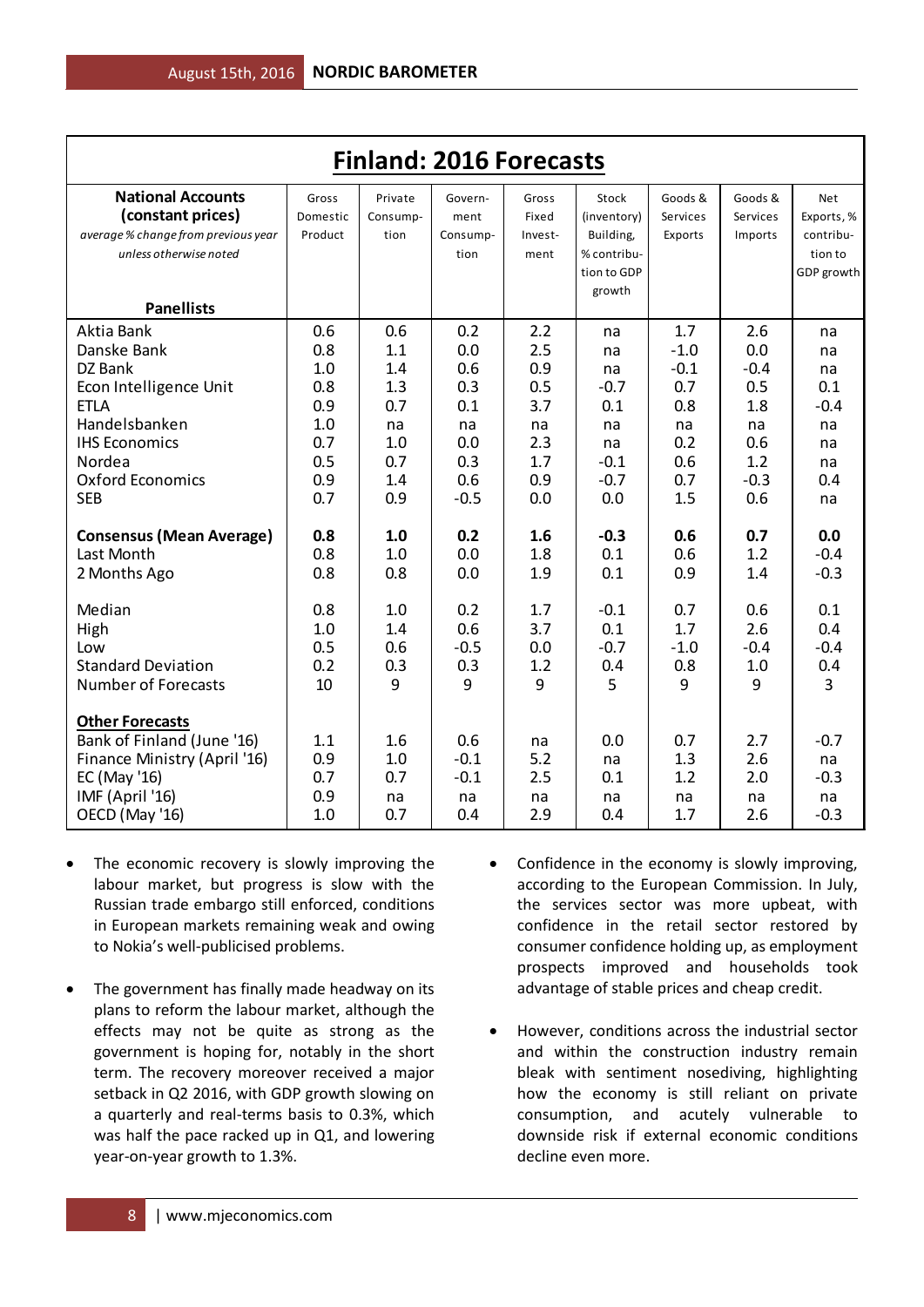| <b>Finland: 2016 Forecasts</b>      |          |              |          |         |             |              |          |                |  |  |
|-------------------------------------|----------|--------------|----------|---------|-------------|--------------|----------|----------------|--|--|
| <b>National Accounts</b>            | Gross    | Private      | Govern-  | Gross   | Stock       | Goods &      | Goods &  | Net            |  |  |
| (constant prices)                   | Domestic | Consump-     | ment     | Fixed   | (inventory) | Services     | Services | Exports, %     |  |  |
| average % change from previous year | Product  | tion         | Consump- | Invest- | Building,   | Exports      | Imports  | contribu-      |  |  |
| unless otherwise noted              |          |              | tion     | ment    | % contribu- |              |          | tion to        |  |  |
|                                     |          |              |          |         | tion to GDP |              |          | GDP growth     |  |  |
|                                     |          |              |          |         | growth      |              |          |                |  |  |
| <b>Panellists</b>                   |          |              |          |         |             |              |          |                |  |  |
| Aktia Bank                          | 0.6      | 0.6          | 0.2      | 2.2     | na          | 1.7          | 2.6      | na             |  |  |
| Danske Bank                         | 0.8      | 1.1          | 0.0      | 2.5     | na          | $-1.0$       | 0.0      | na             |  |  |
| DZ Bank                             | 1.0      | 1.4          | 0.6      | 0.9     | na          | $-0.1$       | $-0.4$   | na             |  |  |
| Econ Intelligence Unit              | 0.8      | 1.3          | 0.3      | 0.5     | $-0.7$      | 0.7          | 0.5      | 0.1            |  |  |
| <b>ETLA</b>                         | 0.9      | 0.7          | 0.1      | 3.7     | 0.1         | 0.8          | 1.8      | $-0.4$         |  |  |
| Handelsbanken                       | 1.0      | na           | na       | na      | na          | na           | na       | na             |  |  |
| <b>IHS Economics</b>                | 0.7      | 1.0          | 0.0      | 2.3     | na          | 0.2          | 0.6      | na             |  |  |
| Nordea                              | 0.5      | 0.7          | 0.3      | 1.7     | $-0.1$      | 0.6          | 1.2      | na             |  |  |
| <b>Oxford Economics</b>             | 0.9      | 1.4          | 0.6      | 0.9     | $-0.7$      | 0.7          | $-0.3$   | 0.4            |  |  |
| <b>SEB</b>                          | 0.7      | 0.9          | $-0.5$   | 0.0     | 0.0         | 1.5          | 0.6      | na             |  |  |
| <b>Consensus (Mean Average)</b>     | 0.8      | 1.0          | 0.2      | 1.6     | $-0.3$      | 0.6          | 0.7      | 0.0            |  |  |
| Last Month                          | 0.8      | 1.0          | 0.0      | 1.8     | 0.1         | 0.6          | 1.2      | $-0.4$         |  |  |
| 2 Months Ago                        | 0.8      | 0.8          | 0.0      | 1.9     | 0.1         | 0.9          | 1.4      | $-0.3$         |  |  |
| Median                              | 0.8      | 1.0          | 0.2      | 1.7     | $-0.1$      | 0.7          | 0.6      | 0.1            |  |  |
| High                                | 1.0      | 1.4          | 0.6      | 3.7     | 0.1         | 1.7          | 2.6      | 0.4            |  |  |
| Low                                 | 0.5      | 0.6          | $-0.5$   | 0.0     | $-0.7$      | $-1.0$       | $-0.4$   | $-0.4$         |  |  |
| <b>Standard Deviation</b>           | 0.2      | 0.3          | 0.3      | 1.2     | 0.4         | 0.8          | 1.0      | 0.4            |  |  |
| <b>Number of Forecasts</b>          | 10       | $\mathbf{q}$ | 9        | 9       | 5           | $\mathbf{q}$ | 9        | $\overline{3}$ |  |  |
| <b>Other Forecasts</b>              |          |              |          |         |             |              |          |                |  |  |
| Bank of Finland (June '16)          | 1.1      | 1.6          | 0.6      | na      | 0.0         | 0.7          | 2.7      | $-0.7$         |  |  |
| Finance Ministry (April '16)        | 0.9      | 1.0          | $-0.1$   | 5.2     | na          | 1.3          | 2.6      | na             |  |  |
| EC (May '16)                        | 0.7      | 0.7          | $-0.1$   | 2.5     | 0.1         | 1.2          | 2.0      | $-0.3$         |  |  |
| IMF (April '16)                     | 0.9      | na           | na       | na      | na          | na           | na       | na             |  |  |
| OECD (May '16)                      | 1.0      | 0.7          | 0.4      | 2.9     | 0.4         | 1.7          | 2.6      | $-0.3$         |  |  |

- The economic recovery is slowly improving the labour market, but progress is slow with the Russian trade embargo still enforced, conditions in European markets remaining weak and owing to Nokia's well-publicised problems.
- The government has finally made headway on its plans to reform the labour market, although the effects may not be quite as strong as the government is hoping for, notably in the short term. The recovery moreover received a major setback in Q2 2016, with GDP growth slowing on a quarterly and real-terms basis to 0.3%, which was half the pace racked up in Q1, and lowering year-on-year growth to 1.3%.
- Confidence in the economy is slowly improving, according to the European Commission. In July, the services sector was more upbeat, with confidence in the retail sector restored by consumer confidence holding up, as employment prospects improved and households took advantage of stable prices and cheap credit.
- However, conditions across the industrial sector and within the construction industry remain bleak with sentiment nosediving, highlighting how the economy is still reliant on private consumption, and acutely vulnerable to downside risk if external economic conditions decline even more.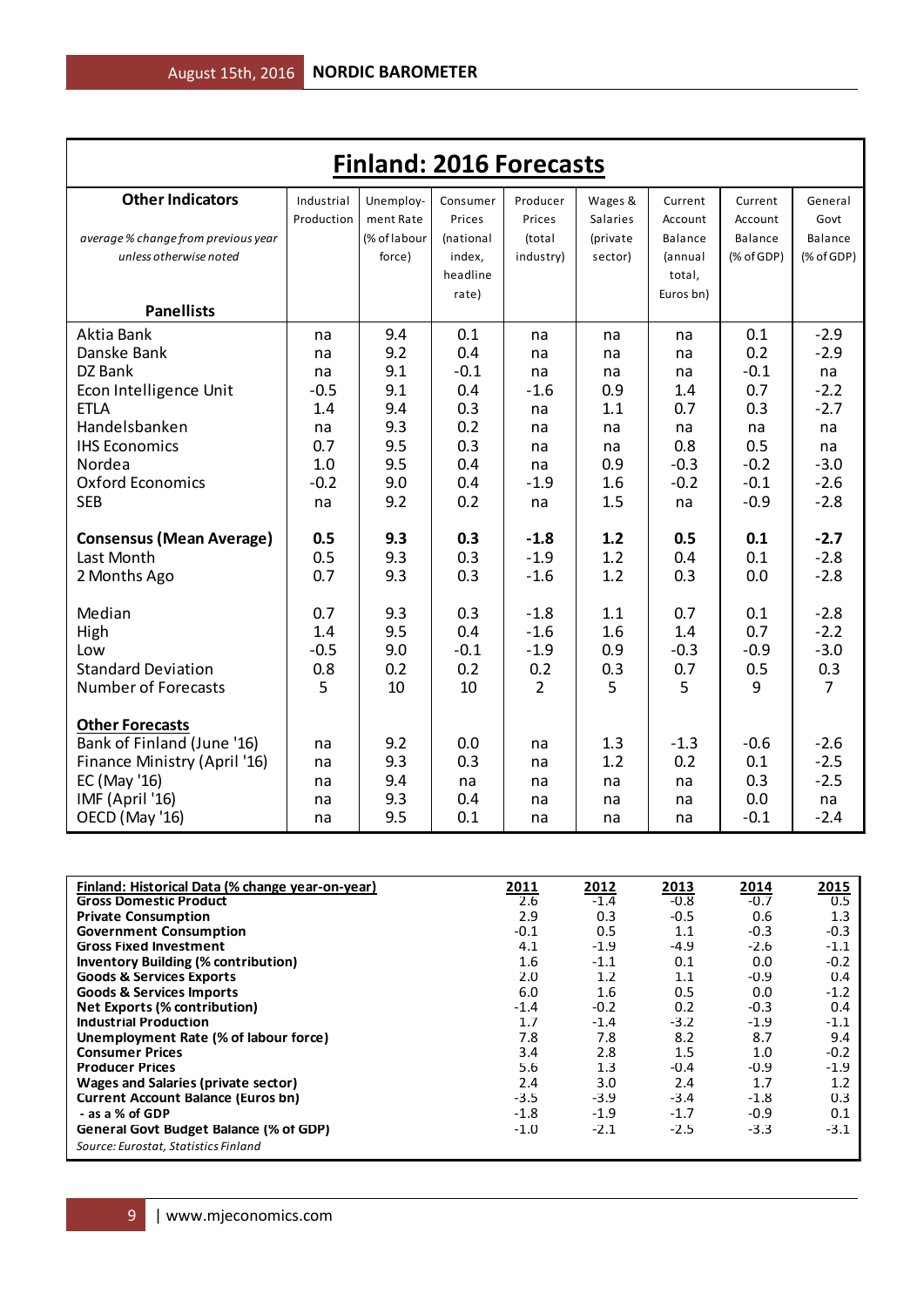| <b>Finland: 2016 Forecasts</b>      |            |              |           |                |          |           |            |                |  |
|-------------------------------------|------------|--------------|-----------|----------------|----------|-----------|------------|----------------|--|
| <b>Other Indicators</b>             | Industrial | Unemploy-    | Consumer  | Producer       | Wages &  | Current   | Current    | General        |  |
|                                     | Production | ment Rate    | Prices    | Prices         | Salaries | Account   | Account    | Govt           |  |
| average % change from previous year |            | (% of labour | (national | (total         | (private | Balance   | Balance    | Balance        |  |
| unless otherwise noted              |            | force)       | index,    | industry)      | sector)  | (annual   | (% of GDP) | % of GDP       |  |
|                                     |            |              | headline  |                |          | total,    |            |                |  |
|                                     |            |              | rate)     |                |          | Euros bn) |            |                |  |
| <b>Panellists</b>                   |            |              |           |                |          |           |            |                |  |
| Aktia Bank                          | na         | 9.4          | 0.1       | na             | na       | na        | 0.1        | $-2.9$         |  |
| Danske Bank                         | na         | 9.2          | 0.4       | na             | na       | na        | 0.2        | $-2.9$         |  |
| DZ Bank                             | na         | 9.1          | $-0.1$    | na             | na       | na        | $-0.1$     | na             |  |
| Econ Intelligence Unit              | $-0.5$     | 9.1          | 0.4       | $-1.6$         | 0.9      | 1.4       | 0.7        | $-2.2$         |  |
| <b>ETLA</b>                         | 1.4        | 9.4          | 0.3       | na             | 1.1      | 0.7       | 0.3        | $-2.7$         |  |
| Handelsbanken                       | na         | 9.3          | 0.2       | na             | na       | na        | na         | na             |  |
| <b>IHS Economics</b>                | 0.7        | 9.5          | 0.3       | na             | na       | 0.8       | 0.5        | na             |  |
| Nordea                              | 1.0        | 9.5          | 0.4       | na             | 0.9      | $-0.3$    | $-0.2$     | $-3.0$         |  |
| <b>Oxford Economics</b>             | $-0.2$     | 9.0          | 0.4       | $-1.9$         | 1.6      | $-0.2$    | $-0.1$     | $-2.6$         |  |
| <b>SEB</b>                          | na         | 9.2          | 0.2       | na             | 1.5      | na        | $-0.9$     | $-2.8$         |  |
| <b>Consensus (Mean Average)</b>     | 0.5        | 9.3          | 0.3       | $-1.8$         | 1.2      | 0.5       | 0.1        | $-2.7$         |  |
| Last Month                          | 0.5        | 9.3          | 0.3       | $-1.9$         | 1.2      | 0.4       | 0.1        | $-2.8$         |  |
| 2 Months Ago                        | 0.7        | 9.3          | 0.3       | $-1.6$         | 1.2      | 0.3       | 0.0        | $-2.8$         |  |
|                                     |            |              |           |                |          |           |            |                |  |
| Median                              | 0.7        | 9.3          | 0.3       | $-1.8$         | 1.1      | 0.7       | 0.1        | $-2.8$         |  |
| High                                | 1.4        | 9.5          | 0.4       | $-1.6$         | 1.6      | 1.4       | 0.7        | $-2.2$         |  |
| Low                                 | $-0.5$     | 9.0          | $-0.1$    | $-1.9$         | 0.9      | $-0.3$    | $-0.9$     | $-3.0$         |  |
| <b>Standard Deviation</b>           | 0.8        | 0.2          | 0.2       | 0.2            | 0.3      | 0.7       | 0.5        | 0.3            |  |
| <b>Number of Forecasts</b>          | 5          | 10           | 10        | $\overline{2}$ | 5        | 5         | 9          | $\overline{7}$ |  |
| <b>Other Forecasts</b>              |            |              |           |                |          |           |            |                |  |
| Bank of Finland (June '16)          | na         | 9.2          | 0.0       | na             | 1.3      | $-1.3$    | $-0.6$     | $-2.6$         |  |
| Finance Ministry (April '16)        | na         | 9.3          | 0.3       | na             | 1.2      | 0.2       | 0.1        | $-2.5$         |  |
| EC (May '16)                        | na         | 9.4          | na        | na             | na       | na        | 0.3        | $-2.5$         |  |
| IMF (April '16)                     | na         | 9.3          | 0.4       | na             | na       | na        | 0.0        | na             |  |
| OECD (May '16)                      | na         | 9.5          | 0.1       | na             | na       | na        | $-0.1$     | $-2.4$         |  |

| Finland: Historical Data (% change year-on-year) | 2011   | 2012   | 2013   | 2014   | 2015   |
|--------------------------------------------------|--------|--------|--------|--------|--------|
| <b>Gross Domestic Product</b>                    | 2.6    | $-1.4$ | $-0.8$ | $-0.7$ | 0.5    |
| <b>Private Consumption</b>                       | 2.9    | 0.3    | $-0.5$ | 0.6    | 1.3    |
| <b>Government Consumption</b>                    | $-0.1$ | 0.5    | 1.1    | $-0.3$ | $-0.3$ |
| <b>Gross Fixed Investment</b>                    | 4.1    | $-1.9$ | $-4.9$ | $-2.6$ | $-1.1$ |
| <b>Inventory Building (% contribution)</b>       | 1.6    | $-1.1$ | 0.1    | 0.0    | $-0.2$ |
| <b>Goods &amp; Services Exports</b>              | 2.0    | 1.2    | 1.1    | $-0.9$ | 0.4    |
| <b>Goods &amp; Services Imports</b>              | 6.0    | 1.6    | 0.5    | 0.0    | $-1.2$ |
| Net Exports (% contribution)                     | $-1.4$ | $-0.2$ | 0.2    | $-0.3$ | 0.4    |
| <b>Industrial Production</b>                     | 1.7    | $-1.4$ | $-3.2$ | $-1.9$ | $-1.1$ |
| Unemployment Rate (% of labour force)            | 7.8    | 7.8    | 8.2    | 8.7    | 9.4    |
| <b>Consumer Prices</b>                           | 3.4    | 2.8    | 1.5    | 1.0    | $-0.2$ |
| <b>Producer Prices</b>                           | 5.6    | 1.3    | $-0.4$ | $-0.9$ | $-1.9$ |
| <b>Wages and Salaries (private sector)</b>       | 2.4    | 3.0    | 2.4    | 1.7    | 1.2    |
| <b>Current Account Balance (Euros bn)</b>        | $-3.5$ | $-3.9$ | $-3.4$ | $-1.8$ | 0.3    |
| - as a % of GDP                                  | -1.8   | $-1.9$ | $-1.7$ | $-0.9$ | 0.1    |
| General Govt Budget Balance (% of GDP)           | $-1.0$ | $-2.1$ | $-2.5$ | $-3.3$ | $-3.1$ |
| Source: Eurostat, Statistics Finland             |        |        |        |        |        |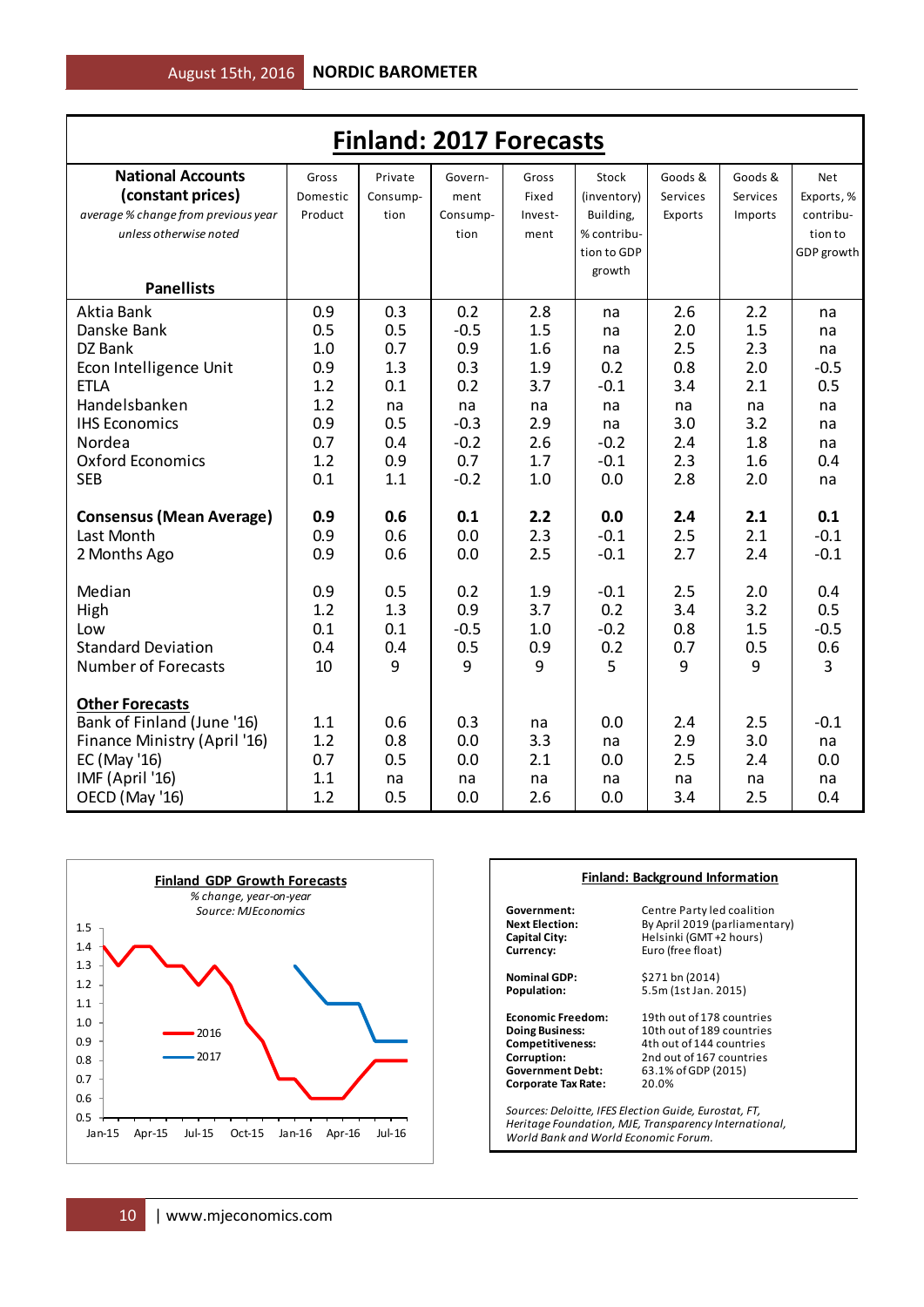| <b>Finland: 2017 Forecasts</b>      |          |          |          |         |             |          |          |            |  |  |
|-------------------------------------|----------|----------|----------|---------|-------------|----------|----------|------------|--|--|
| <b>National Accounts</b>            | Gross    | Private  | Govern-  | Gross   | Stock       | Goods &  | Goods &  | Net        |  |  |
| (constant prices)                   | Domestic | Consump- | ment     | Fixed   | (inventory) | Services | Services | Exports, % |  |  |
| average % change from previous year | Product  | tion     | Consump- | Invest- | Building,   | Exports  | Imports  | contribu-  |  |  |
| unless otherwise noted              |          |          | tion     | ment    | % contribu- |          |          | tion to    |  |  |
|                                     |          |          |          |         | tion to GDP |          |          | GDP growth |  |  |
|                                     |          |          |          |         | growth      |          |          |            |  |  |
| <b>Panellists</b>                   |          |          |          |         |             |          |          |            |  |  |
| Aktia Bank                          | 0.9      | 0.3      | 0.2      | 2.8     | na          | 2.6      | 2.2      | na         |  |  |
| Danske Bank                         | 0.5      | 0.5      | $-0.5$   | 1.5     | na          | 2.0      | 1.5      | na         |  |  |
| DZ Bank                             | 1.0      | 0.7      | 0.9      | 1.6     | na          | 2.5      | 2.3      | na         |  |  |
| Econ Intelligence Unit              | 0.9      | 1.3      | 0.3      | 1.9     | 0.2         | 0.8      | 2.0      | $-0.5$     |  |  |
| <b>ETLA</b>                         | 1.2      | 0.1      | 0.2      | 3.7     | $-0.1$      | 3.4      | 2.1      | 0.5        |  |  |
| Handelsbanken                       | 1.2      | na       | na       | na      | na          | na       | na       | na         |  |  |
| <b>IHS Economics</b>                | 0.9      | 0.5      | $-0.3$   | 2.9     | na          | 3.0      | 3.2      | na         |  |  |
| Nordea                              | 0.7      | 0.4      | $-0.2$   | 2.6     | $-0.2$      | 2.4      | 1.8      | na         |  |  |
| Oxford Economics                    | 1.2      | 0.9      | 0.7      | 1.7     | $-0.1$      | 2.3      | 1.6      | 0.4        |  |  |
| <b>SEB</b>                          | 0.1      | 1.1      | $-0.2$   | 1.0     | 0.0         | 2.8      | 2.0      | na         |  |  |
| <b>Consensus (Mean Average)</b>     | 0.9      | 0.6      | 0.1      | 2.2     | 0.0         | 2.4      | 2.1      | 0.1        |  |  |
| Last Month                          | 0.9      | 0.6      | 0.0      | 2.3     | $-0.1$      | 2.5      | 2.1      | $-0.1$     |  |  |
| 2 Months Ago                        | 0.9      | 0.6      | 0.0      | 2.5     | $-0.1$      | 2.7      | 2.4      | $-0.1$     |  |  |
| Median                              | 0.9      | 0.5      | 0.2      | 1.9     | $-0.1$      | 2.5      | 2.0      | 0.4        |  |  |
| High                                | 1.2      | 1.3      | 0.9      | 3.7     | 0.2         | 3.4      | 3.2      | 0.5        |  |  |
| Low                                 | 0.1      | 0.1      | $-0.5$   | 1.0     | $-0.2$      | 0.8      | 1.5      | $-0.5$     |  |  |
| <b>Standard Deviation</b>           | 0.4      | 0.4      | 0.5      | 0.9     | 0.2         | 0.7      | 0.5      | 0.6        |  |  |
| <b>Number of Forecasts</b>          | 10       | 9        | 9        | 9       | 5           | 9        | 9        | 3          |  |  |
| <b>Other Forecasts</b>              |          |          |          |         |             |          |          |            |  |  |
| Bank of Finland (June '16)          | 1.1      | 0.6      | 0.3      | na      | 0.0         | 2.4      | 2.5      | $-0.1$     |  |  |
| Finance Ministry (April '16)        | 1.2      | 0.8      | 0.0      | 3.3     | na          | 2.9      | 3.0      | na         |  |  |
| EC (May '16)                        | 0.7      | 0.5      | 0.0      | 2.1     | 0.0         | 2.5      | 2.4      | 0.0        |  |  |
| IMF (April '16)                     | 1.1      | na       | na       | na      | na          | na       | na       | na         |  |  |
| OECD (May '16)                      | 1.2      | 0.5      | 0.0      | 2.6     | 0.0         | 3.4      | 2.5      | 0.4        |  |  |



|                          | <b>Finland: Background Information</b>                                                                         |  |  |  |  |  |  |  |
|--------------------------|----------------------------------------------------------------------------------------------------------------|--|--|--|--|--|--|--|
| Government:              | Centre Party led coalition                                                                                     |  |  |  |  |  |  |  |
| <b>Next Election:</b>    | By April 2019 (parliamentary)                                                                                  |  |  |  |  |  |  |  |
| Capital City:            | Helsinki (GMT +2 hours)                                                                                        |  |  |  |  |  |  |  |
| Currency:                | Euro (free float)                                                                                              |  |  |  |  |  |  |  |
| <b>Nominal GDP:</b>      | \$271 bn (2014)                                                                                                |  |  |  |  |  |  |  |
| Population:              | 5.5m (1st Jan. 2015)                                                                                           |  |  |  |  |  |  |  |
| <b>Economic Freedom:</b> | 19th out of 178 countries                                                                                      |  |  |  |  |  |  |  |
| <b>Doing Business:</b>   | 10th out of 189 countries                                                                                      |  |  |  |  |  |  |  |
| Competitiveness:         | 4th out of 144 countries                                                                                       |  |  |  |  |  |  |  |
| Corruption:              | 2nd out of 167 countries                                                                                       |  |  |  |  |  |  |  |
| <b>Government Debt:</b>  | 63.1% of GDP (2015)                                                                                            |  |  |  |  |  |  |  |
| Corporate Tax Rate:      | 20.0%                                                                                                          |  |  |  |  |  |  |  |
|                          | Sources: Deloitte, IFES Election Guide, Eurostat, FT,<br>Heritage Foundation, MJE, Transparency International, |  |  |  |  |  |  |  |

*World Bank and World Economic Forum.*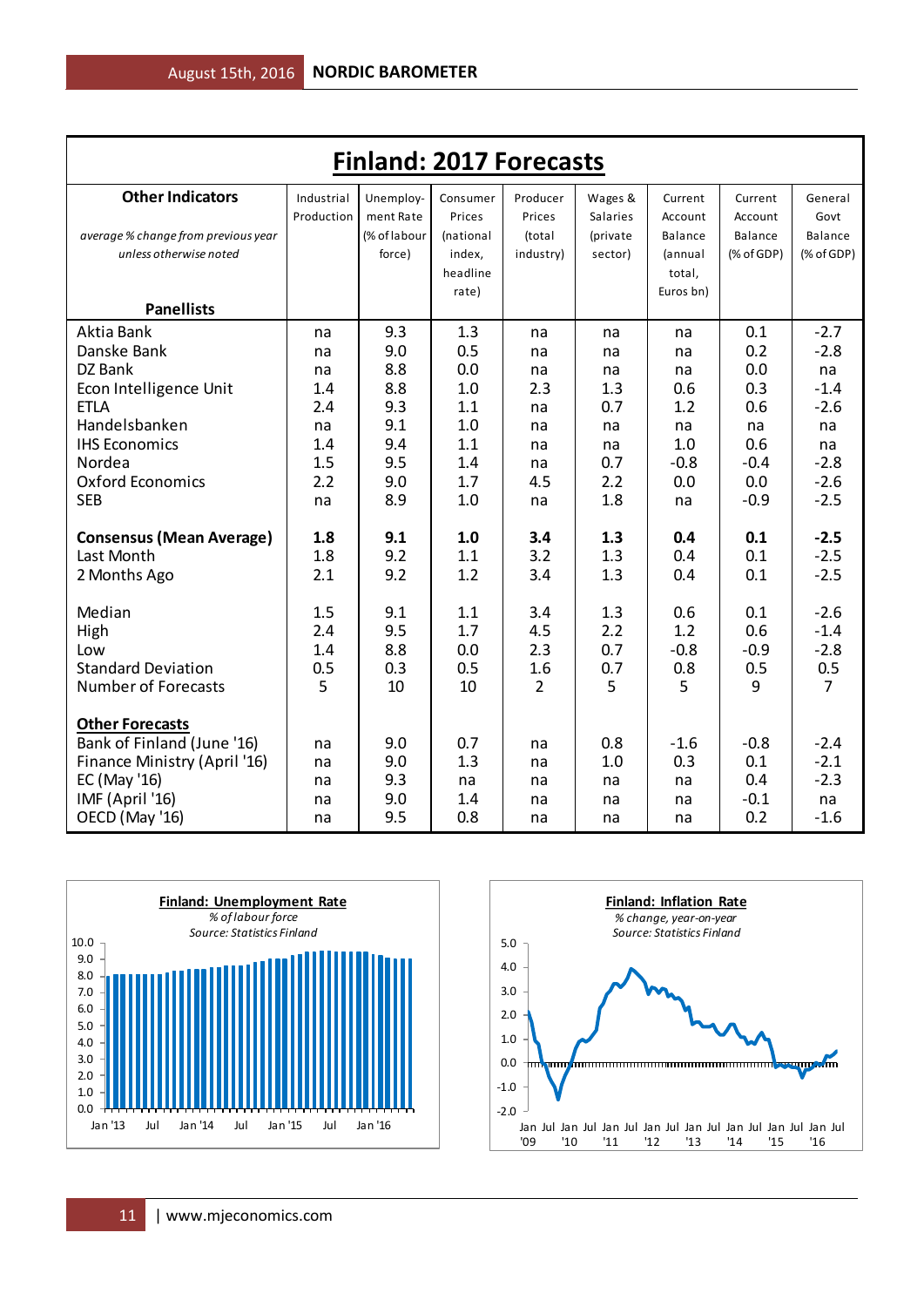|                                     | <b>Finland: 2017 Forecasts</b> |                        |                    |                    |                     |                    |                    |                 |  |  |  |  |
|-------------------------------------|--------------------------------|------------------------|--------------------|--------------------|---------------------|--------------------|--------------------|-----------------|--|--|--|--|
| <b>Other Indicators</b>             | Industrial<br>Production       | Unemploy-<br>ment Rate | Consumer<br>Prices | Producer<br>Prices | Wages &<br>Salaries | Current<br>Account | Current<br>Account | General<br>Govt |  |  |  |  |
| average % change from previous year |                                | (% of labour           | (national          | (total             | (private            | Balance            | Balance            | Balance         |  |  |  |  |
| unless otherwise noted              |                                | force)                 | index,             | industry)          | sector)             | (annual            | (% of GDP)         | $(%$ (% of GDP) |  |  |  |  |
|                                     |                                |                        | headline           |                    |                     | total.             |                    |                 |  |  |  |  |
|                                     |                                |                        | rate)              |                    |                     | Euros bn)          |                    |                 |  |  |  |  |
| <b>Panellists</b>                   |                                |                        |                    |                    |                     |                    |                    |                 |  |  |  |  |
| Aktia Bank                          | na                             | 9.3                    | 1.3                | na                 | na                  | na                 | 0.1                | $-2.7$          |  |  |  |  |
| Danske Bank                         | na                             | 9.0                    | 0.5                | na                 | na                  | na                 | 0.2                | $-2.8$          |  |  |  |  |
| DZ Bank                             | na                             | 8.8                    | 0.0                | na                 | na                  | na                 | 0.0                | na              |  |  |  |  |
| Econ Intelligence Unit              | 1.4                            | 8.8                    | 1.0                | 2.3                | 1.3                 | 0.6                | 0.3                | $-1.4$          |  |  |  |  |
| <b>ETLA</b>                         | 2.4                            | 9.3                    | 1.1                | na                 | 0.7                 | 1.2                | 0.6                | $-2.6$          |  |  |  |  |
| Handelsbanken                       | na                             | 9.1                    | 1.0                | na                 | na                  | na                 | na                 | na              |  |  |  |  |
| <b>IHS Economics</b>                | 1.4                            | 9.4                    | 1.1                | na                 | na                  | 1.0                | 0.6                | na              |  |  |  |  |
| Nordea                              | 1.5                            | 9.5                    | 1.4                | na                 | 0.7                 | $-0.8$             | $-0.4$             | $-2.8$          |  |  |  |  |
| <b>Oxford Economics</b>             | 2.2                            | 9.0                    | 1.7                | 4.5                | 2.2                 | 0.0                | 0.0                | $-2.6$          |  |  |  |  |
| <b>SEB</b>                          | na                             | 8.9                    | 1.0                | na                 | 1.8                 | na                 | $-0.9$             | $-2.5$          |  |  |  |  |
| <b>Consensus (Mean Average)</b>     | 1.8                            | 9.1                    | 1.0                | 3.4                | 1.3                 | 0.4                | 0.1                | $-2.5$          |  |  |  |  |
| Last Month                          | 1.8                            | 9.2                    | 1.1                | 3.2                | 1.3                 | 0.4                | 0.1                | $-2.5$          |  |  |  |  |
| 2 Months Ago                        | 2.1                            | 9.2                    | 1.2                | 3.4                | 1.3                 | 0.4                | 0.1                | $-2.5$          |  |  |  |  |
| Median                              | 1.5                            | 9.1                    | 1.1                | 3.4                | 1.3                 | 0.6                | 0.1                | $-2.6$          |  |  |  |  |
| High                                | 2.4                            | 9.5                    | 1.7                | 4.5                | 2.2                 | 1.2                | 0.6                | $-1.4$          |  |  |  |  |
| Low                                 | 1.4                            | 8.8                    | 0.0                | 2.3                | 0.7                 | $-0.8$             | $-0.9$             | $-2.8$          |  |  |  |  |
| <b>Standard Deviation</b>           | 0.5                            | 0.3                    | 0.5                | 1.6                | 0.7                 | 0.8                | 0.5                | 0.5             |  |  |  |  |
| <b>Number of Forecasts</b>          | 5                              | 10                     | 10                 | $\overline{2}$     | 5                   | 5                  | 9                  | $\overline{7}$  |  |  |  |  |
|                                     |                                |                        |                    |                    |                     |                    |                    |                 |  |  |  |  |
| <b>Other Forecasts</b>              |                                |                        |                    |                    |                     |                    |                    |                 |  |  |  |  |
| Bank of Finland (June '16)          | na                             | 9.0                    | 0.7                | na                 | 0.8                 | $-1.6$             | $-0.8$             | $-2.4$          |  |  |  |  |
| Finance Ministry (April '16)        | na                             | 9.0                    | 1.3                | na                 | 1.0                 | 0.3                | 0.1                | $-2.1$          |  |  |  |  |
| EC (May '16)                        | na                             | 9.3                    | na                 | na                 | na                  | na                 | 0.4                | $-2.3$          |  |  |  |  |
| IMF (April '16)                     | na                             | 9.0                    | 1.4                | na                 | na                  | na                 | $-0.1$             | na              |  |  |  |  |
| OECD (May '16)                      | na                             | 9.5                    | 0.8                | na                 | na                  | na                 | 0.2                | $-1.6$          |  |  |  |  |



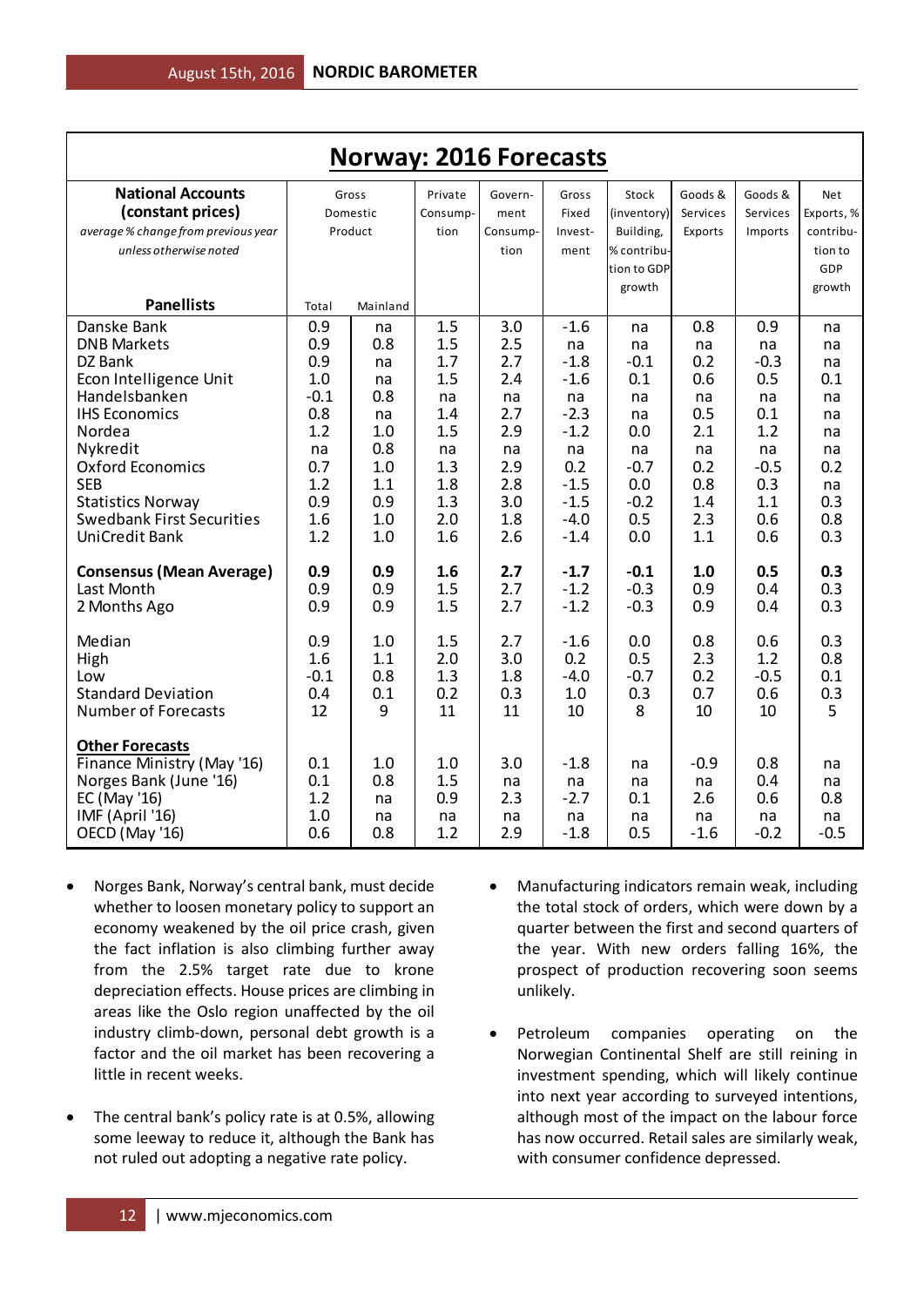| <b>Norway: 2016 Forecasts</b>                        |            |            |            |            |                  |             |            |            |            |  |
|------------------------------------------------------|------------|------------|------------|------------|------------------|-------------|------------|------------|------------|--|
| <b>National Accounts</b>                             |            | Gross      | Private    | Govern-    | Gross            | Stock       | Goods &    | Goods &    | <b>Net</b> |  |
| (constant prices)                                    |            | Domestic   | Consump-   | ment       | Fixed            | (inventory) | Services   | Services   | Exports, % |  |
| average % change from previous year                  |            | Product    | tion       | Consump-   | Invest-          | Building,   | Exports    | Imports    | contribu-  |  |
| unless otherwise noted                               |            |            |            | tion       | ment             | % contribu- |            |            | tion to    |  |
|                                                      |            |            |            |            |                  | tion to GDP |            |            | GDP        |  |
|                                                      |            |            |            |            |                  | growth      |            |            | growth     |  |
| <b>Panellists</b>                                    | Total      | Mainland   |            |            |                  |             |            |            |            |  |
| Danske Bank                                          | 0.9        | na         | 1.5        | 3.0        | $-1.6$           | na          | 0.8        | 0.9        | na         |  |
| <b>DNB Markets</b>                                   | 0.9        | 0.8        | 1.5        | 2.5        | na               | na          | na         | na         | na         |  |
| DZ Bank                                              | 0.9        | na         | 1.7        | 2.7        | $-1.8$           | $-0.1$      | 0.2        | $-0.3$     | na         |  |
| Econ Intelligence Unit                               | 1.0        | na         | 1.5        | 2.4        | $-1.6$           | 0.1         | 0.6        | 0.5        | 0.1        |  |
| Handelsbanken                                        | $-0.1$     | 0.8        | na         | na         | na               | na          | na         | na         | na         |  |
| <b>IHS Economics</b>                                 | 0.8        | na         | 1.4        | 2.7        | $-2.3$           | na          | 0.5        | 0.1        | na         |  |
| Nordea                                               | 1.2        | 1.0        | 1.5        | 2.9        | $-1.2$           | 0.0         | 2.1        | 1.2        | na         |  |
| Nykredit                                             | na         | 0.8        | na         | na         | na               | na          | na         | na         | na         |  |
| Oxford Economics                                     | 0.7        | 1.0        | 1.3        | 2.9        | 0.2              | $-0.7$      | 0.2        | $-0.5$     | 0.2        |  |
| <b>SEB</b>                                           | 1.2        | 1.1        | 1.8        | 2.8        | $-1.5$           | 0.0         | 0.8        | 0.3        | na         |  |
| <b>Statistics Norway</b>                             | 0.9        | 0.9        | 1.3        | 3.0        | $-1.5$           | $-0.2$      | 1.4        | 1.1        | 0.3<br>0.8 |  |
| <b>Swedbank First Securities</b><br>UniCredit Bank   | 1.6<br>1.2 | 1.0<br>1.0 | 2.0<br>1.6 | 1.8<br>2.6 | $-4.0$<br>$-1.4$ | 0.5<br>0.0  | 2.3<br>1.1 | 0.6<br>0.6 | 0.3        |  |
|                                                      |            |            |            |            |                  |             |            |            |            |  |
| <b>Consensus (Mean Average)</b>                      | 0.9        | 0.9        | 1.6        | 2.7        | $-1.7$           | $-0.1$      | 1.0        | 0.5        | 0.3        |  |
| Last Month                                           | 0.9        | 0.9        | 1.5        | 2.7        | $-1.2$           | $-0.3$      | 0.9        | 0.4        | 0.3        |  |
| 2 Months Ago                                         | 0.9        | 0.9        | 1.5        | 2.7        | $-1.2$           | $-0.3$      | 0.9        | 0.4        | 0.3        |  |
|                                                      |            |            |            |            |                  |             |            |            |            |  |
| Median                                               | 0.9        | 1.0        | 1.5        | 2.7        | $-1.6$           | 0.0         | 0.8        | 0.6        | 0.3        |  |
| High                                                 | 1.6        | 1.1        | 2.0        | 3.0        | 0.2              | 0.5         | 2.3        | 1.2        | 0.8        |  |
| Low                                                  | $-0.1$     | 0.8        | 1.3        | 1.8        | $-4.0$           | $-0.7$      | 0.2        | $-0.5$     | 0.1        |  |
| <b>Standard Deviation</b>                            | 0.4        | 0.1        | 0.2        | 0.3        | 1.0              | 0.3         | 0.7        | 0.6        | 0.3        |  |
| Number of Forecasts                                  | 12         | 9          | 11         | 11         | 10               | 8           | 10         | 10         | 5          |  |
|                                                      |            |            |            |            |                  |             |            |            |            |  |
| <b>Other Forecasts</b><br>Finance Ministry (May '16) | 0.1        | 1.0        | 1.0        | 3.0        | $-1.8$           | na          | $-0.9$     | 0.8        | na         |  |
| Norges Bank (June '16)                               | 0.1        | 0.8        | 1.5        |            |                  |             |            | 0.4        | na         |  |
| EC (May '16)                                         | 1.2        | na         | 0.9        | na<br>2.3  | na<br>$-2.7$     | na<br>0.1   | na<br>2.6  | 0.6        | 0.8        |  |
| IMF (April '16)                                      | 1.0        | na         | na         | na         | na               | na          | na         | na         | na         |  |
| OECD (May '16)                                       | 0.6        | 0.8        | 1.2        | 2.9        | $-1.8$           | 0.5         | $-1.6$     | $-0.2$     | $-0.5$     |  |
|                                                      |            |            |            |            |                  |             |            |            |            |  |

- Norges Bank, Norway's central bank, must decide whether to loosen monetary policy to support an economy weakened by the oil price crash, given the fact inflation is also climbing further away from the 2.5% target rate due to krone depreciation effects. House prices are climbing in areas like the Oslo region unaffected by the oil industry climb-down, personal debt growth is a factor and the oil market has been recovering a little in recent weeks.
- The central bank's policy rate is at 0.5%, allowing some leeway to reduce it, although the Bank has not ruled out adopting a negative rate policy.
- Manufacturing indicators remain weak, including the total stock of orders, which were down by a quarter between the first and second quarters of the year. With new orders falling 16%, the prospect of production recovering soon seems unlikely.
- Petroleum companies operating on the Norwegian Continental Shelf are still reining in investment spending, which will likely continue into next year according to surveyed intentions, although most of the impact on the labour force has now occurred. Retail sales are similarly weak, with consumer confidence depressed.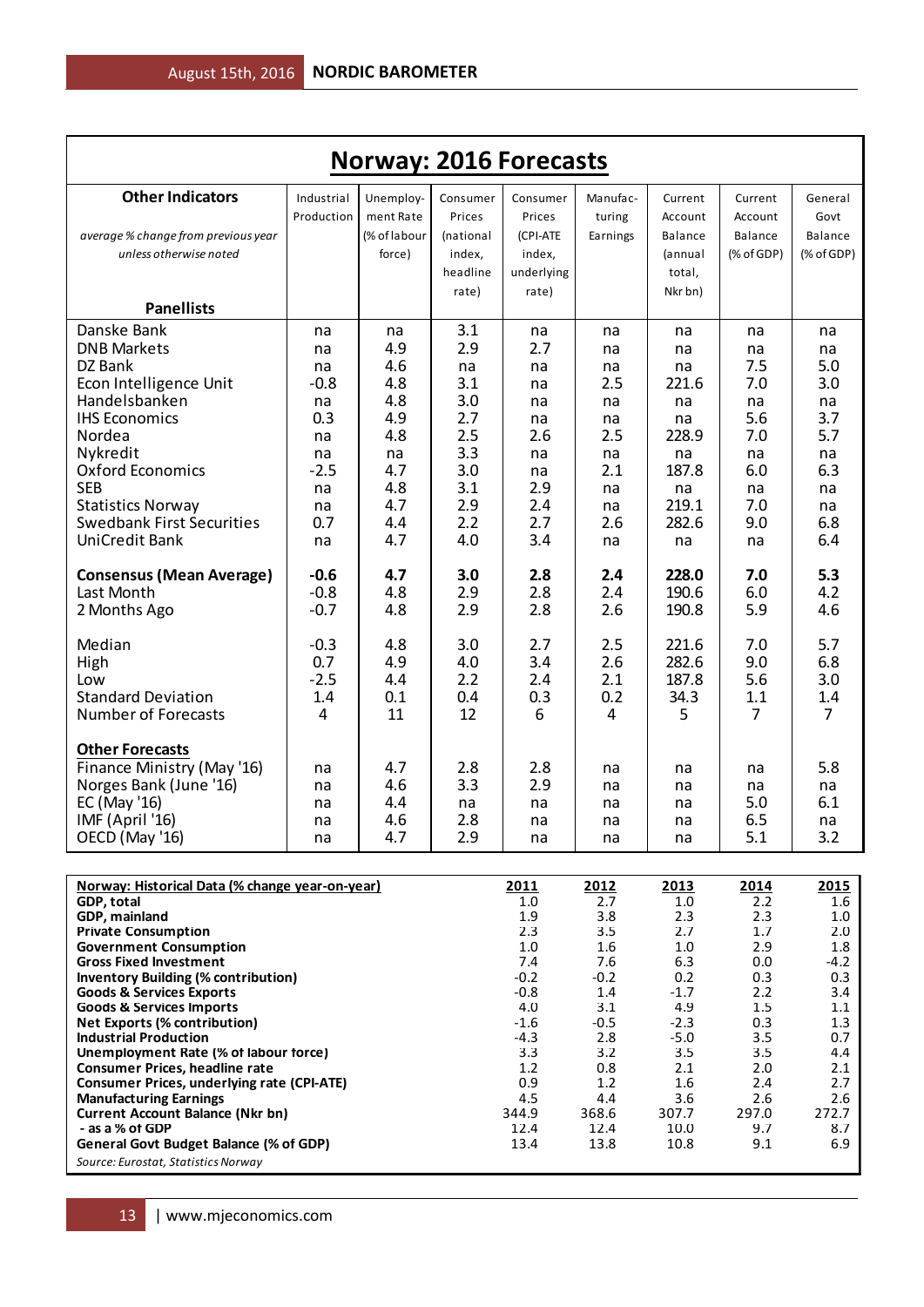| <b>Norway: 2016 Forecasts</b>                                                              |                          |                        |                    |                    |                    |                    |                    |                 |  |  |  |
|--------------------------------------------------------------------------------------------|--------------------------|------------------------|--------------------|--------------------|--------------------|--------------------|--------------------|-----------------|--|--|--|
| <b>Other Indicators</b>                                                                    | Industrial<br>Production | Unemploy-<br>ment Rate | Consumer<br>Prices | Consumer<br>Prices | Manufac-<br>turing | Current<br>Account | Current<br>Account | General<br>Govt |  |  |  |
| average % change from previous year                                                        |                          | (% of labour           | (national          | (CPI-ATE           | Earnings           | <b>Balance</b>     | <b>Balance</b>     | <b>Balance</b>  |  |  |  |
| unless otherwise noted                                                                     |                          | force)                 | index,             | index,             |                    | (annual            | (% of GDP)         | $(%$ (% of GDP) |  |  |  |
|                                                                                            |                          |                        | headline           | underlying         |                    | total,             |                    |                 |  |  |  |
| <b>Panellists</b>                                                                          |                          |                        | rate)              | rate)              |                    | Nkr bn)            |                    |                 |  |  |  |
| Danske Bank                                                                                |                          |                        | 3.1                |                    |                    |                    |                    |                 |  |  |  |
| <b>DNB Markets</b>                                                                         | na<br>na                 | na<br>4.9              | 2.9                | na<br>2.7          | na<br>na           | na<br>na           | na<br>na           | na<br>na        |  |  |  |
| DZ Bank                                                                                    | na                       | 4.6                    | na                 | na                 | na                 | na                 | 7.5                | 5.0             |  |  |  |
| Econ Intelligence Unit                                                                     | $-0.8$                   | 4.8                    | 3.1                | na                 | 2.5                | 221.6              | 7.0                | 3.0             |  |  |  |
| Handelsbanken                                                                              | na                       | 4.8                    | 3.0                | na                 | na                 | na                 | na                 | na              |  |  |  |
| <b>IHS Economics</b>                                                                       | 0.3                      | 4.9                    | 2.7                | na                 | na                 | na                 | 5.6                | 3.7             |  |  |  |
| Nordea                                                                                     | na                       | 4.8                    | 2.5                | 2.6                | 2.5                | 228.9              | 7.0                | 5.7             |  |  |  |
| Nykredit                                                                                   | na                       | na                     | 3.3                | na                 | na                 | na                 | na                 | na              |  |  |  |
| <b>Oxford Economics</b><br><b>SEB</b>                                                      | $-2.5$                   | 4.7<br>4.8             | 3.0<br>3.1         | na<br>2.9          | 2.1                | 187.8              | 6.0                | 6.3             |  |  |  |
| <b>Statistics Norway</b>                                                                   | na<br>na                 | 4.7                    | 2.9                | 2.4                | na<br>na           | na<br>219.1        | na<br>7.0          | na<br>na        |  |  |  |
| <b>Swedbank First Securities</b>                                                           | 0.7                      | 4.4                    | 2.2                | 2.7                | 2.6                | 282.6              | 9.0                | 6.8             |  |  |  |
| UniCredit Bank                                                                             | na                       | 4.7                    | 4.0                | 3.4                | na                 | na                 | na                 | 6.4             |  |  |  |
| <b>Consensus (Mean Average)</b>                                                            | $-0.6$                   | 4.7                    | 3.0                | 2.8                | 2.4                | 228.0              | 7.0                | 5.3             |  |  |  |
| Last Month                                                                                 | $-0.8$                   | 4.8                    | 2.9                | 2.8                | 2.4                | 190.6              | 6.0                | 4.2             |  |  |  |
| 2 Months Ago                                                                               | $-0.7$                   | 4.8                    | 2.9                | 2.8                | 2.6                | 190.8              | 5.9                | 4.6             |  |  |  |
| Median                                                                                     | $-0.3$                   | 4.8                    | 3.0                | 2.7                | 2.5                | 221.6              | 7.0                | 5.7             |  |  |  |
| High<br>Low                                                                                | 0.7<br>$-2.5$            | 4.9<br>4.4             | 4.0<br>2.2         | 3.4<br>2.4         | 2.6<br>2.1         | 282.6<br>187.8     | 9.0<br>5.6         | 6.8<br>3.0      |  |  |  |
| <b>Standard Deviation</b>                                                                  | 1.4                      | 0.1                    | 0.4                | 0.3                | 0.2                | 34.3               | 1.1                | 1.4             |  |  |  |
| <b>Number of Forecasts</b>                                                                 | 4                        | 11                     | 12                 | 6                  | 4                  | 5                  | $\overline{7}$     | $\overline{7}$  |  |  |  |
| <b>Other Forecasts</b>                                                                     |                          |                        |                    |                    |                    |                    |                    |                 |  |  |  |
| Finance Ministry (May '16)                                                                 | na                       | 4.7                    | 2.8                | 2.8                | na                 | na                 | na                 | 5.8             |  |  |  |
| Norges Bank (June '16)<br>EC (May '16)                                                     | na                       | 4.6<br>4.4             | 3.3                | 2.9                | na<br>na           | na                 | na<br>5.0          | na<br>6.1       |  |  |  |
| IMF (April '16)                                                                            | na<br>na                 | 4.6                    | na<br>2.8          | na<br>na           | na                 | na<br>na           | 6.5                | na              |  |  |  |
| OECD (May '16)                                                                             | na                       | 4.7                    | 2.9                | na                 | na                 | na                 | 5.1                | 3.2             |  |  |  |
| Norway: Historical Data (% change year-on-year)                                            |                          |                        |                    | 2011               | 2012               | 2013               | 2014               | 2015            |  |  |  |
| GDP, total                                                                                 |                          |                        |                    | $1.0\,$            | 2.7                | 1.0                | 2.2                | 1.6             |  |  |  |
| GDP, mainland                                                                              |                          |                        |                    | 1.9                | 3.8                | 2.3                | 2.3                | 1.0             |  |  |  |
| <b>Private Consumption</b><br><b>Government Consumption</b>                                |                          |                        |                    | 2.3<br>1.0         | 3.5<br>1.6         | 2.7<br>$1.0\,$     | 1.7<br>2.9         | 2.0<br>1.8      |  |  |  |
| <b>Gross Fixed Investment</b>                                                              |                          |                        |                    | 7.4                | 7.6                | 6.3                | 0.0                | $-4.2$          |  |  |  |
| <b>Inventory Building (% contribution)</b>                                                 |                          |                        |                    | $-0.2$             | $-0.2$             | 0.2                | 0.3                | 0.3             |  |  |  |
| <b>Goods &amp; Services Exports</b>                                                        |                          |                        |                    | $-0.8$             | 1.4                | $-1.7$             | 2.2                | 3.4             |  |  |  |
| <b>Goods &amp; Services Imports</b><br><b>Net Exports (% contribution)</b>                 |                          |                        |                    | 4.0<br>$-1.6$      | 3.1<br>$-0.5$      | 4.9<br>$-2.3$      | 1.5<br>0.3         | 1.1<br>1.3      |  |  |  |
| <b>Industrial Production</b>                                                               |                          |                        |                    | $-4.3$             | 2.8                | $-5.0$             | 3.5                | 0.7             |  |  |  |
| Unemployment Rate (% of labour force)                                                      |                          |                        |                    | 3.3                | 3.2                | 3.5                | 3.5                | 4.4             |  |  |  |
| <b>Consumer Prices, headline rate</b><br><b>Consumer Prices, underlying rate (CPI-ATE)</b> |                          |                        |                    | 1.2<br>0.9         | 0.8<br>1.2         | 2.1<br>1.6         | 2.0<br>2.4         | 2.1<br>2.7      |  |  |  |
| <b>Manufacturing Earnings</b>                                                              |                          |                        |                    | 4.5                | 4.4                | 3.6                | 2.6                | 2.6             |  |  |  |
| <b>Current Account Balance (Nkr bn)</b>                                                    |                          |                        |                    | 344.9              | 368.6              | 307.7              | 297.0              | 272.7           |  |  |  |
| - as a % of GDP<br>General Govt Budget Balance (% of GDP)                                  |                          |                        |                    | 12.4<br>13.4       | 12.4<br>13.8       | 10.0<br>10.8       | 9.7<br>9.1         | 8.7<br>6.9      |  |  |  |

*Source: Eurostat, Statistics Norway*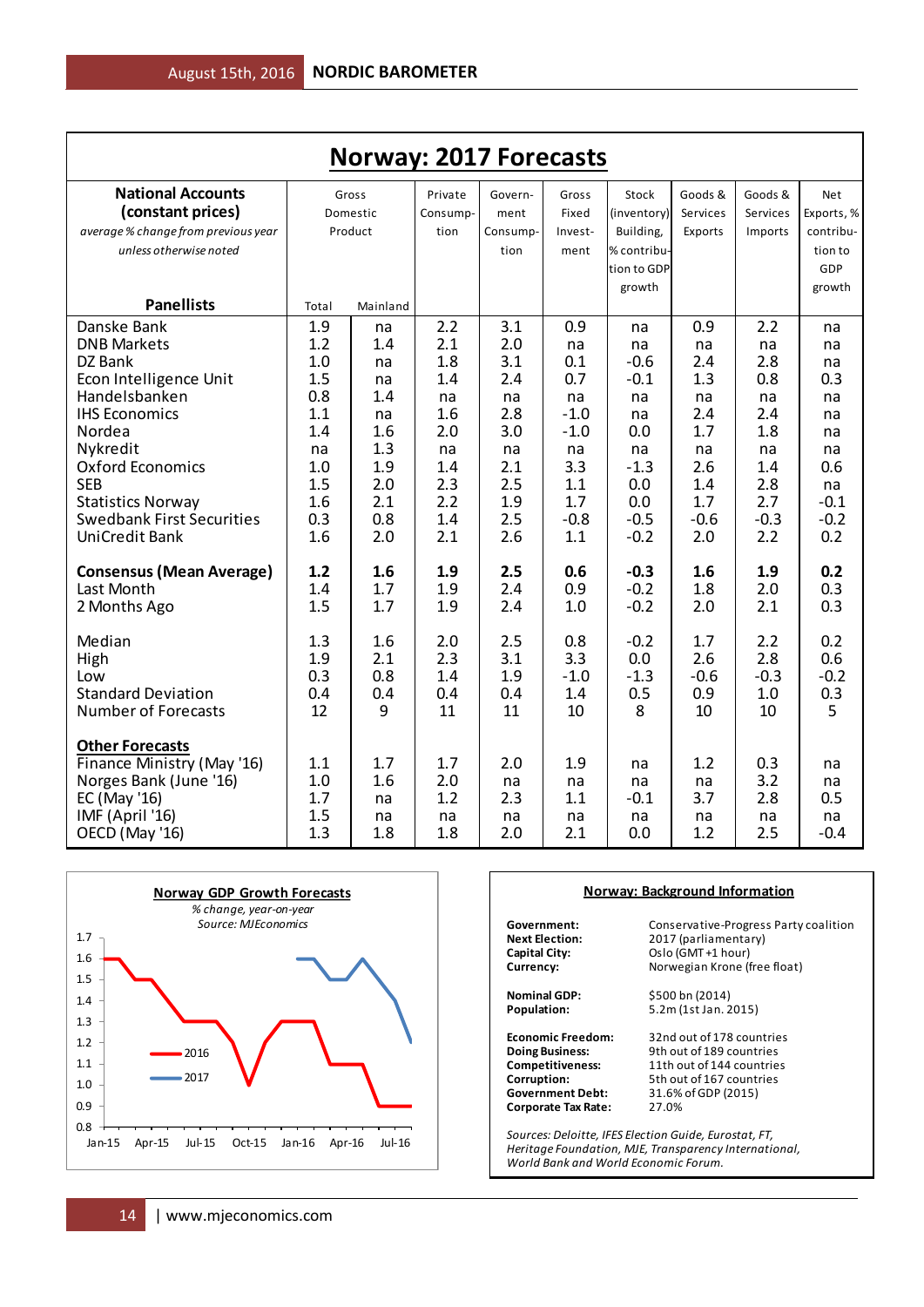| <b>Norway: 2017 Forecasts</b>                 |            |                   |                     |                 |                  |                      |                     |                     |                   |  |
|-----------------------------------------------|------------|-------------------|---------------------|-----------------|------------------|----------------------|---------------------|---------------------|-------------------|--|
| <b>National Accounts</b><br>(constant prices) |            | Gross<br>Domestic | Private<br>Consump- | Govern-<br>ment | Gross<br>Fixed   | Stock<br>(inventory) | Goods &<br>Services | Goods &<br>Services | Net<br>Exports, % |  |
| average % change from previous year           |            | Product           | tion                | Consump-        | Invest-          | Building,            | Exports             | Imports             | contribu-         |  |
| unless otherwise noted                        |            |                   |                     | tion            | ment             | % contribu-          |                     |                     | tion to           |  |
|                                               |            |                   |                     |                 |                  | tion to GDP          |                     |                     | <b>GDP</b>        |  |
|                                               |            |                   |                     |                 |                  | growth               |                     |                     | growth            |  |
| <b>Panellists</b>                             | Total      | Mainland          |                     |                 |                  |                      |                     |                     |                   |  |
| Danske Bank                                   | 1.9        | na                | 2.2                 | 3.1             | 0.9              | na                   | 0.9                 | 2.2                 | na                |  |
| <b>DNB Markets</b>                            | 1.2        | 1.4               | 2.1                 | 2.0             | na               | na                   | na                  | na                  | na                |  |
| DZ Bank                                       | 1.0        | na                | 1.8                 | 3.1             | 0.1              | $-0.6$               | 2.4                 | 2.8                 | na                |  |
| Econ Intelligence Unit                        | 1.5        | na                | 1.4                 | 2.4             | 0.7              | $-0.1$               | 1.3                 | 0.8                 | 0.3               |  |
| Handelsbanken                                 | 0.8        | 1.4               | na                  | na              | na               | na                   | na                  | na                  | na                |  |
| <b>IHS Economics</b><br>Nordea                | 1.1<br>1.4 | na<br>1.6         | 1.6<br>2.0          | 2.8<br>3.0      | $-1.0$<br>$-1.0$ | na<br>0.0            | 2.4<br>1.7          | 2.4<br>1.8          | na                |  |
| Nykredit                                      | na         | 1.3               | na                  | na              | na               | na                   | na                  | na                  | na<br>na          |  |
| <b>Oxford Economics</b>                       | 1.0        | 1.9               | 1.4                 | 2.1             | 3.3              | $-1.3$               | 2.6                 | 1.4                 | 0.6               |  |
| <b>SEB</b>                                    | 1.5        | 2.0               | 2.3                 | 2.5             | 1.1              | 0.0                  | 1.4                 | 2.8                 | na                |  |
| <b>Statistics Norway</b>                      | 1.6        | 2.1               | 2.2                 | 1.9             | 1.7              | 0.0                  | 1.7                 | 2.7                 | $-0.1$            |  |
| <b>Swedbank First Securities</b>              | 0.3        | 0.8               | 1.4                 | 2.5             | $-0.8$           | $-0.5$               | $-0.6$              | $-0.3$              | $-0.2$            |  |
| <b>UniCredit Bank</b>                         | 1.6        | 2.0               | 2.1                 | 2.6             | 1.1              | $-0.2$               | 2.0                 | 2.2                 | 0.2               |  |
|                                               |            |                   |                     |                 |                  |                      |                     |                     |                   |  |
| <b>Consensus (Mean Average)</b>               | 1.2        | 1.6               | 1.9                 | 2.5             | 0.6              | $-0.3$               | 1.6                 | 1.9                 | 0.2               |  |
| Last Month                                    | 1.4        | 1.7               | 1.9                 | 2.4             | 0.9              | $-0.2$               | 1.8                 | 2.0                 | 0.3               |  |
| 2 Months Ago                                  | 1.5        | 1.7               | 1.9                 | 2.4             | 1.0              | $-0.2$               | 2.0                 | 2.1                 | 0.3               |  |
| Median                                        | 1.3        | 1.6               | 2.0                 | 2.5             | 0.8              | $-0.2$               | 1.7                 | 2.2                 | 0.2               |  |
| High                                          | 1.9        | 2.1               | 2.3                 | 3.1             | 3.3              | 0.0                  | 2.6                 | 2.8                 | 0.6               |  |
| Low                                           | 0.3        | 0.8               | 1.4                 | 1.9             | $-1.0$           | $-1.3$               | $-0.6$              | $-0.3$              | $-0.2$            |  |
| <b>Standard Deviation</b>                     | 0.4        | 0.4               | 0.4                 | 0.4             | 1.4              | 0.5                  | 0.9                 | 1.0                 | 0.3               |  |
| <b>Number of Forecasts</b>                    | 12         | 9                 | 11                  | 11              | 10               | 8                    | 10                  | 10                  | 5                 |  |
| <b>Other Forecasts</b>                        |            |                   |                     |                 |                  |                      |                     |                     |                   |  |
| Finance Ministry (May '16)                    | 1.1        | 1.7               | 1.7                 | 2.0             | 1.9              | na                   | 1.2                 | 0.3                 | na                |  |
| Norges Bank (June '16)                        | 1.0        | 1.6               | 2.0                 | na              | na               | na                   | na                  | 3.2                 | na                |  |
| EC (May '16)                                  | 1.7        | na                | 1.2                 | 2.3             | 1.1              | $-0.1$               | 3.7                 | 2.8                 | 0.5               |  |
| IMF (April '16)                               | 1.5        | na                | na                  | na              | na               | na                   | na                  | na                  | na                |  |
| OECD (May '16)                                | 1.3        | 1.8               | 1.8                 | 2.0             | 2.1              | 0.0                  | 1.2                 | 2.5                 | $-0.4$            |  |



#### **Norway: Background Information**

**Corporate Tax Rate:** 

**Government:** Conservative-Progress Party coalition<br>**Next Election:** 2017 (parliamentary) **Next Election:** 2017 (parliamentary)<br> **Capital City:** Capital Oslo (GMT+1 hour) **Capital City:** Oslo (GMT +1 hour)<br> **Currency:** Norwegian Krone (f **Currency:** Norwegian Krone (free float)

**Nominal GDP:** \$500 bn (2014)<br>**Population:** 5.2m (1st Jan. 2 **Population:** 5.2m (1st Jan. 2015)

**Economic Freedom:** 32nd out of 178 countries<br> **Doing Business:** 9th out of 189 countries **Doing Business:** 9th out of 189 countries<br> **Competitiveness:** 11th out of 144 countries **Competitiveness:** 11th out of 144 countries<br> **Corruption:** 5th out of 167 countries **Corruption:** 5th out of 167 countries<br> **Government Debt:** 31.6% of GDP (2015) **Government Debt:** 31.6% of GDP (2015)

*Sources: Deloitte, IFES Election Guide, Eurostat, FT, Heritage Foundation, MJE, Transparency International, World Bank and World Economic Forum.*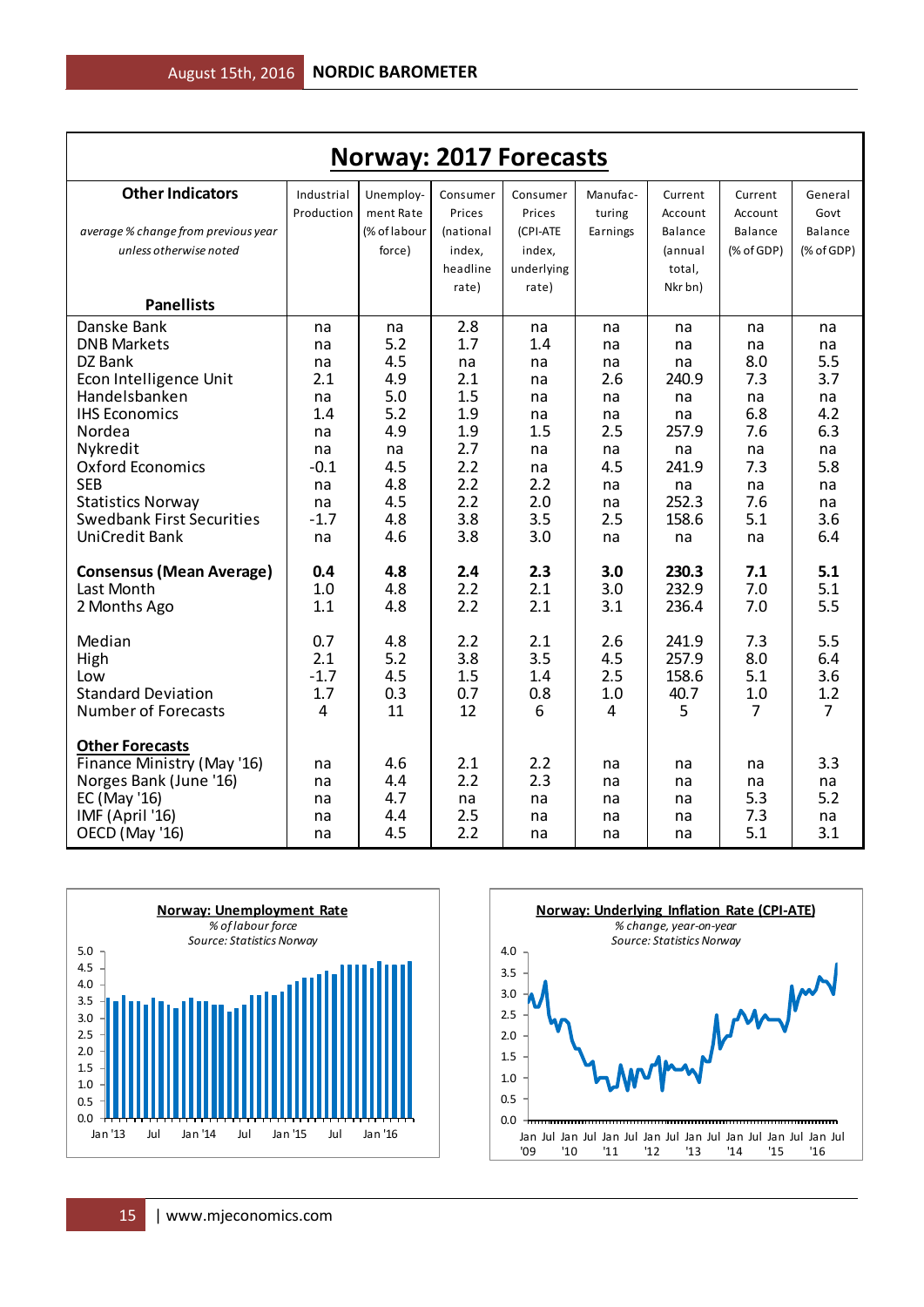| <b>Norway: 2017 Forecasts</b>       |            |              |           |            |          |                |            |                |  |  |
|-------------------------------------|------------|--------------|-----------|------------|----------|----------------|------------|----------------|--|--|
| <b>Other Indicators</b>             | Industrial | Unemploy-    | Consumer  | Consumer   | Manufac- | Current        | Current    | General        |  |  |
|                                     | Production | ment Rate    | Prices    | Prices     | turing   | Account        | Account    | Govt           |  |  |
| average % change from previous year |            | (% of labour | (national | (CPI-ATE   | Earnings | <b>Balance</b> | Balance    | Balance        |  |  |
| unless otherwise noted              |            | force)       | index,    | index,     |          | (annual        | (% of GDP) | (% of GDP)     |  |  |
|                                     |            |              | headline  | underlying |          | total,         |            |                |  |  |
|                                     |            |              | rate)     | rate)      |          | Nkr bn)        |            |                |  |  |
| <b>Panellists</b>                   |            |              |           |            |          |                |            |                |  |  |
| Danske Bank                         | na         | na           | 2.8       | na         | na       | na             | na         | na             |  |  |
| <b>DNB Markets</b>                  | na         | 5.2          | 1.7       | 1.4        | na       | na             | na         | na             |  |  |
| DZ Bank                             | na         | 4.5          | na        | na         | na       | na             | 8.0        | 5.5            |  |  |
| Econ Intelligence Unit              | 2.1        | 4.9          | 2.1       | na         | 2.6      | 240.9          | 7.3        | 3.7            |  |  |
| Handelsbanken                       | na         | 5.0          | 1.5       | na         | na       | na             | na         | na             |  |  |
| <b>IHS Economics</b>                | 1.4        | 5.2          | 1.9       | na         | na       | na             | 6.8        | 4.2            |  |  |
| Nordea                              | na         | 4.9          | 1.9       | 1.5        | 2.5      | 257.9          | 7.6        | 6.3            |  |  |
| Nykredit                            | na         | na           | 2.7       | na         | na       | na             | na         | na             |  |  |
| <b>Oxford Economics</b>             | $-0.1$     | 4.5          | 2.2       | na         | 4.5      | 241.9          | 7.3        | 5.8            |  |  |
| <b>SEB</b>                          | na         | 4.8          | 2.2       | 2.2        | na       | na             | na         | na             |  |  |
| <b>Statistics Norway</b>            | na         | 4.5          | 2.2       | 2.0        | na       | 252.3          | 7.6        | na             |  |  |
| <b>Swedbank First Securities</b>    | $-1.7$     | 4.8          | 3.8       | 3.5        | 2.5      | 158.6          | 5.1        | 3.6            |  |  |
| <b>UniCredit Bank</b>               | na         | 4.6          | 3.8       | 3.0        | na       | na             | na         | 6.4            |  |  |
| <b>Consensus (Mean Average)</b>     | 0.4        | 4.8          | 2.4       | 2.3        | 3.0      | 230.3          | 7.1        | 5.1            |  |  |
| Last Month                          | 1.0        | 4.8          | 2.2       | 2.1        | 3.0      | 232.9          | 7.0        | 5.1            |  |  |
| 2 Months Ago                        | 1.1        | 4.8          | 2.2       | 2.1        | 3.1      | 236.4          | 7.0        | 5.5            |  |  |
| Median                              | 0.7        | 4.8          | 2.2       | 2.1        | 2.6      | 241.9          | 7.3        | 5.5            |  |  |
| High                                | 2.1        | 5.2          | 3.8       | 3.5        | 4.5      | 257.9          | 8.0        | 6.4            |  |  |
| Low                                 | $-1.7$     | 4.5          | 1.5       | 1.4        | 2.5      | 158.6          | 5.1        | 3.6            |  |  |
| <b>Standard Deviation</b>           | 1.7        | 0.3          | 0.7       | 0.8        | 1.0      | 40.7           | 1.0        | 1.2            |  |  |
| <b>Number of Forecasts</b>          | 4          | 11           | 12        | 6          | 4        | 5              | 7          | $\overline{7}$ |  |  |
| <b>Other Forecasts</b>              |            |              |           |            |          |                |            |                |  |  |
| Finance Ministry (May '16)          | na         | 4.6          | 2.1       | 2.2        | na       | na             | na         | 3.3            |  |  |
| Norges Bank (June '16)              | na         | 4.4          | 2.2       | 2.3        | na       | na             | na         | na             |  |  |
| EC (May '16)                        | na         | 4.7          | na        | na         | na       | na             | 5.3        | 5.2            |  |  |
| IMF (April '16)                     | na         | 4.4          | 2.5       | na         | na       | na             | 7.3        | na             |  |  |
| OECD (May '16)                      | na         | 4.5          | 2.2       | na         | na       | na             | 5.1        | 3.1            |  |  |



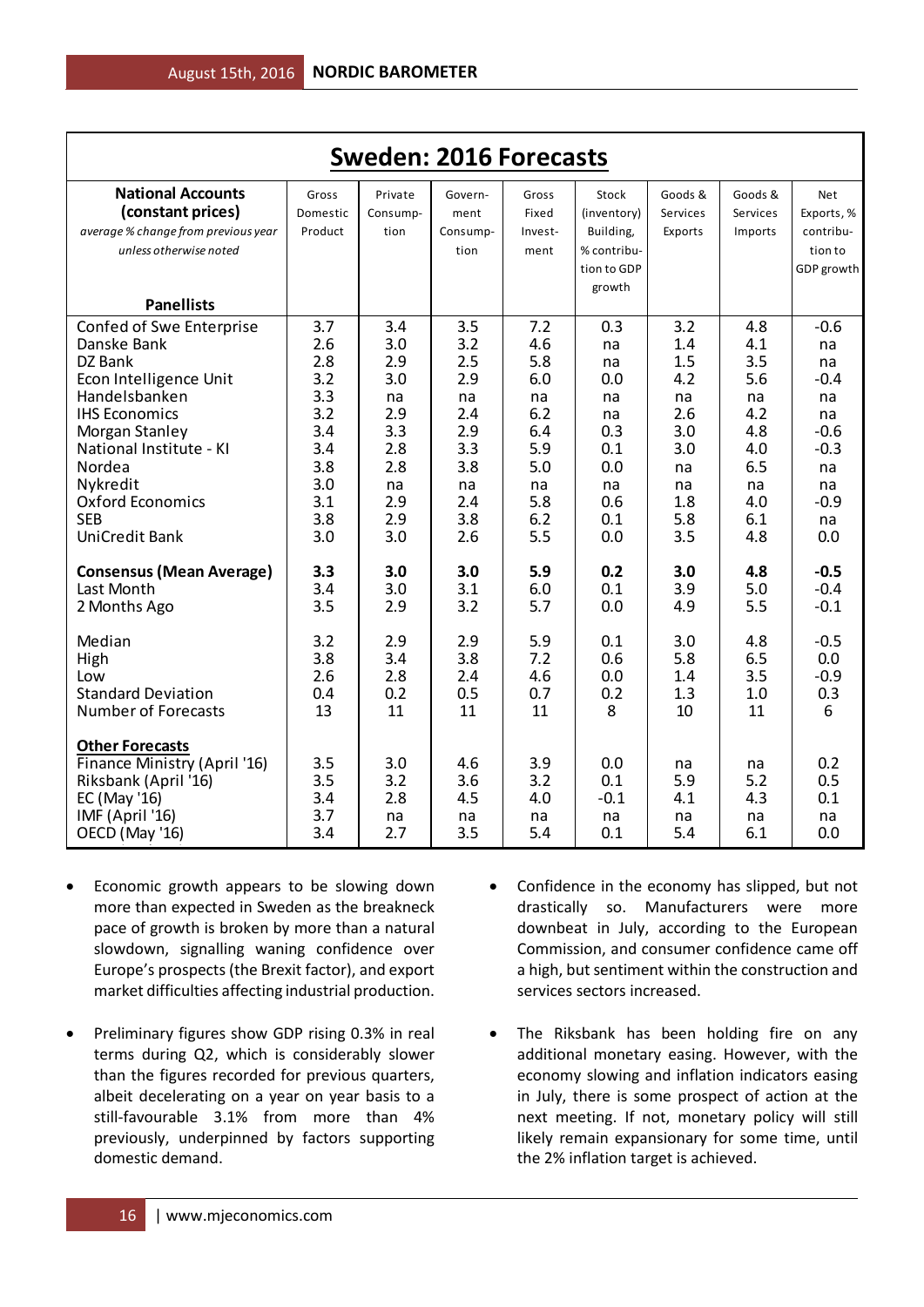| <b>Sweden: 2016 Forecasts</b>                                                                                                                                                                                                                       |                                                                                         |                                                                                       |                                                                                       |                                                                                       |                                                                                    |                                                                                      |                                                                                       |                                                                                                 |  |  |
|-----------------------------------------------------------------------------------------------------------------------------------------------------------------------------------------------------------------------------------------------------|-----------------------------------------------------------------------------------------|---------------------------------------------------------------------------------------|---------------------------------------------------------------------------------------|---------------------------------------------------------------------------------------|------------------------------------------------------------------------------------|--------------------------------------------------------------------------------------|---------------------------------------------------------------------------------------|-------------------------------------------------------------------------------------------------|--|--|
| <b>National Accounts</b><br>(constant prices)<br>average % change from previous year<br>unless otherwise noted                                                                                                                                      | Gross<br>Domestic<br>Product                                                            | Private<br>Consump-<br>tion                                                           | Govern-<br>ment<br>Consump-<br>tion                                                   | Gross<br>Fixed<br>Invest-<br>ment                                                     | Stock<br>(inventory)<br>Building,<br>% contribu-                                   | Goods &<br>Services<br>Exports                                                       | Goods &<br>Services<br>Imports                                                        | <b>Net</b><br>Exports, %<br>contribu-<br>tion to                                                |  |  |
| <b>Panellists</b>                                                                                                                                                                                                                                   |                                                                                         |                                                                                       |                                                                                       |                                                                                       | tion to GDP<br>growth                                                              |                                                                                      |                                                                                       | GDP growth                                                                                      |  |  |
| Confed of Swe Enterprise<br>Danske Bank<br>DZ Bank<br>Econ Intelligence Unit<br>Handelsbanken<br><b>IHS Economics</b><br>Morgan Stanley<br>National Institute - KI<br>Nordea<br>Nykredit<br>Oxford Economics<br><b>SEB</b><br><b>UniCredit Bank</b> | 3.7<br>2.6<br>2.8<br>3.2<br>3.3<br>3.2<br>3.4<br>3.4<br>3.8<br>3.0<br>3.1<br>3.8<br>3.0 | 3.4<br>3.0<br>2.9<br>3.0<br>na<br>2.9<br>3.3<br>2.8<br>2.8<br>na<br>2.9<br>2.9<br>3.0 | 3.5<br>3.2<br>2.5<br>2.9<br>na<br>2.4<br>2.9<br>3.3<br>3.8<br>na<br>2.4<br>3.8<br>2.6 | 7.2<br>4.6<br>5.8<br>6.0<br>na<br>6.2<br>6.4<br>5.9<br>5.0<br>na<br>5.8<br>6.2<br>5.5 | 0.3<br>na<br>na<br>0.0<br>na<br>na<br>0.3<br>0.1<br>0.0<br>na<br>0.6<br>0.1<br>0.0 | 3.2<br>1.4<br>1.5<br>4.2<br>na<br>2.6<br>3.0<br>3.0<br>na<br>na<br>1.8<br>5.8<br>3.5 | 4.8<br>4.1<br>3.5<br>5.6<br>na<br>4.2<br>4.8<br>4.0<br>6.5<br>na<br>4.0<br>6.1<br>4.8 | $-0.6$<br>na<br>na<br>$-0.4$<br>na<br>na<br>$-0.6$<br>$-0.3$<br>na<br>na<br>$-0.9$<br>na<br>0.0 |  |  |
| <b>Consensus (Mean Average)</b><br>Last Month<br>2 Months Ago                                                                                                                                                                                       | 3.3<br>3.4<br>3.5                                                                       | 3.0<br>3.0<br>2.9                                                                     | 3.0<br>3.1<br>3.2                                                                     | 5.9<br>6.0<br>5.7                                                                     | 0.2<br>0.1<br>0.0                                                                  | 3.0<br>3.9<br>4.9                                                                    | 4.8<br>5.0<br>5.5                                                                     | $-0.5$<br>$-0.4$<br>$-0.1$                                                                      |  |  |
| Median<br>High<br>Low<br><b>Standard Deviation</b><br>Number of Forecasts                                                                                                                                                                           | 3.2<br>3.8<br>2.6<br>0.4<br>13                                                          | 2.9<br>3.4<br>2.8<br>0.2<br>11                                                        | 2.9<br>3.8<br>2.4<br>0.5<br>11                                                        | 5.9<br>7.2<br>4.6<br>0.7<br>11                                                        | 0.1<br>0.6<br>0.0<br>0.2<br>8                                                      | 3.0<br>5.8<br>1.4<br>1.3<br>10                                                       | 4.8<br>6.5<br>3.5<br>1.0<br>11                                                        | $-0.5$<br>0.0<br>$-0.9$<br>0.3<br>6                                                             |  |  |
| <b>Other Forecasts</b><br>Finance Ministry (April '16)<br>Riksbank (April '16)<br>EC (May '16)<br>IMF (April '16)<br>OECD (May '16)                                                                                                                 | 3.5<br>3.5<br>3.4<br>3.7<br>3.4                                                         | 3.0<br>3.2<br>2.8<br>na<br>2.7                                                        | 4.6<br>3.6<br>4.5<br>na<br>3.5                                                        | 3.9<br>3.2<br>4.0<br>na<br>5.4                                                        | 0.0<br>0.1<br>$-0.1$<br>na<br>0.1                                                  | na<br>5.9<br>4.1<br>na<br>5.4                                                        | na<br>5.2<br>4.3<br>na<br>6.1                                                         | 0.2<br>0.5<br>0.1<br>na<br>0.0                                                                  |  |  |

- Economic growth appears to be slowing down more than expected in Sweden as the breakneck pace of growth is broken by more than a natural slowdown, signalling waning confidence over Europe's prospects (the Brexit factor), and export market difficulties affecting industrial production.
- Preliminary figures show GDP rising 0.3% in real terms during Q2, which is considerably slower than the figures recorded for previous quarters, albeit decelerating on a year on year basis to a still-favourable 3.1% from more than 4% previously, underpinned by factors supporting domestic demand.
- Confidence in the economy has slipped, but not drastically so. Manufacturers were more downbeat in July, according to the European Commission, and consumer confidence came off a high, but sentiment within the construction and services sectors increased.
- The Riksbank has been holding fire on any additional monetary easing. However, with the economy slowing and inflation indicators easing in July, there is some prospect of action at the next meeting. If not, monetary policy will still likely remain expansionary for some time, until the 2% inflation target is achieved.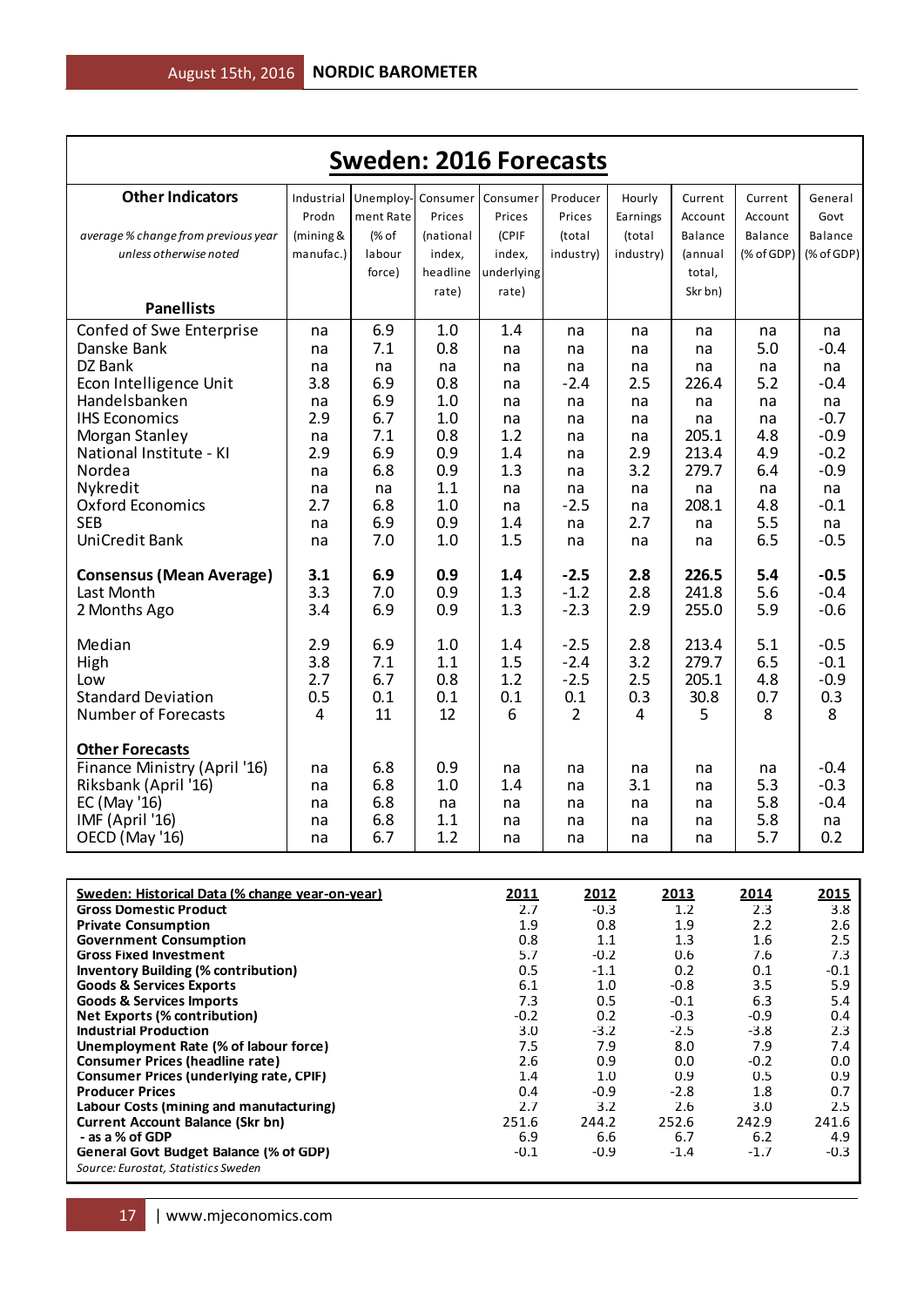| <b>Sweden: 2016 Forecasts</b>                   |            |           |           |            |                |           |         |            |            |  |
|-------------------------------------------------|------------|-----------|-----------|------------|----------------|-----------|---------|------------|------------|--|
| <b>Other Indicators</b>                         | Industrial | Unemploy- | Consumer  | Consumer   | Producer       | Hourly    | Current | Current    | General    |  |
|                                                 | Prodn      | ment Rate | Prices    | Prices     | Prices         | Earnings  | Account | Account    | Govt       |  |
| average % change from previous year             | (mining &  | (% of     | (national | (CPIF      | (total         | (total    | Balance | Balance    | Balance    |  |
| unless otherwise noted                          | manufac.)  | labour    | index,    | index,     | industry)      | industry) | (annual | (% of GDP) | (% of GDP) |  |
|                                                 |            | force)    | headline  | underlying |                |           | total,  |            |            |  |
|                                                 |            |           | rate)     | rate)      |                |           | Skr bn) |            |            |  |
| <b>Panellists</b>                               |            |           |           |            |                |           |         |            |            |  |
| Confed of Swe Enterprise                        | na         | 6.9       | 1.0       | 1.4        | na             | na        | na      | na         | na         |  |
| Danske Bank                                     | na         | 7.1       | 0.8       | na         | na             | na        | na      | 5.0        | $-0.4$     |  |
| DZ Bank                                         | na         | na        | na        | na         | na             | na        | na      | na         | na         |  |
| Econ Intelligence Unit                          | 3.8        | 6.9       | 0.8       | na         | $-2.4$         | 2.5       | 226.4   | 5.2        | $-0.4$     |  |
| Handelsbanken                                   | na         | 6.9       | 1.0       | na         | na             | na        | na      | na         | na         |  |
| <b>IHS Economics</b>                            | 2.9        | 6.7       | 1.0       | na         | na             | na        | na      | na         | $-0.7$     |  |
| Morgan Stanley                                  | na         | 7.1       | 0.8       | 1.2        | na             | na        | 205.1   | 4.8        | $-0.9$     |  |
| National Institute - KI                         | 2.9        | 6.9       | 0.9       | 1.4        | na             | 2.9       | 213.4   | 4.9        | $-0.2$     |  |
| Nordea                                          | na         | 6.8       | 0.9       | 1.3        | na             | 3.2       | 279.7   | 6.4        | $-0.9$     |  |
| Nykredit                                        | na         | na        | 1.1       | na         | na             | na        | na      | na         | na         |  |
| <b>Oxford Economics</b>                         | 2.7        | 6.8       | 1.0       | na         | $-2.5$         | na        | 208.1   | 4.8        | $-0.1$     |  |
| <b>SEB</b>                                      | na         | 6.9       | 0.9       | 1.4        | na             | 2.7       | na      | 5.5        | na         |  |
| <b>UniCredit Bank</b>                           | na         | 7.0       | 1.0       | 1.5        | na             | na        | na      | 6.5        | $-0.5$     |  |
| <b>Consensus (Mean Average)</b>                 | 3.1        | 6.9       | 0.9       | 1.4        | $-2.5$         | 2.8       | 226.5   | 5.4        | $-0.5$     |  |
| Last Month                                      | 3.3        | 7.0       | 0.9       | 1.3        | $-1.2$         | 2.8       | 241.8   | 5.6        | $-0.4$     |  |
| 2 Months Ago                                    | 3.4        | 6.9       | 0.9       | 1.3        | $-2.3$         | 2.9       | 255.0   | 5.9        | $-0.6$     |  |
|                                                 |            |           |           |            |                |           |         |            |            |  |
| Median                                          | 2.9        | 6.9       | 1.0       | 1.4        | $-2.5$         | 2.8       | 213.4   | 5.1        | $-0.5$     |  |
| High                                            | 3.8        | 7.1       | 1.1       | 1.5        | $-2.4$         | 3.2       | 279.7   | 6.5        | $-0.1$     |  |
| Low                                             | 2.7        | 6.7       | 0.8       | 1.2        | $-2.5$         | 2.5       | 205.1   | 4.8        | $-0.9$     |  |
| <b>Standard Deviation</b>                       | 0.5        | 0.1       | 0.1       | 0.1        | 0.1            | 0.3       | 30.8    | 0.7        | 0.3        |  |
| <b>Number of Forecasts</b>                      | 4          | 11        | 12        | 6          | $\overline{2}$ | 4         | 5       | 8          | 8          |  |
| <b>Other Forecasts</b>                          |            |           |           |            |                |           |         |            |            |  |
| Finance Ministry (April '16)                    | na         | 6.8       | 0.9       | na         | na             | na        | na      | na         | $-0.4$     |  |
| Riksbank (April '16)                            | na         | 6.8       | 1.0       | 1.4        | na             | 3.1       | na      | 5.3        | $-0.3$     |  |
| EC (May '16)                                    | na         | 6.8       | na        | na         | na             | na        | na      | 5.8        | $-0.4$     |  |
| IMF (April '16)                                 | na         | 6.8       | 1.1       | na         | na             | na        | na      | 5.8        | na         |  |
| OECD (May '16)                                  | na         | 6.7       | 1.2       | na         | na             | na        | na      | 5.7        | 0.2        |  |
|                                                 |            |           |           |            |                |           |         |            |            |  |
| Sweden: Historical Data (% change year-on-year) |            |           |           | 2011       | 2012           |           | 2013    | 2014       | 2015       |  |

| Sweden: Historical Data (% change year-on-year) | 2011   | 2012   | 2013   | 2014   | 2015   |
|-------------------------------------------------|--------|--------|--------|--------|--------|
| <b>Gross Domestic Product</b>                   | 2.7    | $-0.3$ | 1.2    | 2.3    | 3.8    |
| <b>Private Consumption</b>                      | 1.9    | 0.8    | 1.9    | 2.2    | 2.6    |
| <b>Government Consumption</b>                   | 0.8    | 1.1    | 1.3    | 1.6    | 2.5    |
| <b>Gross Fixed Investment</b>                   | 5.7    | $-0.2$ | 0.6    | 7.6    | 7.3    |
| <b>Inventory Building (% contribution)</b>      | 0.5    | $-1.1$ | 0.2    | 0.1    | $-0.1$ |
| <b>Goods &amp; Services Exports</b>             | 6.1    | 1.0    | $-0.8$ | 3.5    | 5.9    |
| <b>Goods &amp; Services Imports</b>             | 7.3    | 0.5    | $-0.1$ | 6.3    | 5.4    |
| Net Exports (% contribution)                    | $-0.2$ | 0.2    | $-0.3$ | $-0.9$ | 0.4    |
| <b>Industrial Production</b>                    | 3.0    | $-3.2$ | $-2.5$ | $-3.8$ | 2.3    |
| Unemployment Rate (% of labour force)           | 7.5    | 7.9    | 8.0    | 7.9    | 7.4    |
| <b>Consumer Prices (headline rate)</b>          | 2.6    | 0.9    | 0.0    | $-0.2$ | 0.0    |
| <b>Consumer Prices (underlying rate, CPIF)</b>  | 1.4    | 1.0    | 0.9    | 0.5    | 0.9    |
| <b>Producer Prices</b>                          | 0.4    | $-0.9$ | $-2.8$ | 1.8    | 0.7    |
| Labour Costs (mining and manufacturing)         | 2.7    | 3.2    | 2.6    | 3.0    | 2.5    |
| <b>Current Account Balance (Skr bn)</b>         | 251.6  | 244.2  | 252.6  | 242.9  | 241.6  |
| - as a % of GDP                                 | 6.9    | 6.6    | 6.7    | 6.2    | 4.9    |
| General Govt Budget Balance (% of GDP)          | $-0.1$ | $-0.9$ | $-1.4$ | $-1.7$ | $-0.3$ |
| Source: Eurostat, Statistics Sweden             |        |        |        |        |        |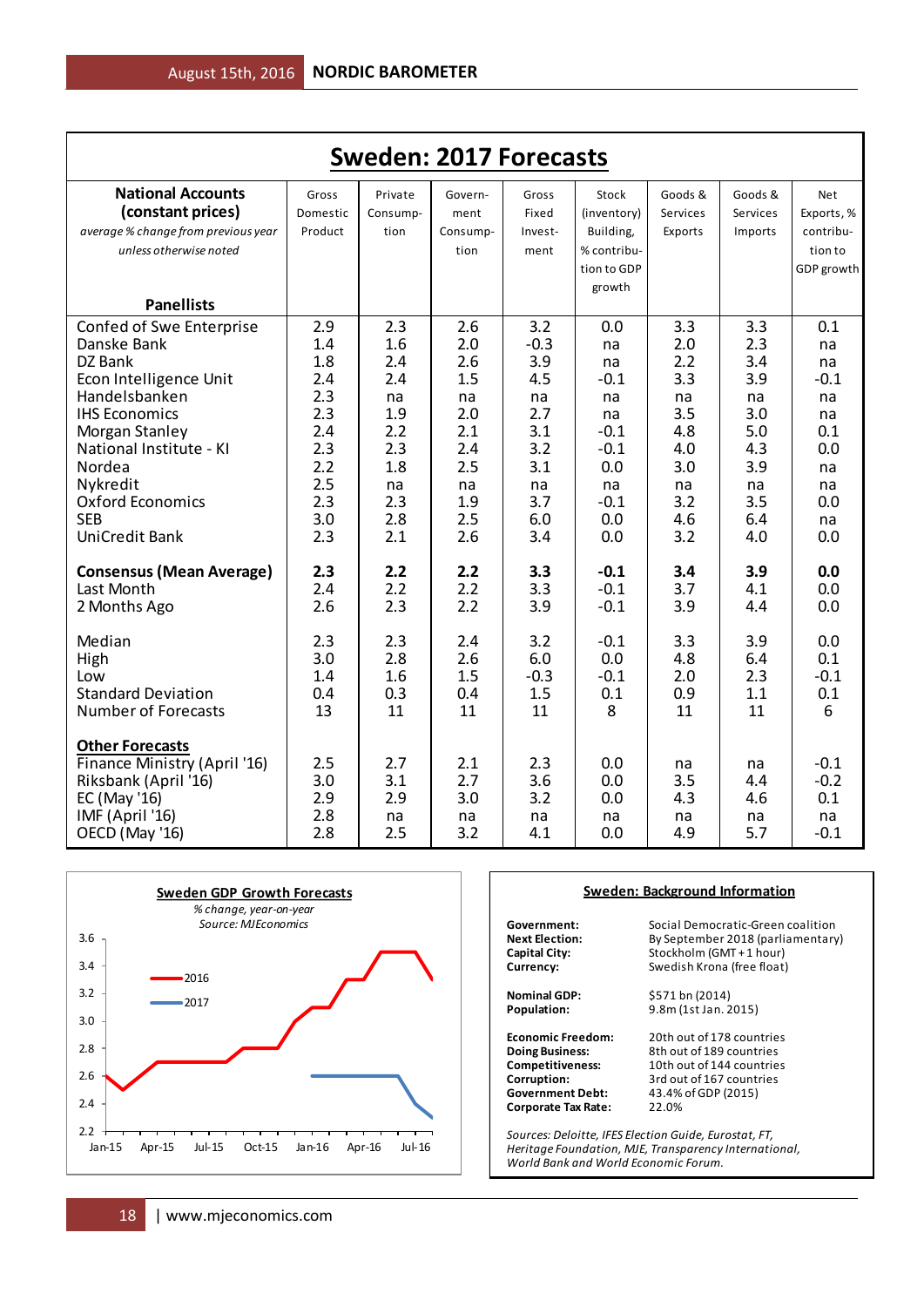|                                                                                                                                                                                                                                                     | <b>Sweden: 2017 Forecasts</b>                                                           |                                                                                       |                                                                                       |                                                                                          |                                                                                                |                                                                                       |                                                                                       |                                                                                     |  |  |  |  |
|-----------------------------------------------------------------------------------------------------------------------------------------------------------------------------------------------------------------------------------------------------|-----------------------------------------------------------------------------------------|---------------------------------------------------------------------------------------|---------------------------------------------------------------------------------------|------------------------------------------------------------------------------------------|------------------------------------------------------------------------------------------------|---------------------------------------------------------------------------------------|---------------------------------------------------------------------------------------|-------------------------------------------------------------------------------------|--|--|--|--|
| <b>National Accounts</b><br>(constant prices)<br>average % change from previous year<br>unless otherwise noted                                                                                                                                      | Gross<br>Domestic<br>Product                                                            | Private<br>Consump-<br>tion                                                           | Govern-<br>ment<br>Consump-<br>tion                                                   | Gross<br>Fixed<br>Invest-<br>ment                                                        | Stock<br>(inventory)<br>Building,<br>% contribu-                                               | Goods &<br>Services<br>Exports                                                        | Goods &<br>Services<br>Imports                                                        | <b>Net</b><br>Exports, %<br>contribu-<br>tion to                                    |  |  |  |  |
| <b>Panellists</b>                                                                                                                                                                                                                                   |                                                                                         |                                                                                       |                                                                                       |                                                                                          | tion to GDP<br>growth                                                                          |                                                                                       |                                                                                       | GDP growth                                                                          |  |  |  |  |
| Confed of Swe Enterprise<br>Danske Bank<br>DZ Bank<br>Econ Intelligence Unit<br>Handelsbanken<br><b>IHS Economics</b><br>Morgan Stanley<br>National Institute - KI<br>Nordea<br>Nykredit<br>Oxford Economics<br><b>SEB</b><br><b>UniCredit Bank</b> | 2.9<br>1.4<br>1.8<br>2.4<br>2.3<br>2.3<br>2.4<br>2.3<br>2.2<br>2.5<br>2.3<br>3.0<br>2.3 | 2.3<br>1.6<br>2.4<br>2.4<br>na<br>1.9<br>2.2<br>2.3<br>1.8<br>na<br>2.3<br>2.8<br>2.1 | 2.6<br>2.0<br>2.6<br>1.5<br>na<br>2.0<br>2.1<br>2.4<br>2.5<br>na<br>1.9<br>2.5<br>2.6 | 3.2<br>$-0.3$<br>3.9<br>4.5<br>na<br>2.7<br>3.1<br>3.2<br>3.1<br>na<br>3.7<br>6.0<br>3.4 | 0.0<br>na<br>na<br>$-0.1$<br>na<br>na<br>$-0.1$<br>$-0.1$<br>0.0<br>na<br>$-0.1$<br>0.0<br>0.0 | 3.3<br>2.0<br>2.2<br>3.3<br>na<br>3.5<br>4.8<br>4.0<br>3.0<br>na<br>3.2<br>4.6<br>3.2 | 3.3<br>2.3<br>3.4<br>3.9<br>na<br>3.0<br>5.0<br>4.3<br>3.9<br>na<br>3.5<br>6.4<br>4.0 | 0.1<br>na<br>na<br>$-0.1$<br>na<br>na<br>0.1<br>0.0<br>na<br>na<br>0.0<br>na<br>0.0 |  |  |  |  |
| <b>Consensus (Mean Average)</b><br>Last Month<br>2 Months Ago                                                                                                                                                                                       | 2.3<br>2.4<br>2.6                                                                       | 2.2<br>2.2<br>2.3                                                                     | 2.2<br>2.2<br>2.2                                                                     | 3.3<br>3.3<br>3.9                                                                        | $-0.1$<br>$-0.1$<br>$-0.1$                                                                     | 3.4<br>3.7<br>3.9                                                                     | 3.9<br>4.1<br>4.4                                                                     | 0.0<br>0.0<br>0.0                                                                   |  |  |  |  |
| Median<br>High<br>Low<br><b>Standard Deviation</b><br><b>Number of Forecasts</b>                                                                                                                                                                    | 2.3<br>3.0<br>1.4<br>0.4<br>13                                                          | 2.3<br>2.8<br>1.6<br>0.3<br>11                                                        | 2.4<br>2.6<br>1.5<br>0.4<br>11                                                        | 3.2<br>6.0<br>$-0.3$<br>1.5<br>11                                                        | $-0.1$<br>0.0<br>$-0.1$<br>0.1<br>8                                                            | 3.3<br>4.8<br>2.0<br>0.9<br>11                                                        | 3.9<br>6.4<br>2.3<br>1.1<br>11                                                        | 0.0<br>0.1<br>$-0.1$<br>0.1<br>6                                                    |  |  |  |  |
| <b>Other Forecasts</b><br>Finance Ministry (April '16)<br>Riksbank (April '16)<br>EC (May '16)<br>IMF (April '16)<br>OECD (May '16)                                                                                                                 | 2.5<br>3.0<br>2.9<br>2.8<br>2.8                                                         | 2.7<br>3.1<br>2.9<br>na<br>2.5                                                        | 2.1<br>2.7<br>3.0<br>na<br>3.2                                                        | 2.3<br>3.6<br>3.2<br>na<br>4.1                                                           | 0.0<br>0.0<br>0.0<br>na<br>0.0                                                                 | na<br>3.5<br>4.3<br>na<br>4.9                                                         | na<br>4.4<br>4.6<br>na<br>5.7                                                         | $-0.1$<br>$-0.2$<br>0.1<br>na<br>$-0.1$                                             |  |  |  |  |



#### **Sweden: Background Information**

**Corporate Tax Rate:** 

**Government:** Social Democratic-Green coalition<br>**Next Election:** By September 2018 (parliamentary **Next Election:** By September 2018 (parliamentary)<br> **Capital City:** Stockholm (GMT + 1 hour) **Capital City:** Stockholm (GMT + 1 hour)<br>
Currency: Swedish Krona (free float) Swedish Krona (free float)

**Nominal GDP:** \$571 bn (2014)<br>**Population:** 9.8m (1st Jan. 2 **Population:** 9.8m (1st Jan. 2015)

**Economic Freedom:** 20th out of 178 countries<br> **Doing Business:** 8th out of 189 countries **Doing Business:** 8th out of 189 countries<br> **Competitiveness:** 10th out of 144 countries **Competitiveness:** 10th out of 144 countries<br> **Corruption:** 3rd out of 167 countries **Corruption:** 3rd out of 167 countries<br> **Government Debt:** 43.4% of GDP (2015) **Government Debt:** 43.4% of GDP (2015)

*Sources: Deloitte, IFES Election Guide, Eurostat, FT, Heritage Foundation, MJE, Transparency International, World Bank and World Economic Forum.*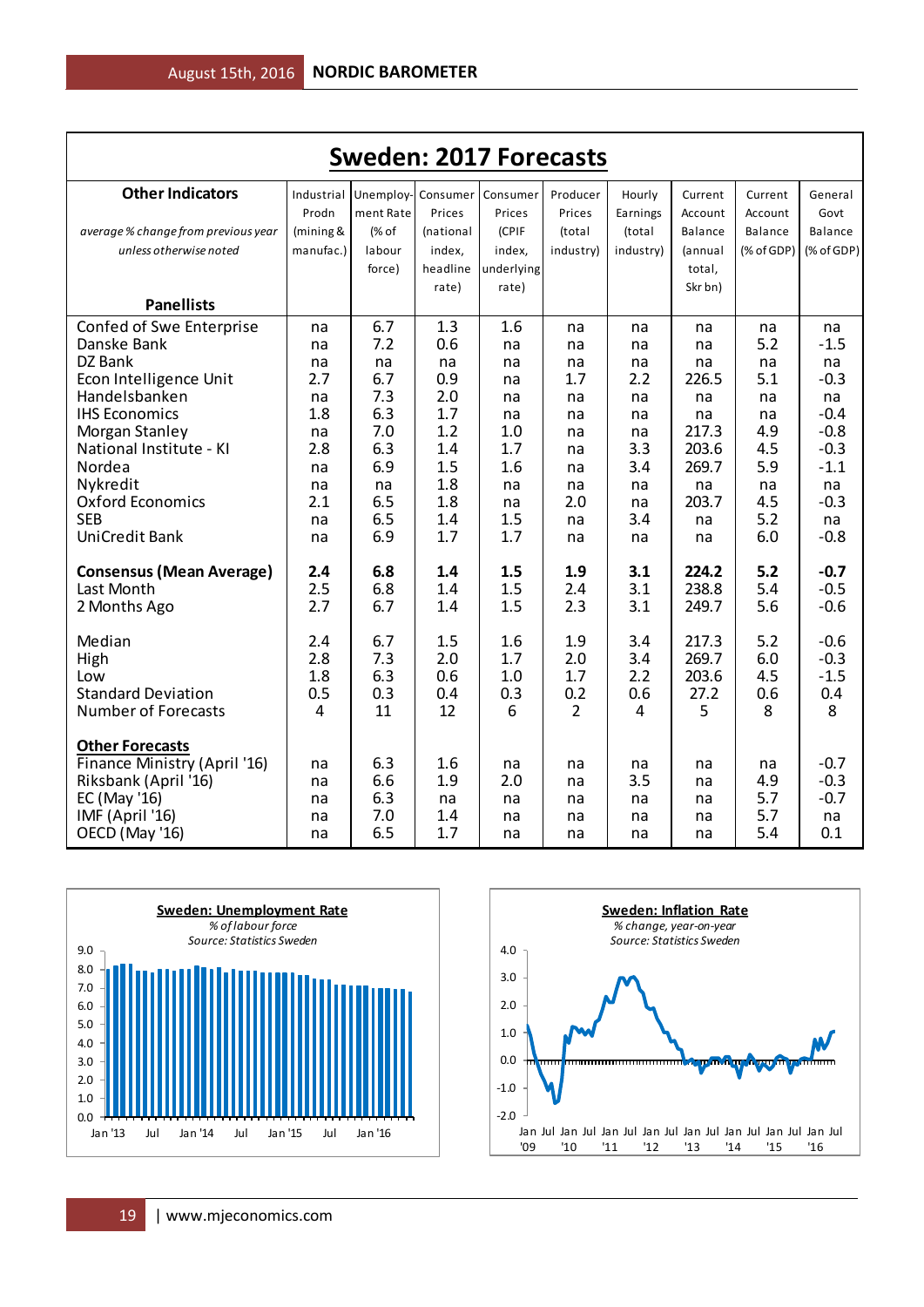| <b>Sweden: 2017 Forecasts</b>             |            |                    |            |            |                |           |                |            |                                  |  |
|-------------------------------------------|------------|--------------------|------------|------------|----------------|-----------|----------------|------------|----------------------------------|--|
| <b>Other Indicators</b>                   | Industrial | Unemploy- Consumer |            | Consumer   | Producer       | Hourly    | Current        | Current    | General                          |  |
|                                           | Prodn      | ment Rate          | Prices     | Prices     | Prices         | Earnings  | Account        | Account    | Govt                             |  |
| average % change from previous year       | (mining &  | (% of              | (national  | (CPIF      | (total         | (total    | Balance        | Balance    | Balance                          |  |
| unless otherwise noted                    | manufac.)  | labour             | index,     | index,     | industry)      | industry) | (annual        | (% of GDP) | $(% \mathcal{L}_{0})$ (% of GDP) |  |
|                                           |            | force)             | headline   | underlying |                |           | total,         |            |                                  |  |
|                                           |            |                    | rate)      | rate)      |                |           | Skr bn)        |            |                                  |  |
| <b>Panellists</b>                         |            |                    |            |            |                |           |                |            |                                  |  |
| Confed of Swe Enterprise                  | na         | 6.7                | 1.3        | 1.6        | na             | na        | na             | na         | na                               |  |
| Danske Bank                               | na         | 7.2                | 0.6        | na         | na             | na        | na             | 5.2        | $-1.5$                           |  |
| DZ Bank                                   | na         | na                 | na         | na         | na             | na        | na             | na         | na                               |  |
| Econ Intelligence Unit                    | 2.7        | 6.7                | 0.9        | na         | 1.7            | 2.2       | 226.5          | 5.1        | $-0.3$                           |  |
| Handelsbanken                             | na         | 7.3                | 2.0        | na         | na             | na        | na             | na         | na                               |  |
| <b>IHS Economics</b>                      | 1.8        | 6.3                | 1.7        | na         | na             | na        | na             | na         | $-0.4$                           |  |
| Morgan Stanley<br>National Institute - KI | na<br>2.8  | 7.0<br>6.3         | 1.2<br>1.4 | 1.0<br>1.7 | na             | na<br>3.3 | 217.3<br>203.6 | 4.9<br>4.5 | $-0.8$<br>$-0.3$                 |  |
| Nordea                                    | na         | 6.9                | 1.5        | 1.6        | na<br>na       | 3.4       | 269.7          | 5.9        | $-1.1$                           |  |
| Nykredit                                  | na         | na                 | 1.8        | na         | na             | na        | na             | na         | na                               |  |
| Oxford Economics                          | 2.1        | 6.5                | 1.8        | na         | 2.0            | na        | 203.7          | 4.5        | $-0.3$                           |  |
| <b>SEB</b>                                | na         | 6.5                | 1.4        | 1.5        | na             | 3.4       | na             | 5.2        | na                               |  |
| <b>UniCredit Bank</b>                     | na         | 6.9                | 1.7        | 1.7        | na             | na        | na             | 6.0        | $-0.8$                           |  |
|                                           |            |                    |            |            |                |           |                |            |                                  |  |
| <b>Consensus (Mean Average)</b>           | 2.4        | 6.8                | 1.4        | 1.5        | 1.9            | 3.1       | 224.2          | 5.2        | $-0.7$                           |  |
| Last Month                                | 2.5        | 6.8                | 1.4        | 1.5        | 2.4            | 3.1       | 238.8          | 5.4        | $-0.5$                           |  |
| 2 Months Ago                              | 2.7        | 6.7                | 1.4        | 1.5        | 2.3            | 3.1       | 249.7          | 5.6        | $-0.6$                           |  |
| Median                                    | 2.4        | 6.7                | 1.5        | 1.6        | 1.9            | 3.4       | 217.3          | 5.2        | $-0.6$                           |  |
| High                                      | 2.8        | 7.3                | 2.0        | 1.7        | 2.0            | 3.4       | 269.7          | 6.0        | $-0.3$                           |  |
| Low                                       | 1.8        | 6.3                | 0.6        | 1.0        | 1.7            | 2.2       | 203.6          | 4.5        | $-1.5$                           |  |
| <b>Standard Deviation</b>                 | 0.5        | 0.3                | 0.4        | 0.3        | 0.2            | 0.6       | 27.2           | 0.6        | 0.4                              |  |
| <b>Number of Forecasts</b>                | 4          | 11                 | 12         | 6          | $\overline{2}$ | 4         | 5              | 8          | 8                                |  |
| <b>Other Forecasts</b>                    |            |                    |            |            |                |           |                |            |                                  |  |
| Finance Ministry (April '16)              | na         | 6.3                | 1.6        | na         | na             | na        | na             | na         | $-0.7$                           |  |
| Riksbank (April '16)                      | na         | 6.6                | 1.9        | 2.0        | na             | 3.5       | na             | 4.9        | $-0.3$                           |  |
| EC (May '16)                              | na         | 6.3                | na         | na         | na             | na        | na             | 5.7        | $-0.7$                           |  |
| IMF (April '16)                           | na         | 7.0                | 1.4        | na         | na             | na        | na             | 5.7        | na                               |  |
| OECD (May '16)                            | na         | 6.5                | 1.7        | na         | na             | na        | na             | 5.4        | 0.1                              |  |



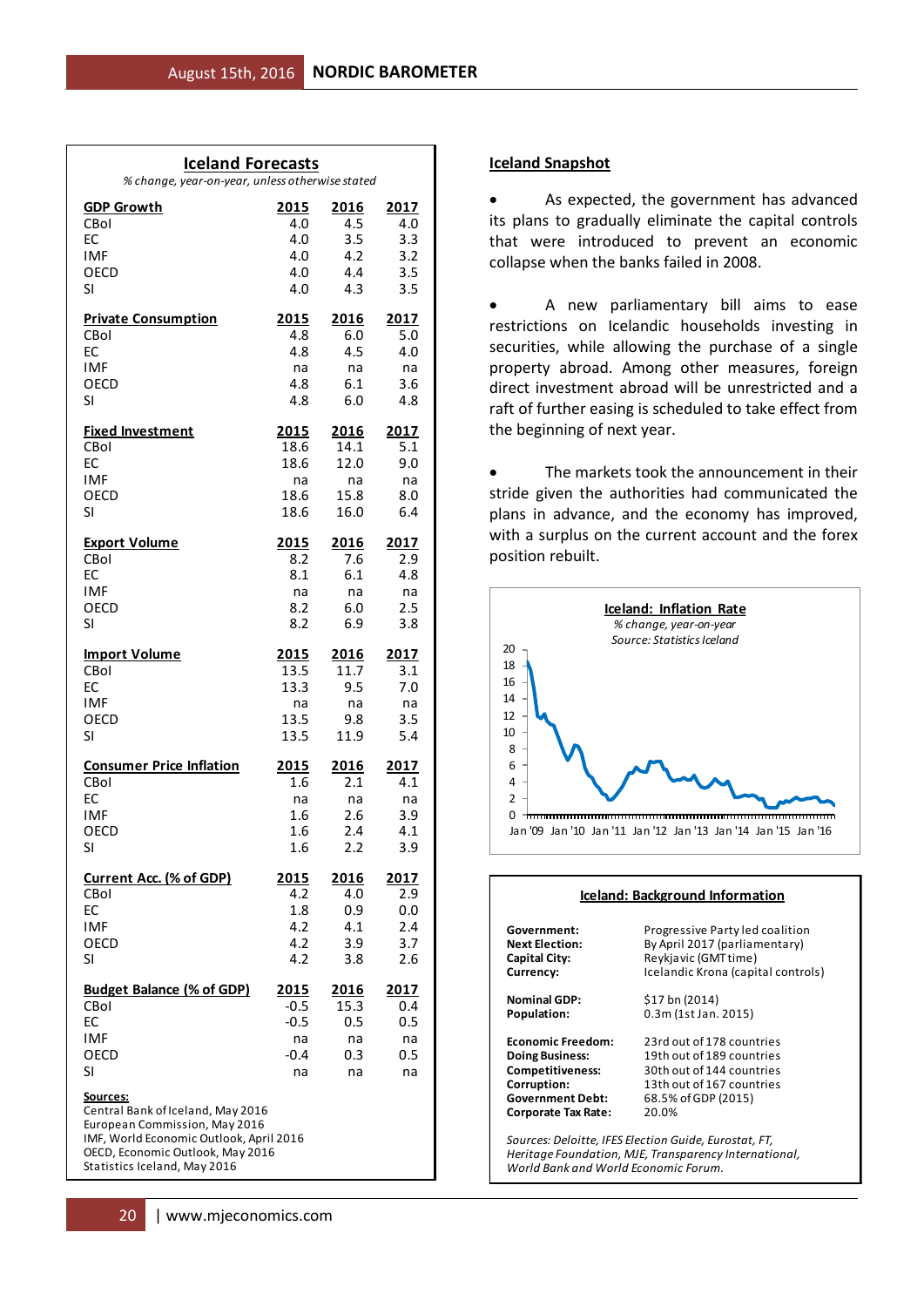| <b>Iceland Forecasts</b><br>% change, year-on-year, unless otherwise stated                                                                                                                          |              |                      |            |  |  |  |  |  |  |  |  |
|------------------------------------------------------------------------------------------------------------------------------------------------------------------------------------------------------|--------------|----------------------|------------|--|--|--|--|--|--|--|--|
| <b>GDP Growth</b>                                                                                                                                                                                    | 2015         | 2016                 | 2017       |  |  |  |  |  |  |  |  |
| CBol                                                                                                                                                                                                 | 4.0          | 4.5                  | 4.0        |  |  |  |  |  |  |  |  |
| EC                                                                                                                                                                                                   | 4.0          | 3.5                  | 3.3        |  |  |  |  |  |  |  |  |
| <b>IMF</b>                                                                                                                                                                                           | 4.0          | 4.2                  | 3.2        |  |  |  |  |  |  |  |  |
| OECD                                                                                                                                                                                                 | 4.0          | 4.4                  | 3.5        |  |  |  |  |  |  |  |  |
| SI                                                                                                                                                                                                   | 4.0          | 4.3                  | 3.5        |  |  |  |  |  |  |  |  |
| <b>Private Consumption</b>                                                                                                                                                                           | 2015         | 2016                 | 2017       |  |  |  |  |  |  |  |  |
| CBol<br>EC                                                                                                                                                                                           | 4.8<br>4.8   | 6.0<br>4.5           | 5.0<br>4.0 |  |  |  |  |  |  |  |  |
| <b>IMF</b>                                                                                                                                                                                           | na           | na                   | na         |  |  |  |  |  |  |  |  |
| OECD                                                                                                                                                                                                 | 4.8          | 6.1                  | 3.6        |  |  |  |  |  |  |  |  |
| SI                                                                                                                                                                                                   | 4.8          | 6.0                  | 4.8        |  |  |  |  |  |  |  |  |
| <b>Fixed Investment</b>                                                                                                                                                                              | 2015         | <u> 2016 </u>        | 2017       |  |  |  |  |  |  |  |  |
| CBol                                                                                                                                                                                                 | 18.6         | 14.1                 | 5.1        |  |  |  |  |  |  |  |  |
| <b>EC</b>                                                                                                                                                                                            | 18.6         | 12.0                 | 9.0        |  |  |  |  |  |  |  |  |
| <b>IMF</b>                                                                                                                                                                                           | na           | na                   | na         |  |  |  |  |  |  |  |  |
| OECD<br>SI                                                                                                                                                                                           | 18.6<br>18.6 | 15.8<br>16.0         | 8.0<br>6.4 |  |  |  |  |  |  |  |  |
|                                                                                                                                                                                                      |              |                      |            |  |  |  |  |  |  |  |  |
| <b>Export Volume</b>                                                                                                                                                                                 | 2015         | <u> 2016</u>         | 2017       |  |  |  |  |  |  |  |  |
| CBol                                                                                                                                                                                                 | 8.2          | 7.6                  | 2.9        |  |  |  |  |  |  |  |  |
| EC<br><b>IMF</b>                                                                                                                                                                                     | 8.1          | 6.1<br>na            | 4.8        |  |  |  |  |  |  |  |  |
| OECD                                                                                                                                                                                                 | na<br>8.2    | 6.0                  | na<br>2.5  |  |  |  |  |  |  |  |  |
| SI                                                                                                                                                                                                   | 8.2          | 6.9                  | 3.8        |  |  |  |  |  |  |  |  |
|                                                                                                                                                                                                      |              |                      |            |  |  |  |  |  |  |  |  |
| <b>Import Volume</b>                                                                                                                                                                                 | <u>2015</u>  | <u> 2016</u><br>11.7 | 2017       |  |  |  |  |  |  |  |  |
| CBol<br>EC                                                                                                                                                                                           | 13.5<br>13.3 | 9.5                  | 3.1<br>7.0 |  |  |  |  |  |  |  |  |
| <b>IMF</b>                                                                                                                                                                                           | na           | na                   | na         |  |  |  |  |  |  |  |  |
| OECD                                                                                                                                                                                                 | 13.5         | 9.8                  | 3.5        |  |  |  |  |  |  |  |  |
| SI                                                                                                                                                                                                   | 13.5         | 11.9                 | 5.4        |  |  |  |  |  |  |  |  |
| <b>Consumer Price Inflation</b>                                                                                                                                                                      | <u>2015</u>  | <u> 2016 </u>        | 2017       |  |  |  |  |  |  |  |  |
| CBol                                                                                                                                                                                                 | 1.6          | 2.1                  | 4.1        |  |  |  |  |  |  |  |  |
| EC                                                                                                                                                                                                   | na           | na                   | na         |  |  |  |  |  |  |  |  |
| <b>IMF</b>                                                                                                                                                                                           | 1.6          | 2.6                  | 3.9        |  |  |  |  |  |  |  |  |
| OECD<br>SI                                                                                                                                                                                           | 1.6<br>1.6   | 2.4<br>2.2           | 4.1<br>3.9 |  |  |  |  |  |  |  |  |
|                                                                                                                                                                                                      |              |                      |            |  |  |  |  |  |  |  |  |
| <u>Current Acc. (% of GDP)</u>                                                                                                                                                                       | <u> 2015</u> | 2016                 | 2017       |  |  |  |  |  |  |  |  |
| CBol<br>EC                                                                                                                                                                                           | 4.2<br>1.8   | 4.0<br>0.9           | 2.9<br>0.0 |  |  |  |  |  |  |  |  |
| <b>IMF</b>                                                                                                                                                                                           | 4.2          | 4.1                  | 2.4        |  |  |  |  |  |  |  |  |
| OECD                                                                                                                                                                                                 | 4.2          | 3.9                  | 3.7        |  |  |  |  |  |  |  |  |
| SI                                                                                                                                                                                                   | 4.2          | 3.8                  | 2.6        |  |  |  |  |  |  |  |  |
| <b>Budget Balance (% of GDP)</b>                                                                                                                                                                     | <u>2015</u>  | <u> 2016</u>         | 2017       |  |  |  |  |  |  |  |  |
| CBol                                                                                                                                                                                                 | -0.5         | 15.3                 | 0.4        |  |  |  |  |  |  |  |  |
| EC                                                                                                                                                                                                   | $-0.5$       | 0.5                  | 0.5        |  |  |  |  |  |  |  |  |
| <b>IMF</b>                                                                                                                                                                                           | na           | na                   | na         |  |  |  |  |  |  |  |  |
| OECD<br>SI                                                                                                                                                                                           | $-0.4$       | 0.3                  | 0.5        |  |  |  |  |  |  |  |  |
|                                                                                                                                                                                                      | na           | na                   | na         |  |  |  |  |  |  |  |  |
| <u>Sources:</u><br>Central Bank of Iceland, May 2016<br>European Commission, May 2016<br>IMF, World Economic Outlook, April 2016<br>OECD, Economic Outlook, May 2016<br>Statistics Iceland, May 2016 |              |                      |            |  |  |  |  |  |  |  |  |

#### **Iceland Snapshot**

 As expected, the government has advanced its plans to gradually eliminate the capital controls that were introduced to prevent an economic collapse when the banks failed in 2008.

 A new parliamentary bill aims to ease restrictions on Icelandic households investing in securities, while allowing the purchase of a single property abroad. Among other measures, foreign direct investment abroad will be unrestricted and a raft of further easing is scheduled to take effect from the beginning of next year.

 The markets took the announcement in their stride given the authorities had communicated the plans in advance, and the economy has improved, with a surplus on the current account and the forex position rebuilt.



|                            | Iceland: Background Information    |
|----------------------------|------------------------------------|
| Government:                | Progressive Party led coalition    |
| <b>Next Election:</b>      | By April 2017 (parliamentary)      |
| Capital City:              | Reykjavic (GMT time)               |
| Currency:                  | Icelandic Krona (capital controls) |
| <b>Nominal GDP:</b>        | \$17 bn (2014)                     |
| Population:                | 0.3m (1st Jan. 2015)               |
| <b>Economic Freedom:</b>   | 23rd out of 178 countries          |
| <b>Doing Business:</b>     | 19th out of 189 countries          |
| <b>Competitiveness:</b>    | 30th out of 144 countries          |
| Corruption:                | 13th out of 167 countries          |
| <b>Government Debt:</b>    | 68.5% of GDP (2015)                |
| <b>Corporate Tax Rate:</b> | 20.0%                              |

*Heritage Foundation, MJE, Transparency International, World Bank and World Economic Forum.*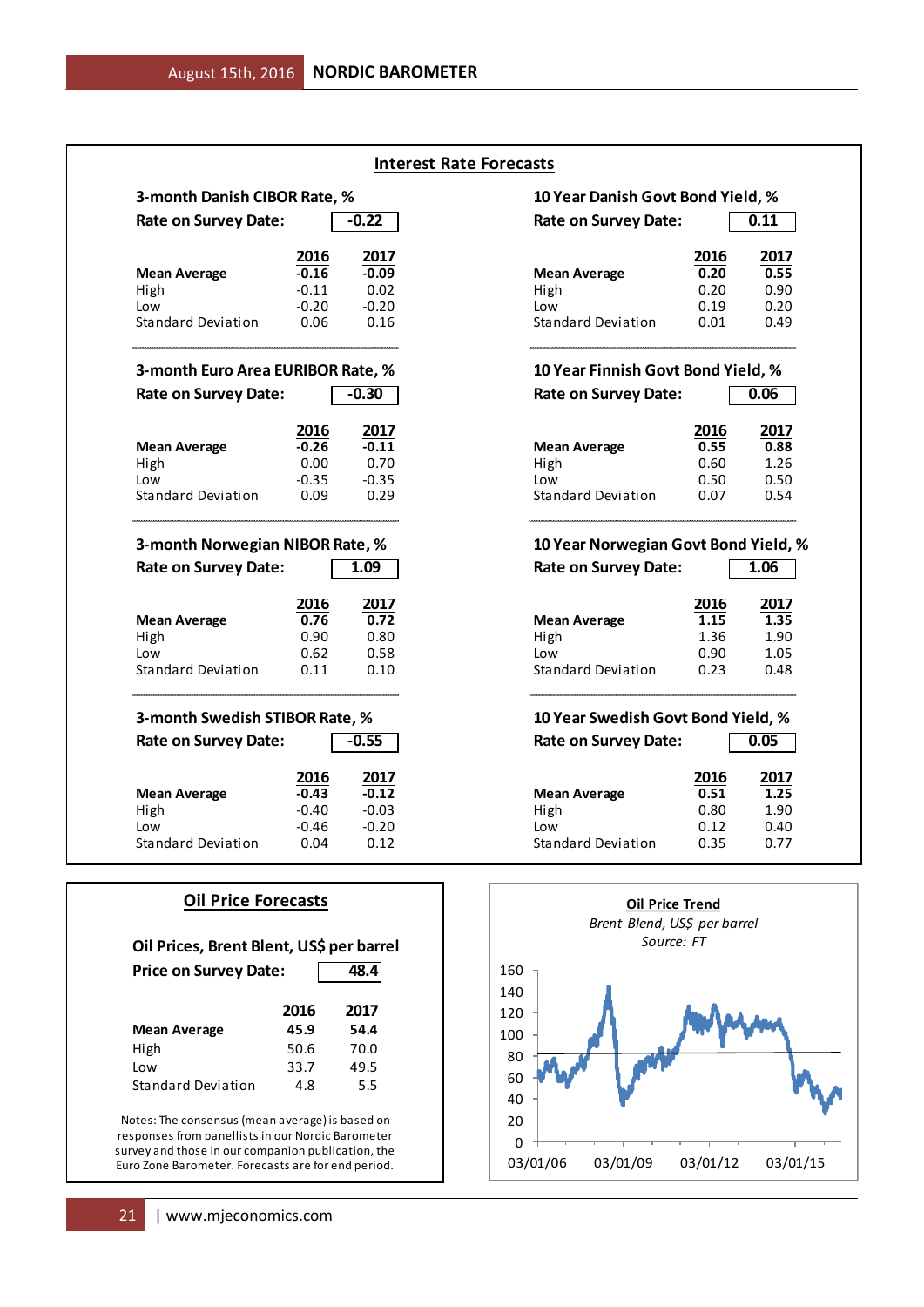|                                                                          |         |         | <b>Interest Rate Forecasts</b>             |      |      |
|--------------------------------------------------------------------------|---------|---------|--------------------------------------------|------|------|
| 3-month Danish CIBOR Rate, %                                             |         |         | 10 Year Danish Govt Bond Yield, %          |      |      |
| <b>Rate on Survey Date:</b>                                              |         | $-0.22$ | <b>Rate on Survey Date:</b>                |      | 0.11 |
|                                                                          | 2016    | 2017    |                                            | 2016 | 2017 |
| <b>Mean Average</b>                                                      | $-0.16$ | $-0.09$ | <b>Mean Average</b>                        | 0.20 | 0.55 |
| High                                                                     | $-0.11$ | 0.02    | High                                       | 0.20 | 0.90 |
| Low                                                                      | $-0.20$ | $-0.20$ | Low                                        | 0.19 | 0.20 |
| <b>Standard Deviation</b>                                                | 0.06    | 0.16    | <b>Standard Deviation</b>                  | 0.01 | 0.49 |
| 3-month Euro Area EURIBOR Rate, %                                        |         |         | 10 Year Finnish Govt Bond Yield, %         |      |      |
| <b>Rate on Survey Date:</b>                                              |         | $-0.30$ | <b>Rate on Survey Date:</b>                |      | 0.06 |
|                                                                          | 2016    | 2017    |                                            | 2016 | 2017 |
| <b>Mean Average</b>                                                      | $-0.26$ | $-0.11$ | <b>Mean Average</b>                        | 0.55 | 0.88 |
| High                                                                     | 0.00    | 0.70    | High                                       | 0.60 | 1.26 |
| Low                                                                      | $-0.35$ | $-0.35$ | Low                                        | 0.50 | 0.50 |
| <b>Standard Deviation</b>                                                | 0.09    | 0.29    | <b>Standard Deviation</b>                  | 0.07 | 0.54 |
| 3-month Norwegian NIBOR Rate, %                                          |         |         | 10 Year Norwegian Govt Bond Yield, %       |      |      |
| <b>Rate on Survey Date:</b>                                              |         | 1.09    | <b>Rate on Survey Date:</b>                |      | 1.06 |
|                                                                          | 2016    | 2017    |                                            | 2016 | 2017 |
|                                                                          | 0.76    | 0.72    | <b>Mean Average</b>                        | 1.15 | 1.35 |
| <b>Mean Average</b>                                                      |         |         |                                            |      |      |
| High                                                                     | 0.90    | 0.80    | High                                       | 1.36 | 1.90 |
| Low                                                                      | 0.62    | 0.58    | Low                                        | 0.90 | 1.05 |
| <b>Standard Deviation</b>                                                | 0.11    | 0.10    | Standard Deviation                         | 0.23 | 0.48 |
| 3-month Swedish STIBOR Rate, %                                           |         |         | 10 Year Swedish Govt Bond Yield, %         |      |      |
| <b>Rate on Survey Date:</b>                                              |         | $-0.55$ | <b>Rate on Survey Date:</b>                |      | 0.05 |
|                                                                          | 2016    | 2017    |                                            | 2016 | 2017 |
| <b>Mean Average</b>                                                      | $-0.43$ | $-0.12$ | <b>Mean Average</b>                        | 0.51 | 1.25 |
| High                                                                     | $-0.40$ | $-0.03$ | High                                       | 0.80 | 1.90 |
| Low                                                                      | -0.46   | $-0.20$ | Low                                        | 0.12 | 0.40 |
| Standard Deviation                                                       | 0.04    | 0.12    | <b>Standard Deviation</b>                  | 0.35 | 0.77 |
| <b>Oil Price Forecasts</b>                                               |         |         | <b>Oil Price Trend</b>                     |      |      |
|                                                                          |         |         | Brent Blend, US\$ per barrel<br>Source: FT |      |      |
| Oil Prices, Brent Blent, US\$ per barrel<br><b>Price on Survey Date:</b> |         | 48.4    | 160                                        |      |      |
|                                                                          |         |         | 140                                        |      |      |
|                                                                          | 2016    | 2017    | 120                                        |      |      |
| <b>Mean Average</b>                                                      | 45.9    | 54.4    | 100                                        |      |      |
| High                                                                     | 50.6    | 70.0    |                                            |      |      |
| Low                                                                      | 33.7    | 49.5    | 80                                         |      |      |
|                                                                          |         |         | 60                                         |      |      |
| <b>Standard Deviation</b>                                                | 4.8     | 5.5     | 40                                         |      |      |
|                                                                          |         |         |                                            |      |      |
| Notes: The consensus (mean average) is based on                          |         |         | 20                                         |      |      |
| responses from panellists in our Nordic Barometer                        |         |         |                                            |      |      |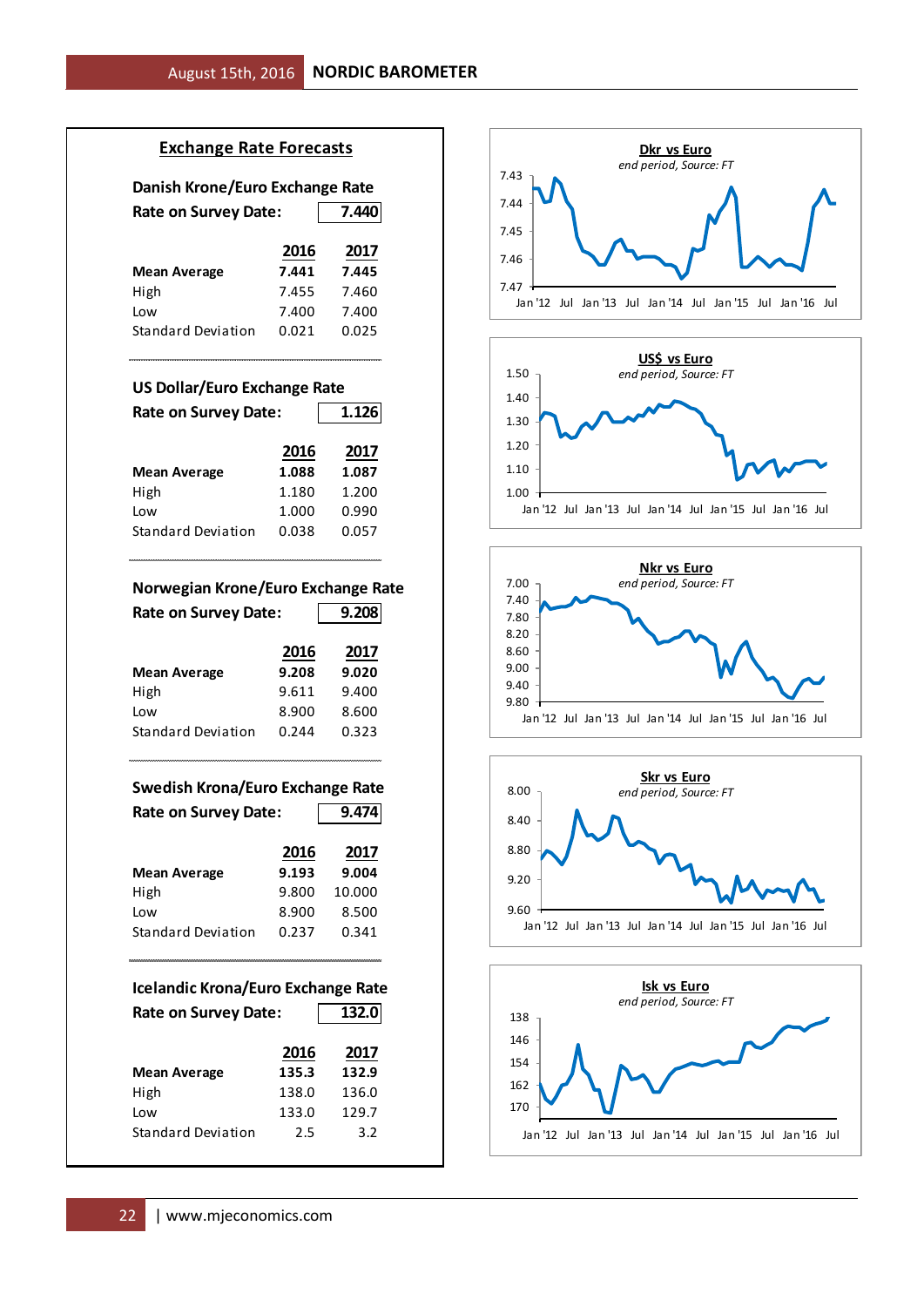#### **Exchange Rate Forecasts**

| Danish Krone/Euro Exchange Rate |       |       |  |
|---------------------------------|-------|-------|--|
| <b>Rate on Survey Date:</b>     |       | 7.440 |  |
|                                 | 2016  | 2017  |  |
| <b>Mean Average</b>             | 7.441 | 7.445 |  |
| High                            | 7.455 | 7.460 |  |
| Low                             | 7.400 | 7.400 |  |
| Standard Deviation              | 0.021 | 0.025 |  |

#### **US Dollar/Euro Exchange Rate**

| <b>Rate on Survey Date:</b> |       | 1.126 |  |  |
|-----------------------------|-------|-------|--|--|
|                             | 2016  | 2017  |  |  |
| <b>Mean Average</b>         | 1.088 | 1.087 |  |  |
| High                        | 1.180 | 1.200 |  |  |
| Low                         | 1.000 | 0.990 |  |  |
| <b>Standard Deviation</b>   | 0.038 | 0.057 |  |  |

#### **Norwegian Krone/Euro Exchange Rate**

| <b>Rate on Survey Date:</b> |       | 9.208 |  |  |
|-----------------------------|-------|-------|--|--|
|                             | 2016  | 2017  |  |  |
| <b>Mean Average</b>         | 9.208 | 9.020 |  |  |
| High                        | 9.611 | 9.400 |  |  |
| Low                         | 8.900 | 8.600 |  |  |
| Standard Deviation          | 0.244 | 0.323 |  |  |

## **Swedish Krona/Euro Exchange Rate** Rate on Survey Date: 9.474

|                     | 2016  | 2017   |
|---------------------|-------|--------|
| <b>Mean Average</b> | 9.193 | 9.004  |
| High                | 9.800 | 10.000 |
| Low                 | 8.900 | 8.500  |
| Standard Deviation  | 0.237 | 0.341  |
|                     |       |        |

## **Icelandic Krona/Euro Exchange Rate** Rate on Survey Date: 132.0 **2016 2017 Mean Average 135.3 132.9** High 138.0 136.0 Low 133.0 129.7 Standard Deviation 2.5 3.2









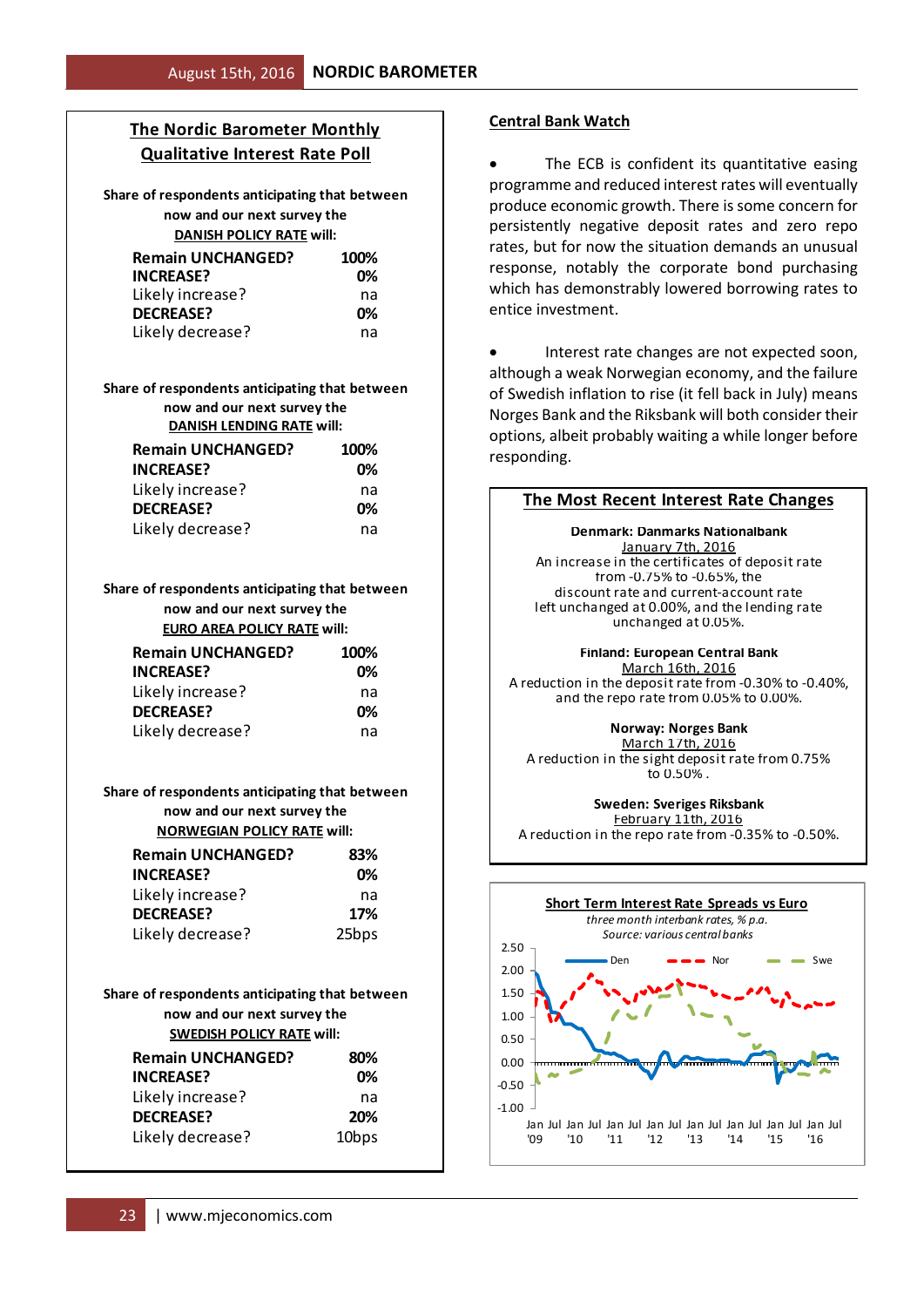# **The Nordic Barometer Monthly Qualitative Interest Rate Poll**

**Share of respondents anticipating that between now and our next survey the DANISH POLICY RATE will:**

| <b>Remain UNCHANGED?</b> | 100% |
|--------------------------|------|
| <b>INCREASE?</b>         | በ%   |
| Likely increase?         | na   |
| <b>DECREASE?</b>         | በ%   |
| Likely decrease?         | na   |

#### **Share of respondents anticipating that between now and our next survey the DANISH LENDING RATE will:**

| <b>Remain UNCHANGED?</b> | 100% |
|--------------------------|------|
| <b>INCREASE?</b>         | 0%   |
| Likely increase?         | na   |
| <b>DECREASE?</b>         | 0%   |
| Likely decrease?         | na   |

**Share of respondents anticipating that between now and our next survey the EURO AREA POLICY RATE will:**

| <b>Remain UNCHANGED?</b> | 100% |
|--------------------------|------|
| <b>INCREASE?</b>         | በ%   |
| Likely increase?         | na   |
| <b>DECREASE?</b>         | 0%   |
| Likely decrease?         | na   |

**Share of respondents anticipating that between now and our next survey the NORWEGIAN POLICY RATE will:**

| <b>Remain UNCHANGED?</b> | 83%               |
|--------------------------|-------------------|
| <b>INCREASE?</b>         | 0%                |
| Likely increase?         | na                |
| <b>DECREASE?</b>         | 17%               |
| Likely decrease?         | 25 <sub>bps</sub> |

#### **Share of respondents anticipating that between now and our next survey the SWEDISH POLICY RATE will:**

| <b>Remain UNCHANGED?</b>                   | 100%              |
|--------------------------------------------|-------------------|
| <b>INCREASE?</b>                           | 0%                |
| Likely increase?                           | na                |
| <b>DECREASE?</b>                           | 0%                |
| Likely decrease?                           | na                |
| are of respondents anticipating that betwe |                   |
| now and our next survey the                |                   |
| <b>DANISH LENDING RATE will:</b>           |                   |
| <b>Remain UNCHANGED?</b>                   | 100%              |
| <b>INCREASE?</b>                           | 0%                |
| Likely increase?                           | na                |
| <b>DECREASE?</b>                           | 0%                |
| Likely decrease?                           | na                |
| are of respondents anticipating that betwe |                   |
| now and our next survey the                |                   |
| <b>EURO AREA POLICY RATE will:</b>         |                   |
| <b>Remain UNCHANGED?</b>                   | 100%              |
| <b>INCREASE?</b>                           | 0%                |
| Likely increase?                           | na                |
| <b>DECREASE?</b>                           | 0%                |
| Likely decrease?                           | na                |
| are of respondents anticipating that betwe |                   |
| now and our next survey the                |                   |
| <b>NORWEGIAN POLICY RATE will:</b>         |                   |
| <b>Remain UNCHANGED?</b>                   |                   |
| <b>INCREASE?</b>                           | 83%<br>0%         |
|                                            |                   |
| Likely increase?<br><b>DECREASE?</b>       | na                |
|                                            | 17%               |
| Likely decrease?                           | 25bps             |
| are of respondents anticipating that betwe |                   |
| now and our next survey the                |                   |
| <b>SWEDISH POLICY RATE will:</b>           |                   |
| <b>Remain UNCHANGED?</b>                   | 80%               |
| <b>INCREASE?</b>                           | 0%                |
| Likely increase?                           | na                |
| <b>DECREASE?</b>                           | 20%               |
| Likely decrease?                           | 10 <sub>bps</sub> |
|                                            |                   |
| www.mjeconomics.com<br>23                  |                   |

### **Central Bank Watch**

The ECB is confident its quantitative easing programme and reduced interest rates will eventually produce economic growth. There is some concern for persistently negative deposit rates and zero repo rates, but for now the situation demands an unusual response, notably the corporate bond purchasing which has demonstrably lowered borrowing rates to entice investment.

 Interest rate changes are not expected soon, although a weak Norwegian economy, and the failure of Swedish inflation to rise (it fell back in July) means Norges Bank and the Riksbank will both consider their options, albeit probably waiting a while longer before responding.

#### **The Most Recent Interest Rate Changes**

unchanged at 0.05%. January 7th, 2016 An increase in the certificates of deposit rate left unchanged at 0.00%, and the lending rate from -0.75% to -0.65%, the discount rate and current-account rate **Denmark: Danmarks Nationalbank**

**Finland: European Central Bank** March 16th, 2016 A reduction in the deposit rate from -0.30% to -0.40%, and the repo rate from 0.05% to 0.00%.

**Norway: Norges Bank**

to 0.50% . March 17th, 2016 A reduction in the sight deposit rate from 0.75%

**Sweden: Sveriges Riksbank**

A reduction in the repo rate from -0.35% to -0.50%. February 11th, 2016

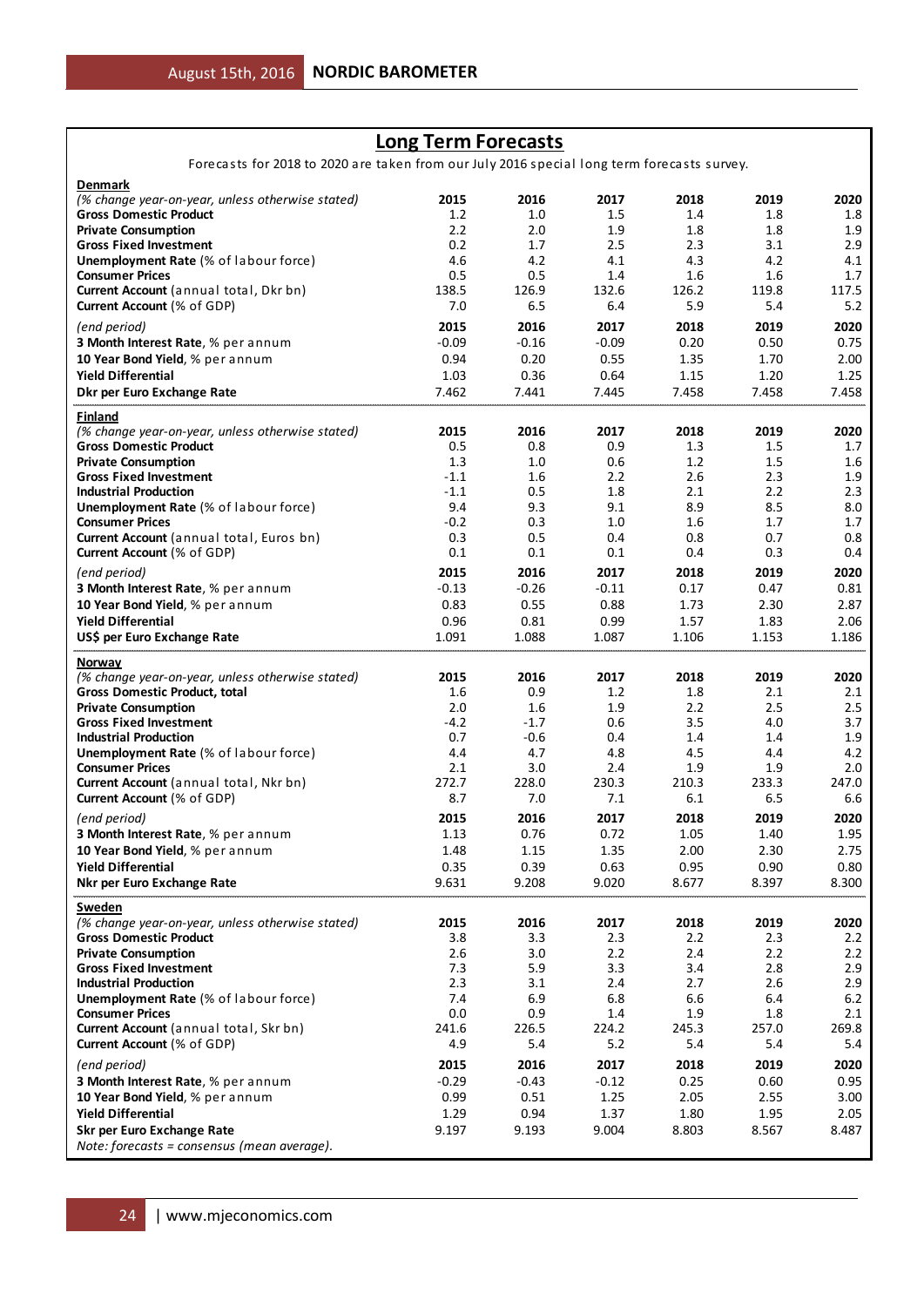## **Long Term Forecasts**

Forecasts for 2018 to 2020 are taken from our July 2016 special long term forecasts survey.

| <b>Denmark</b>                                                                           |               |               |               |               |               |               |
|------------------------------------------------------------------------------------------|---------------|---------------|---------------|---------------|---------------|---------------|
| (% change year-on-year, unless otherwise stated)                                         | 2015          | 2016          | 2017          | 2018          | 2019          | 2020          |
| <b>Gross Domestic Product</b>                                                            | 1.2           | 1.0           | 1.5           | 1.4           | 1.8           | 1.8           |
| <b>Private Consumption</b>                                                               | 2.2           | 2.0           | 1.9           | 1.8           | 1.8           | 1.9           |
| <b>Gross Fixed Investment</b>                                                            | 0.2           | 1.7           | 2.5           | 2.3           | 3.1           | 2.9           |
| <b>Unemployment Rate (% of labour force)</b>                                             | 4.6<br>0.5    | 4.2           | 4.1<br>1.4    | 4.3           | 4.2           | 4.1           |
| <b>Consumer Prices</b><br>Current Account (annual total, Dkr bn)                         | 138.5         | 0.5<br>126.9  | 132.6         | 1.6<br>126.2  | 1.6<br>119.8  | 1.7<br>117.5  |
| Current Account (% of GDP)                                                               | 7.0           | 6.5           | 6.4           | 5.9           | 5.4           | 5.2           |
|                                                                                          |               |               |               |               |               |               |
| (end period)                                                                             | 2015          | 2016          | 2017          | 2018          | 2019          | 2020          |
| 3 Month Interest Rate, % per annum                                                       | $-0.09$       | $-0.16$       | $-0.09$       | 0.20          | 0.50          | 0.75          |
| 10 Year Bond Yield, % per annum<br><b>Yield Differential</b>                             | 0.94          | 0.20          | 0.55          | 1.35          | 1.70          | 2.00          |
| Dkr per Euro Exchange Rate                                                               | 1.03<br>7.462 | 0.36<br>7.441 | 0.64<br>7.445 | 1.15<br>7.458 | 1.20<br>7.458 | 1.25<br>7.458 |
|                                                                                          |               |               |               |               |               |               |
| Finland<br>(% change year-on-year, unless otherwise stated)                              | 2015          | 2016          | 2017          | 2018          | 2019          | 2020          |
| <b>Gross Domestic Product</b>                                                            | 0.5           | 0.8           | 0.9           | 1.3           | $1.5\,$       | 1.7           |
| <b>Private Consumption</b>                                                               | 1.3           | 1.0           | 0.6           | 1.2           | 1.5           | 1.6           |
| <b>Gross Fixed Investment</b>                                                            | $-1.1$        | 1.6           | 2.2           | 2.6           | 2.3           | 1.9           |
| <b>Industrial Production</b>                                                             | $-1.1$        | 0.5           | 1.8           | 2.1           | 2.2           | 2.3           |
| <b>Unemployment Rate (% of labour force)</b>                                             | 9.4           | 9.3           | 9.1           | 8.9           | 8.5           | 8.0           |
| <b>Consumer Prices</b>                                                                   | $-0.2$        | 0.3           | 1.0           | 1.6           | 1.7           | 1.7           |
| Current Account (annual total, Euros bn)                                                 | 0.3           | 0.5           | 0.4           | 0.8           | 0.7           | 0.8           |
| <b>Current Account (% of GDP)</b>                                                        | 0.1           | 0.1           | 0.1           | 0.4           | 0.3           | 0.4           |
| (end period)                                                                             | 2015          | 2016          | 2017          | 2018          | 2019          | 2020          |
| 3 Month Interest Rate, % per annum                                                       | $-0.13$       | $-0.26$       | $-0.11$       | 0.17          | 0.47          | 0.81          |
| 10 Year Bond Yield, % per annum                                                          | 0.83          | 0.55          | 0.88          | 1.73          | 2.30          | 2.87          |
| <b>Yield Differential</b>                                                                | 0.96          | 0.81          | 0.99          | 1.57          | 1.83          | 2.06          |
| US\$ per Euro Exchange Rate                                                              | 1.091         | 1.088         | 1.087         | 1.106         | 1.153         | 1.186         |
| Norway                                                                                   |               |               |               |               |               |               |
|                                                                                          |               |               |               |               |               | 2020          |
|                                                                                          | 2015          | 2016          | 2017          | 2018          | 2019          |               |
| (% change year-on-year, unless otherwise stated)<br><b>Gross Domestic Product, total</b> | 1.6           | 0.9           | 1.2           | 1.8           | 2.1           | 2.1           |
| <b>Private Consumption</b>                                                               | 2.0           | 1.6           | 1.9           | 2.2           | 2.5           | 2.5           |
| <b>Gross Fixed Investment</b>                                                            | $-4.2$        | $-1.7$        | 0.6           | 3.5           | 4.0           | 3.7           |
| <b>Industrial Production</b>                                                             | 0.7           | $-0.6$        | 0.4           | 1.4           | 1.4           | 1.9           |
| <b>Unemployment Rate</b> (% of labour force)                                             | 4.4           | 4.7           | 4.8           | 4.5           | 4.4           | 4.2           |
| <b>Consumer Prices</b>                                                                   | 2.1           | 3.0           | 2.4           | 1.9           | 1.9           | 2.0           |
| Current Account (annual total, Nkr bn)                                                   | 272.7         | 228.0         | 230.3         | 210.3         | 233.3         | 247.0         |
| Current Account (% of GDP)                                                               | 8.7           | 7.0           | 7.1           | 6.1           | 6.5           | 6.6           |
| (end period)                                                                             | 2015          | 2016          | 2017          | 2018          | 2019          | 2020          |
| 3 Month Interest Rate, % per annum                                                       | 1.13          | 0.76          | 0.72          | 1.05          | 1.40          | 1.95          |
| 10 Year Bond Yield, % per annum                                                          | 1.48          | 1.15          | 1.35          | 2.00          | 2.30          | 2.75          |
| <b>Yield Differential</b>                                                                | 0.35          | 0.39          | 0.63          | 0.95          | 0.90          | 0.80          |
| Nkr per Euro Exchange Rate                                                               | 9.631         | 9.208         | 9.020         | 8.677         | 8.397         | 8.300         |
| Sweden                                                                                   |               |               |               |               |               |               |
| (% change year-on-year, unless otherwise stated)                                         | 2015          | 2016          | 2017          | 2018          | 2019          | 2020          |
| <b>Gross Domestic Product</b>                                                            | 3.8           | 3.3           | 2.3           | 2.2           | 2.3           | 2.2           |
| <b>Private Consumption</b>                                                               | 2.6           | 3.0           | 2.2           | 2.4           | 2.2           | 2.2           |
| <b>Gross Fixed Investment</b>                                                            | 7.3           | 5.9           | 3.3           | 3.4           | 2.8           | 2.9           |
| <b>Industrial Production</b>                                                             | 2.3           | 3.1           | $2.4\,$       | 2.7           | 2.6           | 2.9           |
| Unemployment Rate (% of labour force)                                                    | 7.4           | 6.9           | 6.8           | 6.6           | 6.4           | 6.2           |
| <b>Consumer Prices</b>                                                                   | 0.0           | 0.9           | 1.4           | 1.9           | 1.8           | 2.1           |
| Current Account (annual total, Skr bn)                                                   | 241.6         | 226.5         | 224.2         | 245.3         | 257.0         | 269.8         |
| Current Account (% of GDP)                                                               | 4.9           | 5.4           | 5.2           | 5.4           | 5.4           | 5.4           |
| (end period)                                                                             | 2015          | 2016          | 2017          | 2018          | 2019          | 2020          |
| 3 Month Interest Rate, % per annum                                                       | $-0.29$       | $-0.43$       | $-0.12$       | 0.25          | 0.60          | 0.95          |
| 10 Year Bond Yield, % per annum                                                          | 0.99          | 0.51          | 1.25          | 2.05          | 2.55          | 3.00          |
| <b>Yield Differential</b><br>Skr per Euro Exchange Rate                                  | 1.29<br>9.197 | 0.94<br>9.193 | 1.37<br>9.004 | 1.80<br>8.803 | 1.95<br>8.567 | 2.05<br>8.487 |